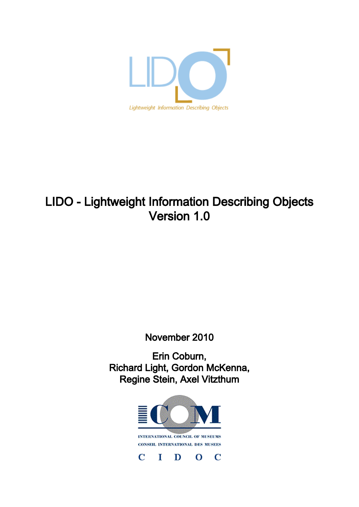

# LIDO - Lightweight Information Describing Objects Version 1.0

November 2010

Erin Coburn, Richard Light, Gordon McKenna, Regine Stein, Axel Vitzthum

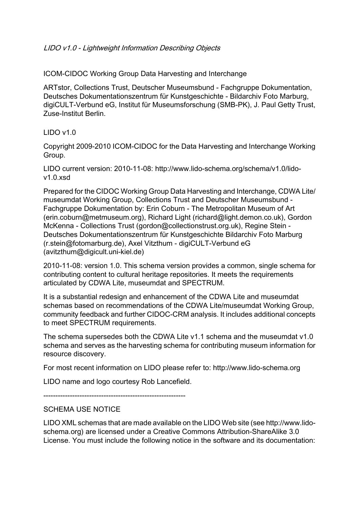#### LIDO v1.0 - Lightweight Information Describing Objects

ICOM-CIDOC Working Group Data Harvesting and Interchange

ARTstor, Collections Trust, Deutscher Museumsbund - Fachgruppe Dokumentation, Deutsches Dokumentationszentrum für Kunstgeschichte - Bildarchiv Foto Marburg, digiCULT-Verbund eG, Institut für Museumsforschung (SMB-PK), J. Paul Getty Trust, Zuse-Institut Berlin.

#### LIDO v1.0

Copyright 2009-2010 ICOM-CIDOC for the Data Harvesting and Interchange Working Group.

LIDO current version: 2010-11-08: http://www.lido-schema.org/schema/v1.0/lidov1.0.xsd

Prepared for the CIDOC Working Group Data Harvesting and Interchange, CDWA Lite/ museumdat Working Group, Collections Trust and Deutscher Museumsbund - Fachgruppe Dokumentation by: Erin Coburn - The Metropolitan Museum of Art (erin.coburn@metmuseum.org), Richard Light (richard@light.demon.co.uk), Gordon McKenna - Collections Trust (gordon@collectionstrust.org.uk), Regine Stein - Deutsches Dokumentationszentrum für Kunstgeschichte Bildarchiv Foto Marburg (r.stein@fotomarburg.de), Axel Vitzthum - digiCULT-Verbund eG (avitzthum@digicult.uni-kiel.de)

2010-11-08: version 1.0. This schema version provides a common, single schema for contributing content to cultural heritage repositories. It meets the requirements articulated by CDWA Lite, museumdat and SPECTRUM.

It is a substantial redesign and enhancement of the CDWA Lite and museumdat schemas based on recommendations of the CDWA Lite/museumdat Working Group, community feedback and further CIDOC-CRM analysis. It includes additional concepts to meet SPECTRUM requirements.

The schema supersedes both the CDWA Lite v1.1 schema and the museumdat v1.0 schema and serves as the harvesting schema for contributing museum information for resource discovery.

For most recent information on LIDO please refer to: http://www.lido-schema.org

LIDO name and logo courtesy Rob Lancefield.

-----------------------------------------------------------

#### SCHEMA USE NOTICE

LIDO XML schemas that are made available on the LIDO Web site (see http://www.lidoschema.org) are licensed under a Creative Commons Attribution-ShareAlike 3.0 License. You must include the following notice in the software and its documentation: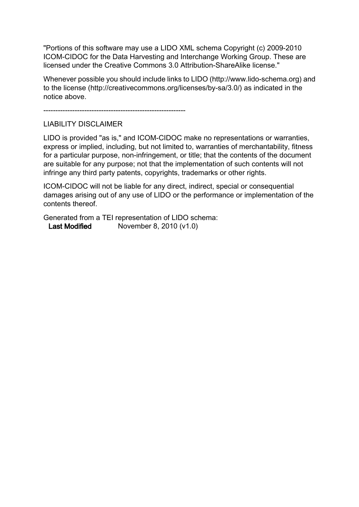"Portions of this software may use a LIDO XML schema Copyright (c) 2009-2010 ICOM-CIDOC for the Data Harvesting and Interchange Working Group. These are licensed under the Creative Commons 3.0 Attribution-ShareAlike license."

Whenever possible you should include links to LIDO (http://www.lido-schema.org) and to the license (http://creativecommons.org/licenses/by-sa/3.0/) as indicated in the notice above.

-----------------------------------------------------------

#### LIABILITY DISCLAIMER

LIDO is provided "as is," and ICOM-CIDOC make no representations or warranties, express or implied, including, but not limited to, warranties of merchantability, fitness for a particular purpose, non-infringement, or title; that the contents of the document are suitable for any purpose; not that the implementation of such contents will not infringe any third party patents, copyrights, trademarks or other rights.

ICOM-CIDOC will not be liable for any direct, indirect, special or consequential damages arising out of any use of LIDO or the performance or implementation of the contents thereof.

Generated from a TEI representation of LIDO schema:

Last Modified November 8, 2010 (v1.0)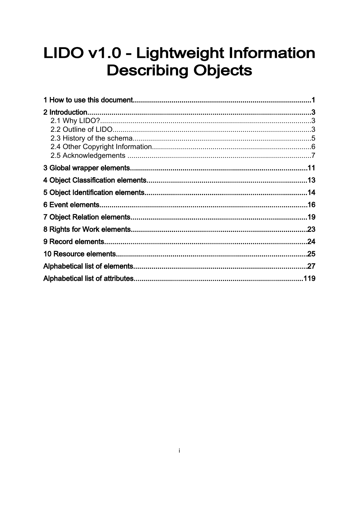# LIDO v1.0 - Lightweight Information **Describing Objects**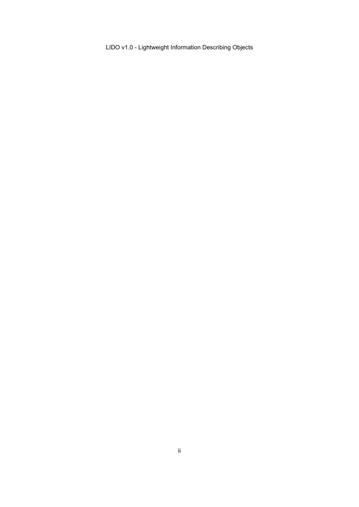LIDO v1.0 - Lightweight Information Describing Objects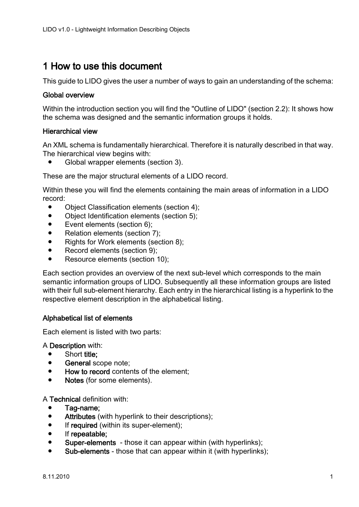## <span id="page-6-0"></span>1 How to use this document

This guide to LIDO gives the user a number of ways to gain an understanding of the schema:

#### Global overview

Within the introduction section you will find the "Outline of LIDO" (section 2.2): It shows how the schema was designed and the semantic information groups it holds.

#### Hierarchical view

An XML schema is fundamentally hierarchical. Therefore it is naturally described in that way. The hierarchical view begins with:

● Global wrapper elements (section 3).

These are the major structural elements of a LIDO record.

Within these you will find the elements containing the main areas of information in a LIDO record:

- Object Classification elements (section 4);
- Object Identification elements (section 5);
- Event elements (section 6);
- Relation elements (section 7):
- Rights for Work elements (section 8):
- Record elements (section 9);
- Resource elements (section 10);

Each section provides an overview of the next sub-level which corresponds to the main semantic information groups of LIDO. Subsequently all these information groups are listed with their full sub-element hierarchy. Each entry in the hierarchical listing is a hyperlink to the respective element description in the alphabetical listing.

#### Alphabetical list of elements

Each element is listed with two parts:

A Description with:

- Short title:
- General scope note;
- How to record contents of the element;
- Notes (for some elements).

A Technical definition with:

- Tag-name;
- Attributes (with hyperlink to their descriptions);
- If required (within its super-element);
- If repeatable;
- Super-elements those it can appear within (with hyperlinks);
- Sub-elements those that can appear within it (with hyperlinks);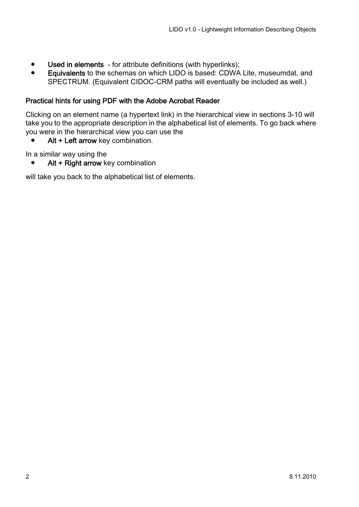- Used in elements for attribute definitions (with hyperlinks);
- Equivalents to the schemas on which LIDO is based: CDWA Lite, museumdat, and SPECTRUM. (Equivalent CIDOC-CRM paths will eventually be included as well.)

#### Practical hints for using PDF with the Adobe Acrobat Reader

Clicking on an element name (a hypertext link) in the hierarchical view in sections 3-10 will take you to the appropriate description in the alphabetical list of elements. To go back where you were in the hierarchical view you can use the

 $Alt + Left$  arrow key combination.

In a similar way using the

Alt + Right arrow key combination

will take you back to the alphabetical list of elements.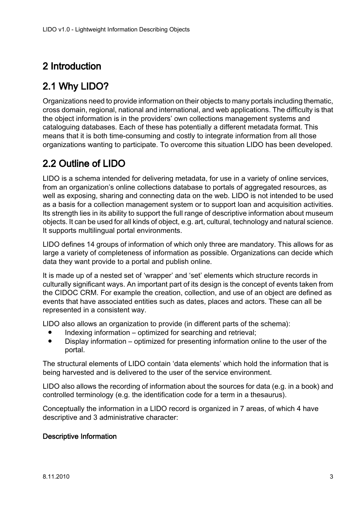# <span id="page-8-0"></span>2 Introduction

# 2.1 Why LIDO?

Organizations need to provide information on their objects to many portals including thematic, cross domain, regional, national and international, and web applications. The difficulty is that the object information is in the providers' own collections management systems and cataloguing databases. Each of these has potentially a different metadata format. This means that it is both time-consuming and costly to integrate information from all those organizations wanting to participate. To overcome this situation LIDO has been developed.

# 2.2 Outline of LIDO

LIDO is a schema intended for delivering metadata, for use in a variety of online services, from an organization's online collections database to portals of aggregated resources, as well as exposing, sharing and connecting data on the web. LIDO is not intended to be used as a basis for a collection management system or to support loan and acquisition activities. Its strength lies in its ability to support the full range of descriptive information about museum objects. It can be used for all kinds of object, e.g. art, cultural, technology and natural science. It supports multilingual portal environments.

LIDO defines 14 groups of information of which only three are mandatory. This allows for as large a variety of completeness of information as possible. Organizations can decide which data they want provide to a portal and publish online.

It is made up of a nested set of 'wrapper' and 'set' elements which structure records in culturally significant ways. An important part of its design is the concept of events taken from the CIDOC CRM. For example the creation, collection, and use of an object are defined as events that have associated entities such as dates, places and actors. These can all be represented in a consistent way.

LIDO also allows an organization to provide (in different parts of the schema):

- Indexing information optimized for searching and retrieval:
- Display information optimized for presenting information online to the user of the portal.

The structural elements of LIDO contain 'data elements' which hold the information that is being harvested and is delivered to the user of the service environment.

LIDO also allows the recording of information about the sources for data (e.g. in a book) and controlled terminology (e.g. the identification code for a term in a thesaurus).

Conceptually the information in a LIDO record is organized in 7 areas, of which 4 have descriptive and 3 administrative character:

#### Descriptive Information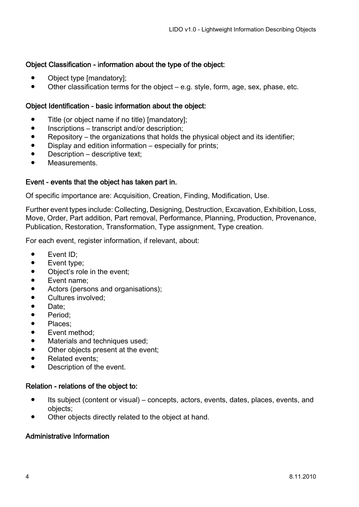#### Object Classification - information about the type of the object:

- Object type [mandatory];
- Other classification terms for the object e.g. style, form, age, sex, phase, etc.

#### Object Identification - basic information about the object:

- Title (or object name if no title) [mandatory];
- Inscriptions transcript and/or description;
- $Re$  Repository the organizations that holds the physical object and its identifier;
- Display and edition information  $-$  especially for prints;
- Description descriptive text;
- Measurements.

#### Event - events that the object has taken part in.

Of specific importance are: Acquisition, Creation, Finding, Modification, Use.

Further event types include: Collecting, Designing, Destruction, Excavation, Exhibition, Loss, Move, Order, Part addition, Part removal, Performance, Planning, Production, Provenance, Publication, Restoration, Transformation, Type assignment, Type creation.

For each event, register information, if relevant, about:

- Event ID:
- Event type:
- Object's role in the event;
- Event name:
- Actors (persons and organisations);
- Cultures involved:
- Date:
- Period;
- Places:
- Event method;
- Materials and techniques used;
- Other objects present at the event;
- Related events;
- Description of the event.

#### Relation - relations of the object to:

- Its subject (content or visual) concepts, actors, events, dates, places, events, and objects;
- Other objects directly related to the object at hand.

#### Administrative Information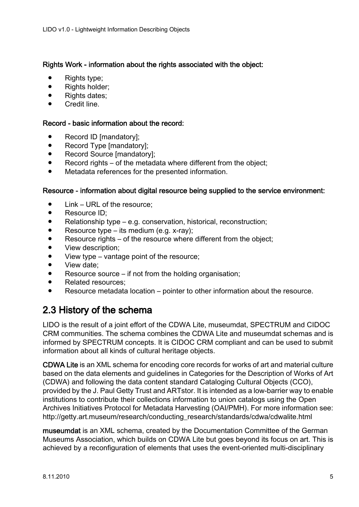#### <span id="page-10-0"></span>Rights Work - information about the rights associated with the object:

- Rights type;
- Rights holder;
- Rights dates;
- Credit line.

#### Record - basic information about the record:

- Record ID [mandatory];
- Record Type [mandatory];
- Record Source [mandatory];
- Record rights of the metadata where different from the object;
- Metadata references for the presented information.

#### Resource - information about digital resource being supplied to the service environment:

- $Link URL$  of the resource;
- Resource ID:
- Relationship type e.g. conservation, historical, reconstruction;
- Resource type its medium (e.g.  $x$ -ray);
- Resource rights of the resource where different from the object;
- View description:
- View type vantage point of the resource;
- View date;
- Resource source if not from the holding organisation;
- Related resources:
- Resource metadata location pointer to other information about the resource.

### 2.3 History of the schema

LIDO is the result of a joint effort of the CDWA Lite, museumdat, SPECTRUM and CIDOC CRM communities. The schema combines the CDWA Lite and museumdat schemas and is informed by SPECTRUM concepts. It is CIDOC CRM compliant and can be used to submit information about all kinds of cultural heritage objects.

CDWA Lite is an XML schema for encoding core records for works of art and material culture based on the data elements and guidelines in Categories for the Description of Works of Art (CDWA) and following the data content standard Cataloging Cultural Objects (CCO), provided by the J. Paul Getty Trust and ARTstor. It is intended as a low-barrier way to enable institutions to contribute their collections information to union catalogs using the Open Archives Initiatives Protocol for Metadata Harvesting (OAI/PMH). For more information see: http://getty.art.museum/research/conducting\_research/standards/cdwa/cdwalite.html

museumdat is an XML schema, created by the Documentation Committee of the German Museums Association, which builds on CDWA Lite but goes beyond its focus on art. This is achieved by a reconfiguration of elements that uses the event-oriented multi-disciplinary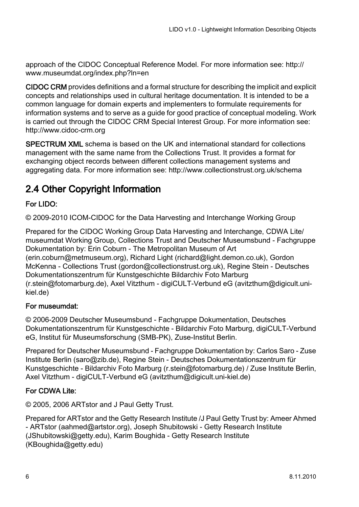<span id="page-11-0"></span>approach of the CIDOC Conceptual Reference Model. For more information see: http:// www.museumdat.org/index.php?ln=en

CIDOC CRM provides definitions and a formal structure for describing the implicit and explicit concepts and relationships used in cultural heritage documentation. It is intended to be a common language for domain experts and implementers to formulate requirements for information systems and to serve as a guide for good practice of conceptual modeling. Work is carried out through the CIDOC CRM Special Interest Group. For more information see: http://www.cidoc-crm.org

SPECTRUM XML schema is based on the UK and international standard for collections management with the same name from the Collections Trust. It provides a format for exchanging object records between different collections management systems and aggregating data. For more information see: http://www.collectionstrust.org.uk/schema

# 2.4 Other Copyright Information

#### For LIDO:

© 2009-2010 ICOM-CIDOC for the Data Harvesting and Interchange Working Group

Prepared for the CIDOC Working Group Data Harvesting and Interchange, CDWA Lite/ museumdat Working Group, Collections Trust and Deutscher Museumsbund - Fachgruppe Dokumentation by: Erin Coburn - The Metropolitan Museum of Art (erin.coburn@metmuseum.org), Richard Light (richard@light.demon.co.uk), Gordon McKenna - Collections Trust (gordon@collectionstrust.org.uk), Regine Stein - Deutsches Dokumentationszentrum für Kunstgeschichte Bildarchiv Foto Marburg (r.stein@fotomarburg.de), Axel Vitzthum - digiCULT-Verbund eG (avitzthum@digicult.unikiel.de)

#### For museumdat:

© 2006-2009 Deutscher Museumsbund - Fachgruppe Dokumentation, Deutsches Dokumentationszentrum für Kunstgeschichte - Bildarchiv Foto Marburg, digiCULT-Verbund eG, Institut für Museumsforschung (SMB-PK), Zuse-Institut Berlin.

Prepared for Deutscher Museumsbund - Fachgruppe Dokumentation by: Carlos Saro - Zuse Institute Berlin (saro@zib.de), Regine Stein - Deutsches Dokumentationszentrum für Kunstgeschichte - Bildarchiv Foto Marburg (r.stein@fotomarburg.de) / Zuse Institute Berlin, Axel Vitzthum - digiCULT-Verbund eG (avitzthum@digicult.uni-kiel.de)

#### For CDWA Lite:

© 2005, 2006 ARTstor and J Paul Getty Trust.

Prepared for ARTstor and the Getty Research Institute /J Paul Getty Trust by: Ameer Ahmed - ARTstor (aahmed@artstor.org), Joseph Shubitowski - Getty Research Institute (JShubitowski@getty.edu), Karim Boughida - Getty Research Institute (KBoughida@getty.edu)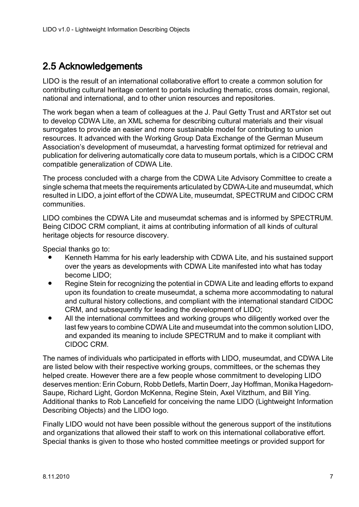# <span id="page-12-0"></span>2.5 Acknowledgements

LIDO is the result of an international collaborative effort to create a common solution for contributing cultural heritage content to portals including thematic, cross domain, regional, national and international, and to other union resources and repositories.

The work began when a team of colleagues at the J. Paul Getty Trust and ARTstor set out to develop CDWA Lite, an XML schema for describing cultural materials and their visual surrogates to provide an easier and more sustainable model for contributing to union resources. It advanced with the Working Group Data Exchange of the German Museum Association's development of museumdat, a harvesting format optimized for retrieval and publication for delivering automatically core data to museum portals, which is a CIDOC CRM compatible generalization of CDWA Lite.

The process concluded with a charge from the CDWA Lite Advisory Committee to create a single schema that meets the requirements articulated by CDWA-Lite and museumdat, which resulted in LIDO, a joint effort of the CDWA Lite, museumdat, SPECTRUM and CIDOC CRM communities.

LIDO combines the CDWA Lite and museumdat schemas and is informed by SPECTRUM. Being CIDOC CRM compliant, it aims at contributing information of all kinds of cultural heritage objects for resource discovery.

Special thanks go to:

- Kenneth Hamma for his early leadership with CDWA Lite, and his sustained support over the years as developments with CDWA Lite manifested into what has today become LIDO;
- Regine Stein for recognizing the potential in CDWA Lite and leading efforts to expand upon its foundation to create museumdat, a schema more accommodating to natural and cultural history collections, and compliant with the international standard CIDOC CRM, and subsequently for leading the development of LIDO;
- All the international committees and working groups who diligently worked over the last few years to combine CDWA Lite and museumdat into the common solution LIDO, and expanded its meaning to include SPECTRUM and to make it compliant with CIDOC CRM.

The names of individuals who participated in efforts with LIDO, museumdat, and CDWA Lite are listed below with their respective working groups, committees, or the schemas they helped create. However there are a few people whose commitment to developing LIDO deserves mention: Erin Coburn, Robb Detlefs, Martin Doerr, Jay Hoffman, Monika Hagedorn-Saupe, Richard Light, Gordon McKenna, Regine Stein, Axel Vitzthum, and Bill Ying. Additional thanks to Rob Lancefield for conceiving the name LIDO (Lightweight Information Describing Objects) and the LIDO logo.

Finally LIDO would not have been possible without the generous support of the institutions and organizations that allowed their staff to work on this international collaborative effort. Special thanks is given to those who hosted committee meetings or provided support for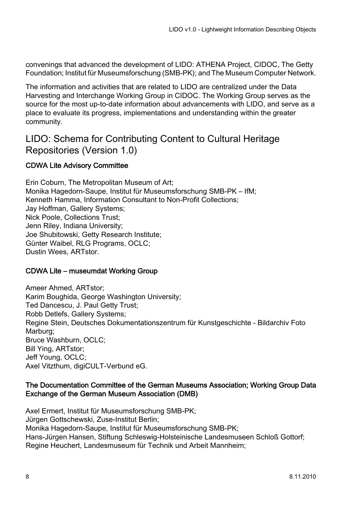convenings that advanced the development of LIDO: ATHENA Project, CIDOC, The Getty Foundation; Institut für Museumsforschung (SMB-PK); and The Museum Computer Network.

The information and activities that are related to LIDO are centralized under the Data Harvesting and Interchange Working Group in CIDOC. The Working Group serves as the source for the most up-to-date information about advancements with LIDO, and serve as a place to evaluate its progress, implementations and understanding within the greater community.

### LIDO: Schema for Contributing Content to Cultural Heritage Repositories (Version 1.0)

#### CDWA Lite Advisory Committee

Erin Coburn, The Metropolitan Museum of Art; Monika Hagedorn-Saupe, Institut für Museumsforschung SMB-PK – IfM; Kenneth Hamma, Information Consultant to Non-Profit Collections; Jay Hoffman, Gallery Systems; Nick Poole, Collections Trust; Jenn Riley, Indiana University; Joe Shubitowski, Getty Research Institute; Günter Waibel, RLG Programs, OCLC; Dustin Wees, ARTstor.

#### CDWA Lite – museumdat Working Group

Ameer Ahmed, ARTstor; Karim Boughida, George Washington University; Ted Dancescu, J. Paul Getty Trust; Robb Detlefs, Gallery Systems; Regine Stein, Deutsches Dokumentationszentrum für Kunstgeschichte - Bildarchiv Foto Marburg; Bruce Washburn, OCLC; Bill Ying, ARTstor; Jeff Young, OCLC; Axel Vitzthum, digiCULT-Verbund eG.

#### The Documentation Committee of the German Museums Association; Working Group Data Exchange of the German Museum Association (DMB)

Axel Ermert, Institut für Museumsforschung SMB-PK; Jürgen Gottschewski, Zuse-Institut Berlin; Monika Hagedorn-Saupe, Institut für Museumsforschung SMB-PK; Hans-Jürgen Hansen, Stiftung Schleswig-Holsteinische Landesmuseen Schloß Gottorf; Regine Heuchert, Landesmuseum für Technik und Arbeit Mannheim;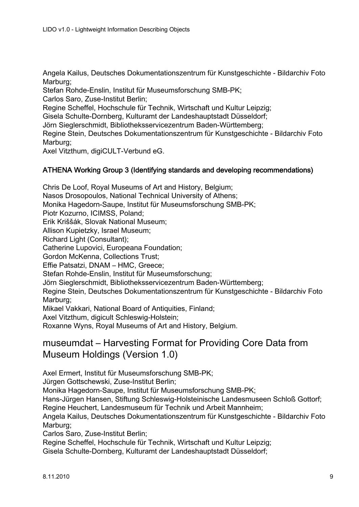Angela Kailus, Deutsches Dokumentationszentrum für Kunstgeschichte - Bildarchiv Foto Marburg;

Stefan Rohde-Enslin, Institut für Museumsforschung SMB-PK;

Carlos Saro, Zuse-Institut Berlin;

Regine Scheffel, Hochschule für Technik, Wirtschaft und Kultur Leipzig;

Gisela Schulte-Dornberg, Kulturamt der Landeshauptstadt Düsseldorf;

Jörn Sieglerschmidt, Bibliotheksservicezentrum Baden-Württemberg;

Regine Stein, Deutsches Dokumentationszentrum für Kunstgeschichte - Bildarchiv Foto Marburg;

Axel Vitzthum, digiCULT-Verbund eG.

#### ATHENA Working Group 3 (Identifying standards and developing recommendations)

Chris De Loof, Royal Museums of Art and History, Belgium; Nasos Drosopoulos, National Technical University of Athens; Monika Hagedorn-Saupe, Institut für Museumsforschung SMB-PK; Piotr Kozurno, ICIMSS, Poland; Erik Kriššák, Slovak National Museum; Allison Kupietzky, Israel Museum; Richard Light (Consultant); Catherine Lupovici, Europeana Foundation; Gordon McKenna, Collections Trust; Effie Patsatzi, DNAM – HMC, Greece; Stefan Rohde-Enslin, Institut für Museumsforschung; Jörn Sieglerschmidt, Bibliotheksservicezentrum Baden-Württemberg; Regine Stein, Deutsches Dokumentationszentrum für Kunstgeschichte - Bildarchiv Foto Marburg; Mikael Vakkari, National Board of Antiquities, Finland; Axel Vitzthum, digicult Schleswig-Holstein; Roxanne Wyns, Royal Museums of Art and History, Belgium.

### museumdat – Harvesting Format for Providing Core Data from Museum Holdings (Version 1.0)

Axel Ermert, Institut für Museumsforschung SMB-PK;

Jürgen Gottschewski, Zuse-Institut Berlin;

Monika Hagedorn-Saupe, Institut für Museumsforschung SMB-PK;

Hans-Jürgen Hansen, Stiftung Schleswig-Holsteinische Landesmuseen Schloß Gottorf; Regine Heuchert, Landesmuseum für Technik und Arbeit Mannheim;

Angela Kailus, Deutsches Dokumentationszentrum für Kunstgeschichte - Bildarchiv Foto Marburg;

Carlos Saro, Zuse-Institut Berlin;

Regine Scheffel, Hochschule für Technik, Wirtschaft und Kultur Leipzig;

Gisela Schulte-Dornberg, Kulturamt der Landeshauptstadt Düsseldorf;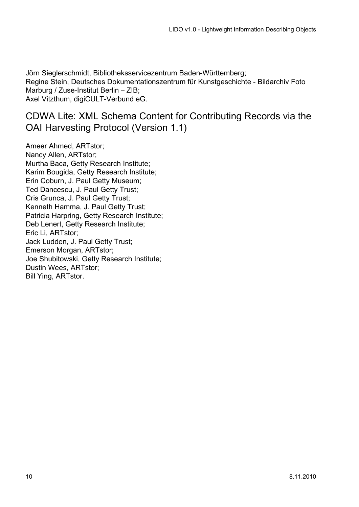Jörn Sieglerschmidt, Bibliotheksservicezentrum Baden-Württemberg; Regine Stein, Deutsches Dokumentationszentrum für Kunstgeschichte - Bildarchiv Foto Marburg / Zuse-Institut Berlin – ZIB; Axel Vitzthum, digiCULT-Verbund eG.

### CDWA Lite: XML Schema Content for Contributing Records via the OAI Harvesting Protocol (Version 1.1)

Ameer Ahmed, ARTstor; Nancy Allen, ARTstor; Murtha Baca, Getty Research Institute; Karim Bougida, Getty Research Institute; Erin Coburn, J. Paul Getty Museum; Ted Dancescu, J. Paul Getty Trust; Cris Grunca, J. Paul Getty Trust; Kenneth Hamma, J. Paul Getty Trust; Patricia Harpring, Getty Research Institute; Deb Lenert, Getty Research Institute; Eric Li, ARTstor; Jack Ludden, J. Paul Getty Trust; Emerson Morgan, ARTstor; Joe Shubitowski, Getty Research Institute; Dustin Wees, ARTstor; Bill Ying, ARTstor.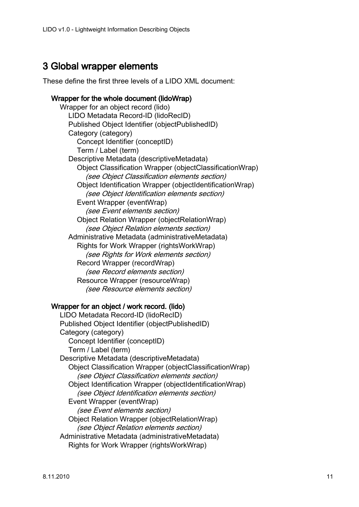### <span id="page-16-0"></span>3 Global wrapper elements

These define the first three levels of a LIDO XML document:

#### [Wrapper for the whole document \(lidoWrap\)](#page-68-0)

[Wrapper for an object record \(lido\)](#page-67-0) [LIDO Metadata Record-ID \(lidoRecID\)](#page-68-0) [Published Object Identifier \(objectPublishedID\)](#page-81-0) [Category \(category\)](#page-35-0) [Concept Identifier \(conceptID\)](#page-38-0) [Term / Label \(term\)](#page-119-0) [Descriptive Metadata \(descriptiveMetadata\)](#page-40-0) [Object Classification Wrapper \(objectClassificationWrap\)](#page-75-0) [\(see Object Classification elements section\)](#page-18-0) [Object Identification Wrapper \(objectIdentificationWrap\)](#page-77-0) [\(see Object Identification elements section\)](#page-19-0) [Event Wrapper \(eventWrap\)](#page-58-0) [\(see Event elements section\)](#page-21-0) [Object Relation Wrapper \(objectRelationWrap\)](#page-81-0) [\(see Object Relation elements section\)](#page-24-0) [Administrative Metadata \(administrativeMetadata\)](#page-33-0) [Rights for Work Wrapper \(rightsWorkWrap\)](#page-108-0) [\(see Rights for Work elements section\)](#page-28-0) [Record Wrapper \(recordWrap\)](#page-92-0) [\(see Record elements section\)](#page-29-0) [Resource Wrapper \(resourceWrap\)](#page-105-0) [\(see Resource elements section\)](#page-30-0)

#### [Wrapper for an object / work record. \(lido\)](#page-67-0)

[LIDO Metadata Record-ID \(lidoRecID\)](#page-68-0) [Published Object Identifier \(objectPublishedID\)](#page-81-0) [Category \(category\)](#page-35-0) [Concept Identifier \(conceptID\)](#page-38-0) [Term / Label \(term\)](#page-119-0) [Descriptive Metadata \(descriptiveMetadata\)](#page-40-0) [Object Classification Wrapper \(objectClassificationWrap\)](#page-75-0) [\(see Object Classification elements section\)](#page-18-0) [Object Identification Wrapper \(objectIdentificationWrap\)](#page-77-0) [\(see Object Identification elements section\)](#page-19-0) [Event Wrapper \(eventWrap\)](#page-58-0) [\(see Event elements section\)](#page-21-0) [Object Relation Wrapper \(objectRelationWrap\)](#page-81-0) [\(see Object Relation elements section\)](#page-24-0) [Administrative Metadata \(administrativeMetadata\)](#page-33-0) [Rights for Work Wrapper \(rightsWorkWrap\)](#page-108-0)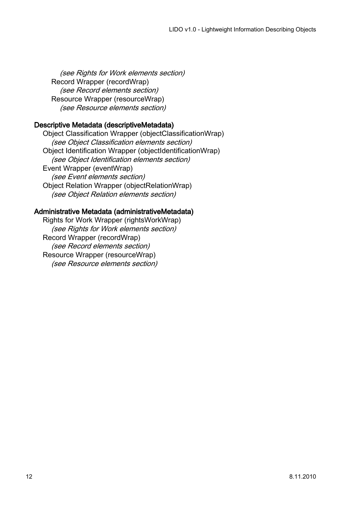[\(see Rights for Work elements section\)](#page-28-0) [Record Wrapper \(recordWrap\)](#page-92-0) [\(see Record elements section\)](#page-29-0) [Resource Wrapper \(resourceWrap\)](#page-105-0) [\(see Resource elements section\)](#page-30-0)

#### [Descriptive Metadata \(descriptiveMetadata\)](#page-40-0)

[Object Classification Wrapper \(objectClassificationWrap\)](#page-75-0) [\(see Object Classification elements section\)](#page-18-0) [Object Identification Wrapper \(objectIdentificationWrap\)](#page-77-0) [\(see Object Identification elements section\)](#page-19-0) [Event Wrapper \(eventWrap\)](#page-58-0) [\(see Event elements section\)](#page-21-0) [Object Relation Wrapper \(objectRelationWrap\)](#page-81-0) [\(see Object Relation elements section\)](#page-24-0)

#### [Administrative Metadata \(administrativeMetadata\)](#page-33-0)

[Rights for Work Wrapper \(rightsWorkWrap\)](#page-108-0) [\(see Rights for Work elements section\)](#page-28-0) [Record Wrapper \(recordWrap\)](#page-92-0) [\(see Record elements section\)](#page-29-0) [Resource Wrapper \(resourceWrap\)](#page-105-0) [\(see Resource elements section\)](#page-30-0)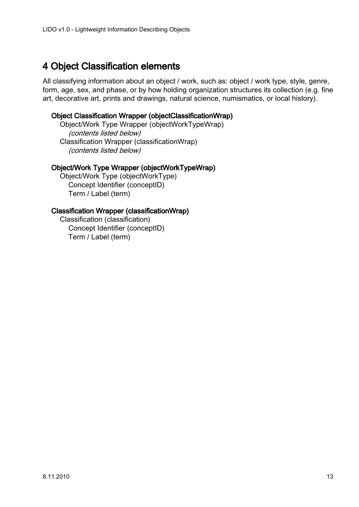## <span id="page-18-0"></span>4 Object Classification elements

All classifying information about an object / work, such as: object / work type, style, genre, form, age, sex, and phase, or by how holding organization structures its collection (e.g. fine art, decorative art, prints and drawings, natural science, numismatics, or local history).

#### [Object Classification Wrapper \(objectClassificationWrap\)](#page-75-0)

[Object/Work Type Wrapper \(objectWorkTypeWrap\)](#page-83-0) (contents listed below) [Classification Wrapper \(classificationWrap\)](#page-37-0) (contents listed below)

#### [Object/Work Type Wrapper \(objectWorkTypeWrap\)](#page-83-0)

[Object/Work Type \(objectWorkType\)](#page-82-0) [Concept Identifier \(conceptID\)](#page-38-0) [Term / Label \(term\)](#page-119-0)

#### [Classification Wrapper \(classificationWrap\)](#page-37-0)

[Classification \(classification\)](#page-36-0) [Concept Identifier \(conceptID\)](#page-38-0) [Term / Label \(term\)](#page-119-0)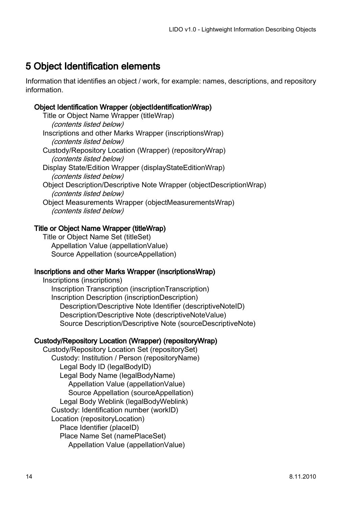# <span id="page-19-0"></span>5 Object Identification elements

Information that identifies an object / work, for example: names, descriptions, and repository information.

#### [Object Identification Wrapper \(objectIdentificationWrap\)](#page-77-0)

| Title or Object Name Wrapper (titleWrap)                            |
|---------------------------------------------------------------------|
| (contents listed below)                                             |
| Inscriptions and other Marks Wrapper (inscriptions Wrap)            |
| (contents listed below)                                             |
| Custody/Repository Location (Wrapper) (repository Wrap)             |
| (contents listed below)                                             |
| Display State/Edition Wrapper (displayStateEditionWrap)             |
| (contents listed below)                                             |
| Object Description/Descriptive Note Wrapper (objectDescriptionWrap) |
| (contents listed below)                                             |
| Object Measurements Wrapper (objectMeasurementsWrap)                |
| (contents listed below)                                             |

#### [Title or Object Name Wrapper \(titleWrap\)](#page-121-0)

[Title or Object Name Set \(titleSet\)](#page-121-0) [Appellation Value \(appellationValue\)](#page-34-0) [Source Appellation \(sourceAppellation\)](#page-111-0)

#### [Inscriptions and other Marks Wrapper \(inscriptionsWrap\)](#page-64-0)

[Inscriptions \(inscriptions\)](#page-63-0) [Inscription Transcription \(inscriptionTranscription\)](#page-64-0) [Inscription Description \(inscriptionDescription\)](#page-63-0) [Description/Descriptive Note Identifier \(descriptiveNoteID\)](#page-41-0) [Description/Descriptive Note \(descriptiveNoteValue\)](#page-42-0) [Source Description/Descriptive Note \(sourceDescriptiveNote\)](#page-112-0)

#### [Custody/Repository Location \(Wrapper\) \(repositoryWrap\)](#page-99-0)

[Custody/Repository Location Set \(repositorySet\)](#page-98-0) [Custody: Institution / Person \(repositoryName\)](#page-97-0) [Legal Body ID \(legalBodyID\)](#page-66-0) [Legal Body Name \(legalBodyName\)](#page-66-0) [Appellation Value \(appellationValue\)](#page-34-0) [Source Appellation \(sourceAppellation\)](#page-111-0) [Legal Body Weblink \(legalBodyWeblink\)](#page-67-0) [Custody: Identification number \(workID\)](#page-123-0) [Location \(repositoryLocation\)](#page-97-0) [Place Identifier \(placeID\)](#page-86-0) [Place Name Set \(namePlaceSet\)](#page-73-0) [Appellation Value \(appellationValue\)](#page-34-0)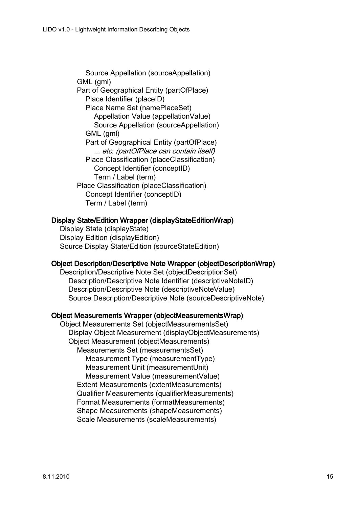<span id="page-20-0"></span>[Source Appellation \(sourceAppellation\)](#page-111-0) [GML \(gml\)](#page-62-0) [Part of Geographical Entity \(partOfPlace\)](#page-83-0) [Place Identifier \(placeID\)](#page-86-0) [Place Name Set \(namePlaceSet\)](#page-73-0) [Appellation Value \(appellationValue\)](#page-34-0) [Source Appellation \(sourceAppellation\)](#page-111-0) [GML \(gml\)](#page-62-0) [Part of Geographical Entity \(partOfPlace\)](#page-83-0) ... etc. (partOfPlace can contain itself) [Place Classification \(placeClassification\)](#page-85-0) [Concept Identifier \(conceptID\)](#page-38-0) [Term / Label \(term\)](#page-119-0) [Place Classification \(placeClassification\)](#page-85-0) [Concept Identifier \(conceptID\)](#page-38-0) [Term / Label \(term\)](#page-119-0)

#### [Display State/Edition Wrapper \(displayStateEditionWrap\)](#page-49-0)

[Display State \(displayState\)](#page-48-0) [Display Edition \(displayEdition\)](#page-45-0) [Source Display State/Edition \(sourceStateEdition\)](#page-113-0)

#### [Object Description/Descriptive Note Wrapper \(objectDescriptionWrap\)](#page-76-0)

[Description/Descriptive Note Set \(objectDescriptionSet\)](#page-76-0) [Description/Descriptive Note Identifier \(descriptiveNoteID\)](#page-41-0) [Description/Descriptive Note \(descriptiveNoteValue\)](#page-42-0) [Source Description/Descriptive Note \(sourceDescriptiveNote\)](#page-112-0)

#### [Object Measurements Wrapper \(objectMeasurementsWrap\)](#page-79-0)

[Object Measurements Set \(objectMeasurementsSet\)](#page-79-0) [Display Object Measurement \(displayObjectMeasurements\)](#page-47-0) [Object Measurement \(objectMeasurements\)](#page-78-0) [Measurements Set \(measurementsSet\)](#page-70-0) [Measurement Type \(measurementType\)](#page-71-0) [Measurement Unit \(measurementUnit\)](#page-71-0) [Measurement Value \(measurementValue\)](#page-72-0) [Extent Measurements \(extentMeasurements\)](#page-60-0) [Qualifier Measurements \(qualifierMeasurements\)](#page-87-0) [Format Measurements \(formatMeasurements\)](#page-61-0) [Shape Measurements \(shapeMeasurements\)](#page-111-0) [Scale Measurements \(scaleMeasurements\)](#page-110-0)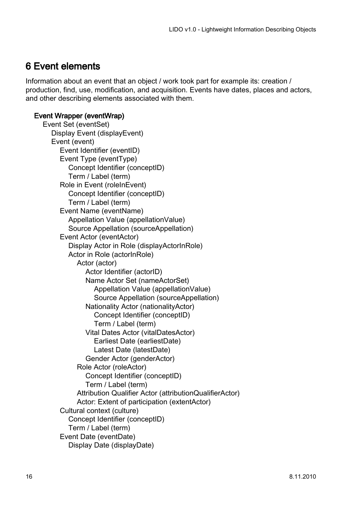### <span id="page-21-0"></span>6 Event elements

Information about an event that an object / work took part for example its: creation / production, find, use, modification, and acquisition. Events have dates, places and actors, and other describing elements associated with them.

#### [Event Wrapper \(eventWrap\)](#page-58-0)

[Event Set \(eventSet\)](#page-56-0) [Display Event \(displayEvent\)](#page-45-0) [Event \(event\)](#page-51-0) [Event Identifier \(eventID\)](#page-53-0) [Event Type \(eventType\)](#page-57-0) [Concept Identifier \(conceptID\)](#page-38-0) [Term / Label \(term\)](#page-119-0) [Role in Event \(roleInEvent\)](#page-109-0) [Concept Identifier \(conceptID\)](#page-38-0) [Term / Label \(term\)](#page-119-0) [Event Name \(eventName\)](#page-55-0) [Appellation Value \(appellationValue\)](#page-34-0) [Source Appellation \(sourceAppellation\)](#page-111-0) [Event Actor \(eventActor\)](#page-52-0) [Display Actor in Role \(displayActorInRole\)](#page-43-0) [Actor in Role \(actorInRole\)](#page-33-0) [Actor \(actor\)](#page-32-0) [Actor Identifier \(actorID\)](#page-32-0) [Name Actor Set \(nameActorSet\)](#page-72-0) [Appellation Value \(appellationValue\)](#page-34-0) [Source Appellation \(sourceAppellation\)](#page-111-0) [Nationality Actor \(nationalityActor\)](#page-74-0) [Concept Identifier \(conceptID\)](#page-38-0) [Term / Label \(term\)](#page-119-0) [Vital Dates Actor \(vitalDatesActor\)](#page-122-0) [Earliest Date \(earliestDate\)](#page-50-0) [Latest Date \(latestDate\)](#page-65-0) [Gender Actor \(genderActor\)](#page-61-0) [Role Actor \(roleActor\)](#page-109-0) [Concept Identifier \(conceptID\)](#page-38-0) [Term / Label \(term\)](#page-119-0) [Attribution Qualifier Actor \(attributionQualifierActor\)](#page-35-0) [Actor: Extent of participation \(extentActor\)](#page-58-0) [Cultural context \(culture\)](#page-39-0) [Concept Identifier \(conceptID\)](#page-38-0) [Term / Label \(term\)](#page-119-0) [Event Date \(eventDate\)](#page-52-0) [Display Date \(displayDate\)](#page-44-0)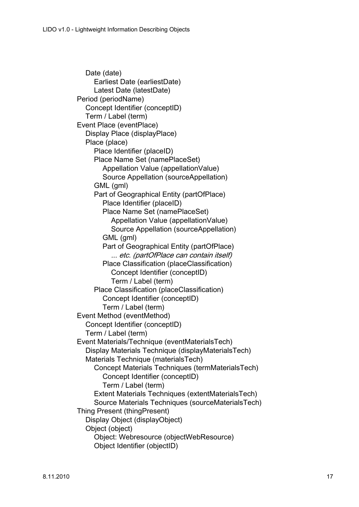[Date \(date\)](#page-40-0) [Earliest Date \(earliestDate\)](#page-50-0) [Latest Date \(latestDate\)](#page-65-0) [Period \(periodName\)](#page-84-0) [Concept Identifier \(conceptID\)](#page-38-0) [Term / Label \(term\)](#page-119-0) [Event Place \(eventPlace\)](#page-56-0) [Display Place \(displayPlace\)](#page-48-0) [Place \(place\)](#page-85-0) [Place Identifier \(placeID\)](#page-86-0) [Place Name Set \(namePlaceSet\)](#page-73-0) [Appellation Value \(appellationValue\)](#page-34-0) [Source Appellation \(sourceAppellation\)](#page-111-0) [GML \(gml\)](#page-62-0) [Part of Geographical Entity \(partOfPlace\)](#page-83-0) [Place Identifier \(placeID\)](#page-86-0) [Place Name Set \(namePlaceSet\)](#page-73-0) [Appellation Value \(appellationValue\)](#page-34-0) [Source Appellation \(sourceAppellation\)](#page-111-0) [GML \(gml\)](#page-62-0) [Part of Geographical Entity \(partOfPlace\)](#page-83-0) ... etc. (partOfPlace can contain itself) [Place Classification \(placeClassification\)](#page-85-0) [Concept Identifier \(conceptID\)](#page-38-0) [Term / Label \(term\)](#page-119-0) [Place Classification \(placeClassification\)](#page-85-0) [Concept Identifier \(conceptID\)](#page-38-0) [Term / Label \(term\)](#page-119-0) [Event Method \(eventMethod\)](#page-55-0) [Concept Identifier \(conceptID\)](#page-38-0) [Term / Label \(term\)](#page-119-0) [Event Materials/Technique \(eventMaterialsTech\)](#page-54-0) [Display Materials Technique \(displayMaterialsTech\)](#page-46-0) [Materials Technique \(materialsTech\)](#page-69-0) [Concept Materials Techniques \(termMaterialsTech\)](#page-120-0) [Concept Identifier \(conceptID\)](#page-38-0) [Term / Label \(term\)](#page-119-0) [Extent Materials Techniques \(extentMaterialsTech\)](#page-59-0) [Source Materials Techniques \(sourceMaterialsTech\)](#page-112-0) [Thing Present \(thingPresent\)](#page-120-0) [Display Object \(displayObject\)](#page-47-0) [Object \(object\)](#page-75-0) [Object: Webresource \(objectWebResource\)](#page-82-0) [Object Identifier \(objectID\)](#page-77-0)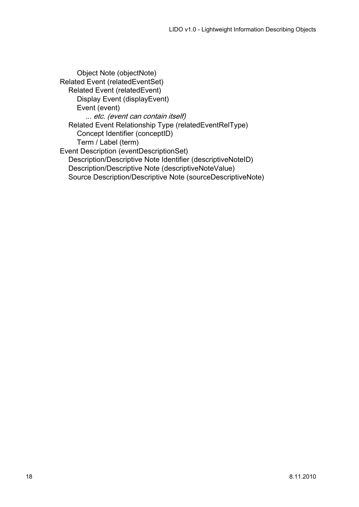[Object Note \(objectNote\)](#page-80-0) [Related Event \(relatedEventSet\)](#page-94-0) [Related Event \(relatedEvent\)](#page-92-0) [Display Event \(displayEvent\)](#page-45-0) [Event \(event\)](#page-51-0) ... etc. (event can contain itself) [Related Event Relationship Type \(relatedEventRelType\)](#page-93-0) [Concept Identifier \(conceptID\)](#page-38-0) [Term / Label \(term\)](#page-119-0) [Event Description \(eventDescriptionSet\)](#page-53-0) [Description/Descriptive Note Identifier \(descriptiveNoteID\)](#page-41-0) [Description/Descriptive Note \(descriptiveNoteValue\)](#page-42-0) [Source Description/Descriptive Note \(sourceDescriptiveNote\)](#page-112-0)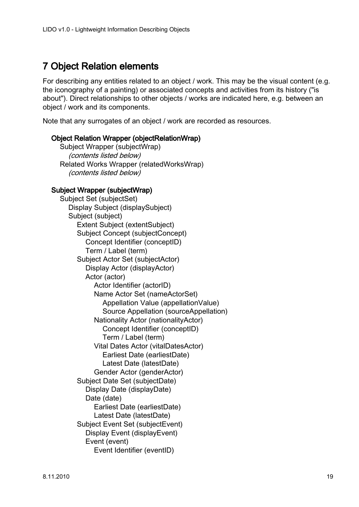### <span id="page-24-0"></span>7 Object Relation elements

For describing any entities related to an object / work. This may be the visual content (e.g. the iconography of a painting) or associated concepts and activities from its history ("is about"). Direct relationships to other objects / works are indicated here, e.g. between an object / work and its components.

Note that any surrogates of an object / work are recorded as resources.

#### [Object Relation Wrapper \(objectRelationWrap\)](#page-81-0)

[Subject Wrapper \(subjectWrap\)](#page-118-0) (contents listed below) [Related Works Wrapper \(relatedWorksWrap\)](#page-96-0) [\(contents listed below\)](#page-27-0)

#### [Subject Wrapper \(subjectWrap\)](#page-118-0)

[Subject Set \(subjectSet\)](#page-118-0) [Display Subject \(displaySubject\)](#page-50-0) [Subject \(subject\)](#page-113-0) [Extent Subject \(extentSubject\)](#page-60-0) [Subject Concept \(subjectConcept\)](#page-115-0) [Concept Identifier \(conceptID\)](#page-38-0) [Term / Label \(term\)](#page-119-0) [Subject Actor Set \(subjectActor\)](#page-114-0) [Display Actor \(displayActor\)](#page-42-0) [Actor \(actor\)](#page-32-0) [Actor Identifier \(actorID\)](#page-32-0) [Name Actor Set \(nameActorSet\)](#page-72-0) [Appellation Value \(appellationValue\)](#page-34-0) [Source Appellation \(sourceAppellation\)](#page-111-0) [Nationality Actor \(nationalityActor\)](#page-74-0) [Concept Identifier \(conceptID\)](#page-38-0) [Term / Label \(term\)](#page-119-0) [Vital Dates Actor \(vitalDatesActor\)](#page-122-0) [Earliest Date \(earliestDate\)](#page-50-0) [Latest Date \(latestDate\)](#page-65-0) [Gender Actor \(genderActor\)](#page-61-0) [Subject Date Set \(subjectDate\)](#page-115-0) [Display Date \(displayDate\)](#page-44-0) [Date \(date\)](#page-40-0) [Earliest Date \(earliestDate\)](#page-50-0) [Latest Date \(latestDate\)](#page-65-0) [Subject Event Set \(subjectEvent\)](#page-116-0) [Display Event \(displayEvent\)](#page-45-0) [Event \(event\)](#page-51-0) [Event Identifier \(eventID\)](#page-53-0)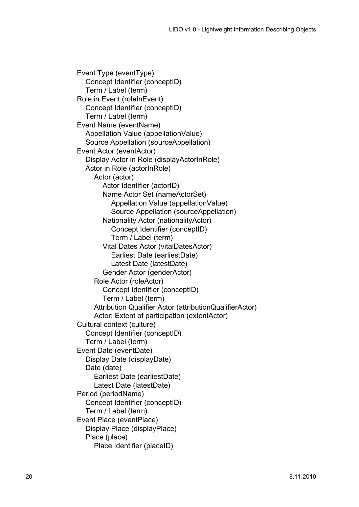[Event Type \(eventType\)](#page-57-0) [Concept Identifier \(conceptID\)](#page-38-0) [Term / Label \(term\)](#page-119-0) [Role in Event \(roleInEvent\)](#page-109-0) [Concept Identifier \(conceptID\)](#page-38-0) [Term / Label \(term\)](#page-119-0) [Event Name \(eventName\)](#page-55-0) [Appellation Value \(appellationValue\)](#page-34-0) [Source Appellation \(sourceAppellation\)](#page-111-0) [Event Actor \(eventActor\)](#page-52-0) [Display Actor in Role \(displayActorInRole\)](#page-43-0) [Actor in Role \(actorInRole\)](#page-33-0) [Actor \(actor\)](#page-32-0) [Actor Identifier \(actorID\)](#page-32-0) [Name Actor Set \(nameActorSet\)](#page-72-0) [Appellation Value \(appellationValue\)](#page-34-0) [Source Appellation \(sourceAppellation\)](#page-111-0) [Nationality Actor \(nationalityActor\)](#page-74-0) [Concept Identifier \(conceptID\)](#page-38-0) [Term / Label \(term\)](#page-119-0) [Vital Dates Actor \(vitalDatesActor\)](#page-122-0) [Earliest Date \(earliestDate\)](#page-50-0) [Latest Date \(latestDate\)](#page-65-0) [Gender Actor \(genderActor\)](#page-61-0) [Role Actor \(roleActor\)](#page-109-0) [Concept Identifier \(conceptID\)](#page-38-0) [Term / Label \(term\)](#page-119-0) [Attribution Qualifier Actor \(attributionQualifierActor\)](#page-35-0) [Actor: Extent of participation \(extentActor\)](#page-58-0) [Cultural context \(culture\)](#page-39-0) [Concept Identifier \(conceptID\)](#page-38-0) [Term / Label \(term\)](#page-119-0) [Event Date \(eventDate\)](#page-52-0) [Display Date \(displayDate\)](#page-44-0) [Date \(date\)](#page-40-0) [Earliest Date \(earliestDate\)](#page-50-0) [Latest Date \(latestDate\)](#page-65-0) [Period \(periodName\)](#page-84-0) [Concept Identifier \(conceptID\)](#page-38-0) [Term / Label \(term\)](#page-119-0) [Event Place \(eventPlace\)](#page-56-0) [Display Place \(displayPlace\)](#page-48-0) [Place \(place\)](#page-85-0) [Place Identifier \(placeID\)](#page-86-0)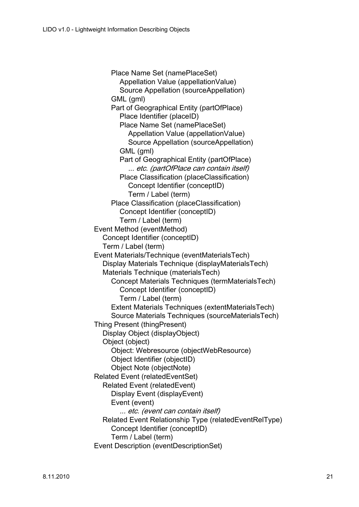[Place Name Set \(namePlaceSet\)](#page-73-0) [Appellation Value \(appellationValue\)](#page-34-0) [Source Appellation \(sourceAppellation\)](#page-111-0) [GML \(gml\)](#page-62-0) [Part of Geographical Entity \(partOfPlace\)](#page-83-0) [Place Identifier \(placeID\)](#page-86-0) [Place Name Set \(namePlaceSet\)](#page-73-0) [Appellation Value \(appellationValue\)](#page-34-0) [Source Appellation \(sourceAppellation\)](#page-111-0) [GML \(gml\)](#page-62-0) [Part of Geographical Entity \(partOfPlace\)](#page-83-0) ... etc. (partOfPlace can contain itself) [Place Classification \(placeClassification\)](#page-85-0) [Concept Identifier \(conceptID\)](#page-38-0) [Term / Label \(term\)](#page-119-0) [Place Classification \(placeClassification\)](#page-85-0) [Concept Identifier \(conceptID\)](#page-38-0) [Term / Label \(term\)](#page-119-0) [Event Method \(eventMethod\)](#page-55-0) [Concept Identifier \(conceptID\)](#page-38-0) [Term / Label \(term\)](#page-119-0) [Event Materials/Technique \(eventMaterialsTech\)](#page-54-0) [Display Materials Technique \(displayMaterialsTech\)](#page-46-0) [Materials Technique \(materialsTech\)](#page-69-0) [Concept Materials Techniques \(termMaterialsTech\)](#page-120-0) [Concept Identifier \(conceptID\)](#page-38-0) [Term / Label \(term\)](#page-119-0) [Extent Materials Techniques \(extentMaterialsTech\)](#page-59-0) [Source Materials Techniques \(sourceMaterialsTech\)](#page-112-0) [Thing Present \(thingPresent\)](#page-120-0) [Display Object \(displayObject\)](#page-47-0) [Object \(object\)](#page-75-0) [Object: Webresource \(objectWebResource\)](#page-82-0) [Object Identifier \(objectID\)](#page-77-0) [Object Note \(objectNote\)](#page-80-0) [Related Event \(relatedEventSet\)](#page-94-0) [Related Event \(relatedEvent\)](#page-92-0) [Display Event \(displayEvent\)](#page-45-0) [Event \(event\)](#page-51-0) ... etc. (event can contain itself) [Related Event Relationship Type \(relatedEventRelType\)](#page-93-0) [Concept Identifier \(conceptID\)](#page-38-0) [Term / Label \(term\)](#page-119-0) [Event Description \(eventDescriptionSet\)](#page-53-0)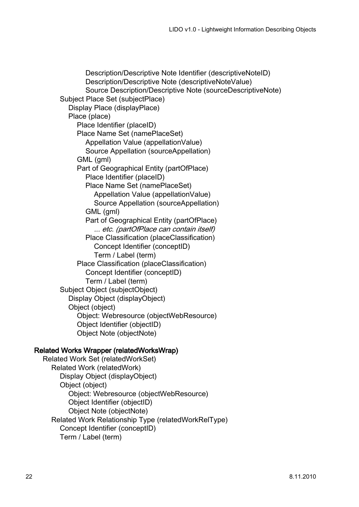```
Description/Descriptive Note Identifier (descriptiveNoteID)
       Description/Descriptive Note (descriptiveNoteValue)
       Source Description/Descriptive Note (sourceDescriptiveNote)
Subject Place Set (subjectPlace)
  Display Place (displayPlace)
  Place (place)
     Place Identifier (placeID)
     Place Name Set (namePlaceSet)
       Appellation Value (appellationValue)
       Source Appellation (sourceAppellation)
     GML (gml)
     Part of Geographical Entity (partOfPlace)
       Place Identifier (placeID)
       Place Name Set (namePlaceSet)
          Appellation Value (appellationValue)
          Source Appellation (sourceAppellation)
       GML (gml)
       Part of Geographical Entity (partOfPlace)
          ... etc. (partOfPlace can contain itself)
       Place Classification (placeClassification)
          Concept Identifier (conceptID)
          Term / Label (term)
     Place Classification (placeClassification)
       Concept Identifier (conceptID)
       Term / Label (term)
Subject Object (subjectObject)
  Display Object (displayObject)
  Object (object)
     Object: Webresource (objectWebResource)
     Object Identifier (objectID)
     Object Note (objectNote)
```
#### [Related Works Wrapper \(relatedWorksWrap\)](#page-96-0)

[Related Work Set \(relatedWorkSet\)](#page-96-0) [Related Work \(relatedWork\)](#page-94-0) [Display Object \(displayObject\)](#page-47-0) [Object \(object\)](#page-75-0) [Object: Webresource \(objectWebResource\)](#page-82-0) [Object Identifier \(objectID\)](#page-77-0) [Object Note \(objectNote\)](#page-80-0) [Related Work Relationship Type \(relatedWorkRelType\)](#page-95-0) [Concept Identifier \(conceptID\)](#page-38-0) [Term / Label \(term\)](#page-119-0)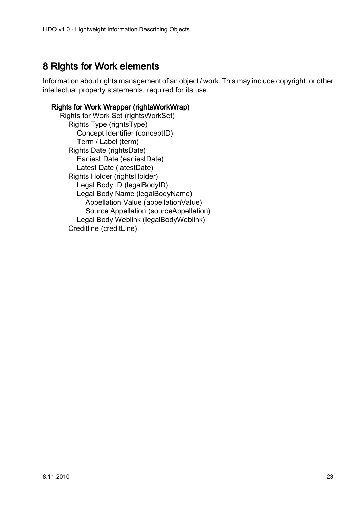# <span id="page-28-0"></span>8 Rights for Work elements

Information about rights management of an object / work. This may include copyright, or other intellectual property statements, required for its use.

#### [Rights for Work Wrapper \(rightsWorkWrap\)](#page-108-0)

[Rights for Work Set \(rightsWorkSet\)](#page-108-0) [Rights Type \(rightsType\)](#page-107-0) [Concept Identifier \(conceptID\)](#page-38-0) [Term / Label \(term\)](#page-119-0) [Rights Date \(rightsDate\)](#page-105-0) [Earliest Date \(earliestDate\)](#page-50-0) [Latest Date \(latestDate\)](#page-65-0) [Rights Holder \(rightsHolder\)](#page-106-0) [Legal Body ID \(legalBodyID\)](#page-66-0) [Legal Body Name \(legalBodyName\)](#page-66-0) [Appellation Value \(appellationValue\)](#page-34-0) [Source Appellation \(sourceAppellation\)](#page-111-0) [Legal Body Weblink \(legalBodyWeblink\)](#page-67-0) [Creditline \(creditLine\)](#page-38-0)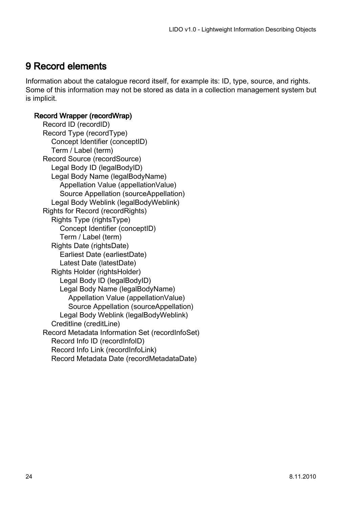## <span id="page-29-0"></span>9 Record elements

Information about the catalogue record itself, for example its: ID, type, source, and rights. Some of this information may not be stored as data in a collection management system but is implicit.

#### [Record Wrapper \(recordWrap\)](#page-92-0)

```
Record ID (recordID)
Record Type (recordType)
  Concept Identifier (conceptID)
  Term / Label (term)
Record Source (recordSource)
  Legal Body ID (legalBodyID)
  Legal Body Name (legalBodyName)
     Appellation Value (appellationValue)
     Source Appellation (sourceAppellation)
  Legal Body Weblink (legalBodyWeblink)
Rights for Record (recordRights)
  Rights Type (rightsType)
     Concept Identifier (conceptID)
     Term / Label (term)
  Rights Date (rightsDate)
     Earliest Date (earliestDate)
     Latest Date (latestDate)
  Rights Holder (rightsHolder)
     Legal Body ID (legalBodyID)
     Legal Body Name (legalBodyName)
       Appellation Value (appellationValue)
       Source Appellation (sourceAppellation)
     Legal Body Weblink (legalBodyWeblink)
  Creditline (creditLine)
Record Metadata Information Set (recordInfoSet)
  Record Info ID (recordInfoID)
  Record Info Link (recordInfoLink)
  Record Metadata Date (recordMetadataDate)
```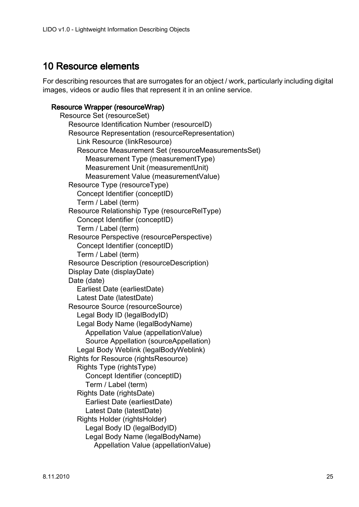### <span id="page-30-0"></span>10 Resource elements

For describing resources that are surrogates for an object / work, particularly including digital images, videos or audio files that represent it in an online service.

#### [Resource Wrapper \(resourceWrap\)](#page-105-0)

[Resource Set \(resourceSet\)](#page-103-0) [Resource Identification Number \(resourceID\)](#page-100-0) [Resource Representation \(resourceRepresentation\)](#page-102-0) [Link Resource \(linkResource\)](#page-69-0) [Resource Measurement Set \(resourceMeasurementsSet\)](#page-100-0) [Measurement Type \(measurementType\)](#page-71-0) [Measurement Unit \(measurementUnit\)](#page-71-0) [Measurement Value \(measurementValue\)](#page-72-0) [Resource Type \(resourceType\)](#page-104-0) [Concept Identifier \(conceptID\)](#page-38-0) [Term / Label \(term\)](#page-119-0) [Resource Relationship Type \(resourceRelType\)](#page-101-0) [Concept Identifier \(conceptID\)](#page-38-0) [Term / Label \(term\)](#page-119-0) [Resource Perspective \(resourcePerspective\)](#page-101-0) [Concept Identifier \(conceptID\)](#page-38-0) [Term / Label \(term\)](#page-119-0) [Resource Description \(resourceDescription\)](#page-99-0) [Display Date \(displayDate\)](#page-44-0) [Date \(date\)](#page-40-0) [Earliest Date \(earliestDate\)](#page-50-0) [Latest Date \(latestDate\)](#page-65-0) [Resource Source \(resourceSource\)](#page-103-0) [Legal Body ID \(legalBodyID\)](#page-66-0) [Legal Body Name \(legalBodyName\)](#page-66-0) [Appellation Value \(appellationValue\)](#page-34-0) [Source Appellation \(sourceAppellation\)](#page-111-0) [Legal Body Weblink \(legalBodyWeblink\)](#page-67-0) [Rights for Resource \(rightsResource\)](#page-106-0) [Rights Type \(rightsType\)](#page-107-0) [Concept Identifier \(conceptID\)](#page-38-0) [Term / Label \(term\)](#page-119-0) [Rights Date \(rightsDate\)](#page-105-0) [Earliest Date \(earliestDate\)](#page-50-0) [Latest Date \(latestDate\)](#page-65-0) [Rights Holder \(rightsHolder\)](#page-106-0) [Legal Body ID \(legalBodyID\)](#page-66-0) [Legal Body Name \(legalBodyName\)](#page-66-0) [Appellation Value \(appellationValue\)](#page-34-0)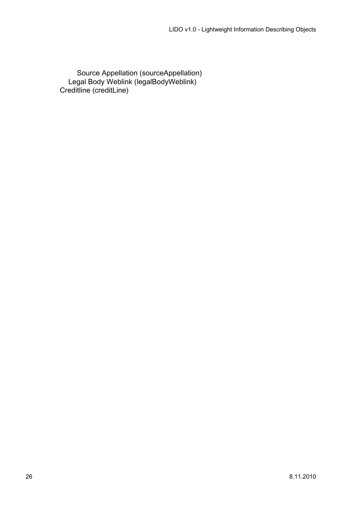[Source Appellation \(sourceAppellation\)](#page-111-0) [Legal Body Weblink \(legalBodyWeblink\)](#page-67-0) [Creditline \(creditLine\)](#page-38-0)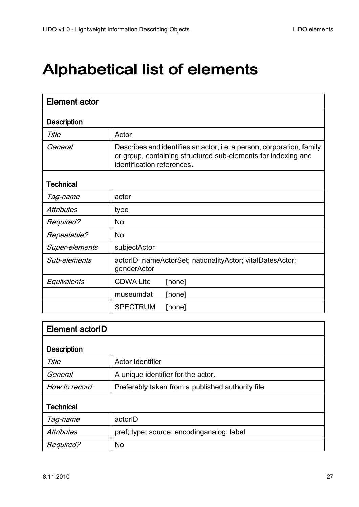# <span id="page-32-0"></span>Alphabetical list of elements

| <b>Element actor</b> |                                                                                                                                                                      |
|----------------------|----------------------------------------------------------------------------------------------------------------------------------------------------------------------|
| <b>Description</b>   |                                                                                                                                                                      |
| Title                | Actor                                                                                                                                                                |
| General              | Describes and identifies an actor, i.e. a person, corporation, family<br>or group, containing structured sub-elements for indexing and<br>identification references. |
| <b>Technical</b>     |                                                                                                                                                                      |
| Tag-name             | actor                                                                                                                                                                |
| <b>Attributes</b>    | type                                                                                                                                                                 |
| Required?            | <b>No</b>                                                                                                                                                            |
| Repeatable?          | <b>No</b>                                                                                                                                                            |
| Super-elements       | subjectActor                                                                                                                                                         |
| Sub-elements         | actorID; nameActorSet; nationalityActor; vitalDatesActor;<br>genderActor                                                                                             |
| Equivalents          | <b>CDWA Lite</b><br>[none]                                                                                                                                           |
|                      | museumdat<br>[none]                                                                                                                                                  |
|                      | <b>SPECTRUM</b><br>[none]                                                                                                                                            |
|                      |                                                                                                                                                                      |

| Element actorID    |                                                   |
|--------------------|---------------------------------------------------|
| <b>Description</b> |                                                   |
| Title              | <b>Actor Identifier</b>                           |
| General            | A unique identifier for the actor.                |
| How to record      | Preferably taken from a published authority file. |
| <b>Technical</b>   |                                                   |
| Tag-name           | actorID                                           |
| <b>Attributes</b>  | pref; type; source; encodinganalog; label         |
| Required?          | <b>No</b>                                         |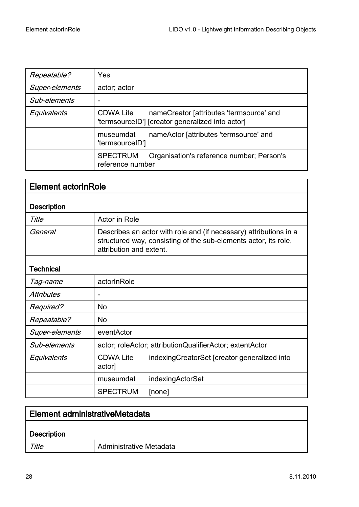<span id="page-33-0"></span>

| Repeatable?    | Yes                                                                                                              |
|----------------|------------------------------------------------------------------------------------------------------------------|
| Super-elements | actor; actor                                                                                                     |
| Sub-elements   |                                                                                                                  |
| Equivalents    | <b>CDWA Lite</b><br>nameCreator [attributes 'termsource' and<br>'termsourceID'] [creator generalized into actor] |
|                | nameActor [attributes 'termsource' and<br>museumdat<br>'termsourceID']                                           |
|                | <b>SPECTRUM</b><br>Organisation's reference number; Person's<br>reference number                                 |

| <b>Element actorInRole</b> |                                                                                                                                                                 |  |
|----------------------------|-----------------------------------------------------------------------------------------------------------------------------------------------------------------|--|
| <b>Description</b>         |                                                                                                                                                                 |  |
| Title                      | Actor in Role                                                                                                                                                   |  |
| General                    | Describes an actor with role and (if necessary) attributions in a<br>structured way, consisting of the sub-elements actor, its role,<br>attribution and extent. |  |
| <b>Technical</b>           |                                                                                                                                                                 |  |
| Tag-name                   | actorInRole                                                                                                                                                     |  |
| <b>Attributes</b>          |                                                                                                                                                                 |  |
| Required?                  | No                                                                                                                                                              |  |
| Repeatable?                | <b>No</b>                                                                                                                                                       |  |
| Super-elements             | eventActor                                                                                                                                                      |  |
| Sub-elements               | actor; roleActor; attributionQualifierActor; extentActor                                                                                                        |  |
| Equivalents                | <b>CDWA Lite</b><br>indexing Creator Set [creator generalized into<br>actor]                                                                                    |  |
|                            | museumdat<br>indexingActorSet                                                                                                                                   |  |
|                            | <b>SPECTRUM</b><br>[none]                                                                                                                                       |  |

| Element administrativeMetadata |                         |  |
|--------------------------------|-------------------------|--|
| <b>Description</b>             |                         |  |
| Title                          | Administrative Metadata |  |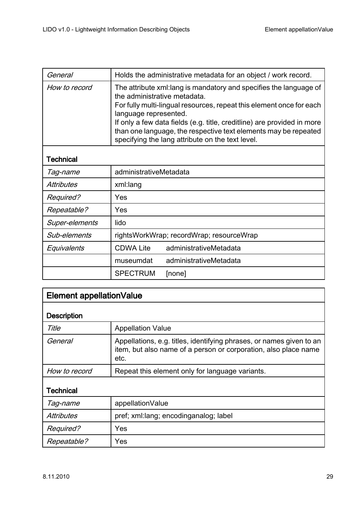<span id="page-34-0"></span>

| General        | Holds the administrative metadata for an object / work record.                                                                                                                                                                                                                                                                                                                                        |  |
|----------------|-------------------------------------------------------------------------------------------------------------------------------------------------------------------------------------------------------------------------------------------------------------------------------------------------------------------------------------------------------------------------------------------------------|--|
| How to record  | The attribute xml: lang is mandatory and specifies the language of<br>the administrative metadata.<br>For fully multi-lingual resources, repeat this element once for each<br>language represented.<br>If only a few data fields (e.g. title, creditline) are provided in more<br>than one language, the respective text elements may be repeated<br>specifying the lang attribute on the text level. |  |
| Technical      |                                                                                                                                                                                                                                                                                                                                                                                                       |  |
| Tag-name       | administrativeMetadata                                                                                                                                                                                                                                                                                                                                                                                |  |
| Attributes     | xml:lang                                                                                                                                                                                                                                                                                                                                                                                              |  |
| Required?      | Yes                                                                                                                                                                                                                                                                                                                                                                                                   |  |
| Repeatable?    | Yes                                                                                                                                                                                                                                                                                                                                                                                                   |  |
| Super-elements | lido                                                                                                                                                                                                                                                                                                                                                                                                  |  |
| Sub-elements   | rightsWorkWrap; recordWrap; resourceWrap                                                                                                                                                                                                                                                                                                                                                              |  |
| Equivalents    | <b>CDWA Lite</b><br>administrativeMetadata                                                                                                                                                                                                                                                                                                                                                            |  |
|                | administrativeMetadata<br>museumdat                                                                                                                                                                                                                                                                                                                                                                   |  |
|                | <b>SPECTRUM</b><br>[none]                                                                                                                                                                                                                                                                                                                                                                             |  |

# Element appellationValue

#### **Description**

| Title         | <b>Appellation Value</b>                                                                                                                        |
|---------------|-------------------------------------------------------------------------------------------------------------------------------------------------|
| General       | Appellations, e.g. titles, identifying phrases, or names given to an<br>item, but also name of a person or corporation, also place name<br>etc. |
| How to record | Repeat this element only for language variants.                                                                                                 |

#### **Technical**

| Tag-name    | appellationValue                      |
|-------------|---------------------------------------|
| Attributes  | pref; xml:lang; encodinganalog; label |
| Required?   | Yes                                   |
| Repeatable? | Yes                                   |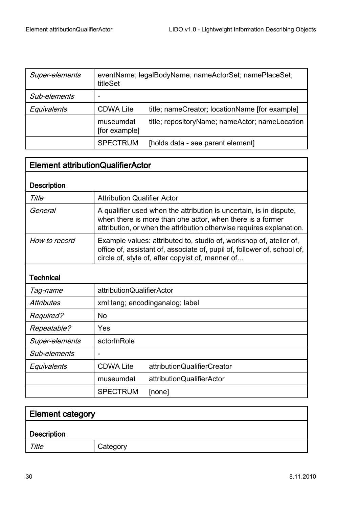<span id="page-35-0"></span>

| Super-elements | titleSet                   | eventName; legalBodyName; nameActorSet; namePlaceSet; |
|----------------|----------------------------|-------------------------------------------------------|
| Sub-elements   |                            |                                                       |
| Equivalents    | <b>CDWA Lite</b>           | title; nameCreator; locationName [for example]        |
|                | museumdat<br>[for example] | title; repositoryName; nameActor; nameLocation        |
|                | <b>SPECTRUM</b>            | [holds data - see parent element]                     |

| <b>Element attributionQualifierActor</b> |                                                                                                                                                                                                         |  |
|------------------------------------------|---------------------------------------------------------------------------------------------------------------------------------------------------------------------------------------------------------|--|
| <b>Description</b>                       |                                                                                                                                                                                                         |  |
| Title                                    | <b>Attribution Qualifier Actor</b>                                                                                                                                                                      |  |
| General                                  | A qualifier used when the attribution is uncertain, is in dispute,<br>when there is more than one actor, when there is a former<br>attribution, or when the attribution otherwise requires explanation. |  |
| How to record                            | Example values: attributed to, studio of, workshop of, atelier of,<br>office of, assistant of, associate of, pupil of, follower of, school of,<br>circle of, style of, after copyist of, manner of      |  |
| <b>Technical</b>                         |                                                                                                                                                                                                         |  |
| Tag-name                                 | attributionQualifierActor                                                                                                                                                                               |  |
| <b>Attributes</b>                        | xml:lang; encodinganalog; label                                                                                                                                                                         |  |
| Required?                                | <b>No</b>                                                                                                                                                                                               |  |
| Repeatable?                              | Yes                                                                                                                                                                                                     |  |
| Super-elements                           | actorInRole                                                                                                                                                                                             |  |
| Sub-elements                             |                                                                                                                                                                                                         |  |
| Equivalents                              | <b>CDWA Lite</b><br>attributionQualifierCreator                                                                                                                                                         |  |
|                                          | attributionQualifierActor<br>museumdat                                                                                                                                                                  |  |
|                                          | <b>SPECTRUM</b><br>[none]                                                                                                                                                                               |  |

| <b>Element category</b> |          |
|-------------------------|----------|
| <b>Description</b>      |          |
| Title                   | Category |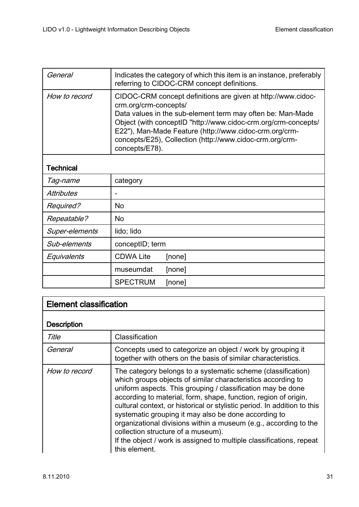<span id="page-36-0"></span>

| General           | Indicates the category of which this item is an instance, preferably<br>referring to CIDOC-CRM concept definitions.                                                                                                                                                                                                                                           |  |
|-------------------|---------------------------------------------------------------------------------------------------------------------------------------------------------------------------------------------------------------------------------------------------------------------------------------------------------------------------------------------------------------|--|
| How to record     | CIDOC-CRM concept definitions are given at http://www.cidoc-<br>crm.org/crm-concepts/<br>Data values in the sub-element term may often be: Man-Made<br>Object (with conceptID "http://www.cidoc-crm.org/crm-concepts/<br>E22"), Man-Made Feature (http://www.cidoc-crm.org/crm-<br>concepts/E25), Collection (http://www.cidoc-crm.org/crm-<br>concepts/E78). |  |
| <b>Technical</b>  |                                                                                                                                                                                                                                                                                                                                                               |  |
| Tag-name          | category                                                                                                                                                                                                                                                                                                                                                      |  |
| <b>Attributes</b> |                                                                                                                                                                                                                                                                                                                                                               |  |
| Required?         | No                                                                                                                                                                                                                                                                                                                                                            |  |
| Repeatable?       | No                                                                                                                                                                                                                                                                                                                                                            |  |
| Super-elements    | lido; lido                                                                                                                                                                                                                                                                                                                                                    |  |
| Sub-elements      | conceptID; term                                                                                                                                                                                                                                                                                                                                               |  |
| Equivalents       | <b>CDWA Lite</b><br>[none]                                                                                                                                                                                                                                                                                                                                    |  |
|                   | museumdat<br>[none]                                                                                                                                                                                                                                                                                                                                           |  |
|                   | <b>SPECTRUM</b><br>[none]                                                                                                                                                                                                                                                                                                                                     |  |

# Element classification

| Title         | Classification                                                                                                                                                                                                                                                                                                                                                                                                                                                                                                                                                                                        |
|---------------|-------------------------------------------------------------------------------------------------------------------------------------------------------------------------------------------------------------------------------------------------------------------------------------------------------------------------------------------------------------------------------------------------------------------------------------------------------------------------------------------------------------------------------------------------------------------------------------------------------|
| General       | Concepts used to categorize an object / work by grouping it<br>together with others on the basis of similar characteristics.                                                                                                                                                                                                                                                                                                                                                                                                                                                                          |
| How to record | The category belongs to a systematic scheme (classification)<br>which groups objects of similar characteristics according to<br>uniform aspects. This grouping / classification may be done<br>according to material, form, shape, function, region of origin,<br>cultural context, or historical or stylistic period. In addition to this<br>systematic grouping it may also be done according to<br>organizational divisions within a museum (e.g., according to the<br>collection structure of a museum).<br>If the object / work is assigned to multiple classifications, repeat<br>this element. |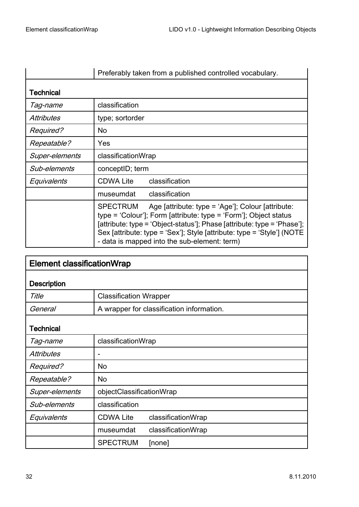|                   | Preferably taken from a published controlled vocabulary.                                                                                                                                                                                                                                                                                            |  |
|-------------------|-----------------------------------------------------------------------------------------------------------------------------------------------------------------------------------------------------------------------------------------------------------------------------------------------------------------------------------------------------|--|
| <b>Technical</b>  |                                                                                                                                                                                                                                                                                                                                                     |  |
| Tag-name          | classification                                                                                                                                                                                                                                                                                                                                      |  |
| <b>Attributes</b> | type; sortorder                                                                                                                                                                                                                                                                                                                                     |  |
| Required?         | No.                                                                                                                                                                                                                                                                                                                                                 |  |
| Repeatable?       | Yes                                                                                                                                                                                                                                                                                                                                                 |  |
| Super-elements    | classificationWrap                                                                                                                                                                                                                                                                                                                                  |  |
| Sub-elements      | conceptID; term                                                                                                                                                                                                                                                                                                                                     |  |
| Equivalents       | CDWA Lite<br>classification                                                                                                                                                                                                                                                                                                                         |  |
|                   | classification<br>museumdat                                                                                                                                                                                                                                                                                                                         |  |
|                   | <b>SPECTRUM</b><br>Age [attribute: type = 'Age']; Colour [attribute:<br>type = 'Colour'];    Form [attribute: type = 'Form'];    Object status<br>[attribute: type = 'Object-status']; Phase [attribute: type = 'Phase'];<br>Sex [attribute: type = 'Sex']; Style [attribute: type = 'Style'] (NOTE<br>- data is mapped into the sub-element: term) |  |

| <b>Element classificationWrap</b> |                                           |                    |
|-----------------------------------|-------------------------------------------|--------------------|
| <b>Description</b>                |                                           |                    |
| Title                             | <b>Classification Wrapper</b>             |                    |
| General                           | A wrapper for classification information. |                    |
| <b>Technical</b>                  |                                           |                    |
| Tag-name                          | classificationWrap                        |                    |
| <b>Attributes</b>                 |                                           |                    |
| Required?                         | No                                        |                    |
| Repeatable?                       | No.                                       |                    |
| Super-elements                    | objectClassificationWrap                  |                    |
| Sub-elements                      | classification                            |                    |
| Equivalents                       | <b>CDWA Lite</b>                          | classificationWrap |
|                                   | museumdat                                 | classificationWrap |
|                                   | <b>SPECTRUM</b>                           | [none]             |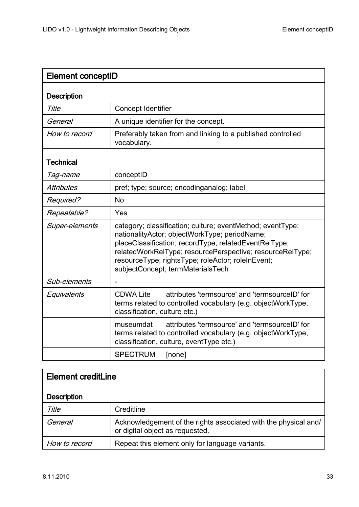<span id="page-38-0"></span>

| <b>Element conceptID</b> |                                                                                                                                                                                                                                                                                                                             |  |
|--------------------------|-----------------------------------------------------------------------------------------------------------------------------------------------------------------------------------------------------------------------------------------------------------------------------------------------------------------------------|--|
| Description              |                                                                                                                                                                                                                                                                                                                             |  |
| Title                    | Concept Identifier                                                                                                                                                                                                                                                                                                          |  |
| General                  | A unique identifier for the concept.                                                                                                                                                                                                                                                                                        |  |
| How to record            | Preferably taken from and linking to a published controlled<br>vocabulary.                                                                                                                                                                                                                                                  |  |
| <b>Technical</b>         |                                                                                                                                                                                                                                                                                                                             |  |
| Tag-name                 | conceptID                                                                                                                                                                                                                                                                                                                   |  |
| <b>Attributes</b>        | pref; type; source; encodinganalog; label                                                                                                                                                                                                                                                                                   |  |
| Required?                | <b>No</b>                                                                                                                                                                                                                                                                                                                   |  |
| Repeatable?              | Yes                                                                                                                                                                                                                                                                                                                         |  |
| Super-elements           | category; classification; culture; eventMethod; eventType;<br>nationalityActor; objectWorkType; periodName;<br>placeClassification; recordType; relatedEventRelType;<br>relatedWorkReIType; resourcePerspective; resourceReIType;<br>resourceType; rightsType; roleActor; roleInEvent;<br>subjectConcept; termMaterialsTech |  |
| Sub-elements             |                                                                                                                                                                                                                                                                                                                             |  |
| Equivalents              | attributes 'termsource' and 'termsourceID' for<br><b>CDWA Lite</b><br>terms related to controlled vocabulary (e.g. objectWorkType,<br>classification, culture etc.)                                                                                                                                                         |  |
|                          | attributes 'termsource' and 'termsourceID' for<br>museumdat<br>terms related to controlled vocabulary (e.g. objectWorkType,<br>classification, culture, eventType etc.)                                                                                                                                                     |  |
|                          | <b>SPECTRUM</b><br>[none]                                                                                                                                                                                                                                                                                                   |  |

| <b>Element creditLine</b> |                                                                                                    |  |
|---------------------------|----------------------------------------------------------------------------------------------------|--|
| <b>Description</b>        |                                                                                                    |  |
| Title                     | Creditline                                                                                         |  |
| General                   | Acknowledgement of the rights associated with the physical and/<br>or digital object as requested. |  |
| How to record             | Repeat this element only for language variants.                                                    |  |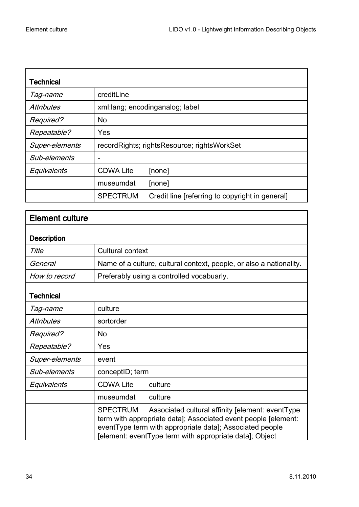<span id="page-39-0"></span>

| <b>Technical</b>  |                                                                    |
|-------------------|--------------------------------------------------------------------|
| Tag-name          | creditLine                                                         |
| <b>Attributes</b> | xml:lang; encodinganalog; label                                    |
| Required?         | No                                                                 |
| Repeatable?       | Yes                                                                |
| Super-elements    | recordRights; rightsResource; rightsWorkSet                        |
| Sub-elements      | ۰                                                                  |
| Equivalents       | <b>CDWA Lite</b><br>[none]                                         |
|                   | museumdat<br>[none]                                                |
|                   | <b>SPECTRUM</b><br>Credit line [referring to copyright in general] |

| <b>Element culture</b> |                                                                                                                                                                                                                                                              |
|------------------------|--------------------------------------------------------------------------------------------------------------------------------------------------------------------------------------------------------------------------------------------------------------|
| <b>Description</b>     |                                                                                                                                                                                                                                                              |
| Title                  | <b>Cultural context</b>                                                                                                                                                                                                                                      |
| General                | Name of a culture, cultural context, people, or also a nationality.                                                                                                                                                                                          |
| How to record          | Preferably using a controlled vocabuarly.                                                                                                                                                                                                                    |
| <b>Technical</b>       |                                                                                                                                                                                                                                                              |
| Tag-name               | culture                                                                                                                                                                                                                                                      |
| <b>Attributes</b>      | sortorder                                                                                                                                                                                                                                                    |
| Required?              | <b>No</b>                                                                                                                                                                                                                                                    |
| Repeatable?            | Yes                                                                                                                                                                                                                                                          |
| Super-elements         | event                                                                                                                                                                                                                                                        |
| Sub-elements           | conceptID; term                                                                                                                                                                                                                                              |
| Equivalents            | <b>CDWA Lite</b><br>culture                                                                                                                                                                                                                                  |
|                        | museumdat<br>culture                                                                                                                                                                                                                                         |
|                        | <b>SPECTRUM</b><br>Associated cultural affinity [element: eventType<br>term with appropriate datal; Associated event people [element:<br>eventType term with appropriate data]; Associated people<br>[element: eventType term with appropriate data]; Object |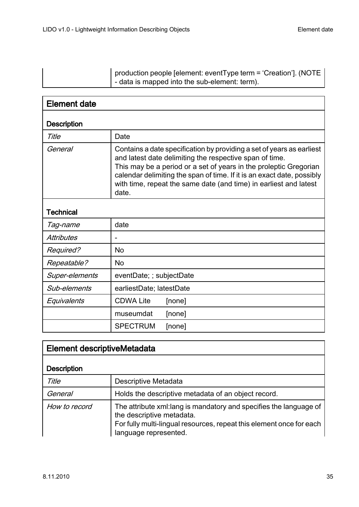production people [element: eventType term = 'Creation']. (NOTE - data is mapped into the sub-element: term).

<span id="page-40-0"></span>

| <b>Element date</b> |                                                                                                                                                                                                                                                                                                                                                               |  |
|---------------------|---------------------------------------------------------------------------------------------------------------------------------------------------------------------------------------------------------------------------------------------------------------------------------------------------------------------------------------------------------------|--|
| <b>Description</b>  |                                                                                                                                                                                                                                                                                                                                                               |  |
| Title               | Date                                                                                                                                                                                                                                                                                                                                                          |  |
| General             | Contains a date specification by providing a set of years as earliest<br>and latest date delimiting the respective span of time.<br>This may be a period or a set of years in the proleptic Gregorian<br>calendar delimiting the span of time. If it is an exact date, possibly<br>with time, repeat the same date (and time) in earliest and latest<br>date. |  |
| <b>Technical</b>    |                                                                                                                                                                                                                                                                                                                                                               |  |
| Tag-name            | date                                                                                                                                                                                                                                                                                                                                                          |  |
| <b>Attributes</b>   |                                                                                                                                                                                                                                                                                                                                                               |  |
| Required?           | No                                                                                                                                                                                                                                                                                                                                                            |  |
| Repeatable?         | No                                                                                                                                                                                                                                                                                                                                                            |  |
| Super-elements      | eventDate:: subjectDate                                                                                                                                                                                                                                                                                                                                       |  |
| Sub-elements        | earliestDate; latestDate                                                                                                                                                                                                                                                                                                                                      |  |
| Equivalents         | <b>CDWA Lite</b><br>[none]                                                                                                                                                                                                                                                                                                                                    |  |
|                     | museumdat<br>[none]                                                                                                                                                                                                                                                                                                                                           |  |
|                     | <b>SPECTRUM</b><br>[none]                                                                                                                                                                                                                                                                                                                                     |  |

| <b>Element descriptiveMetadata</b> |                                                                                                                                                                                                  |
|------------------------------------|--------------------------------------------------------------------------------------------------------------------------------------------------------------------------------------------------|
| <b>Description</b>                 |                                                                                                                                                                                                  |
| Title                              | Descriptive Metadata                                                                                                                                                                             |
| General                            | Holds the descriptive metadata of an object record.                                                                                                                                              |
| How to record                      | The attribute xml: lang is mandatory and specifies the language of<br>the descriptive metadata.<br>For fully multi-lingual resources, repeat this element once for each<br>language represented. |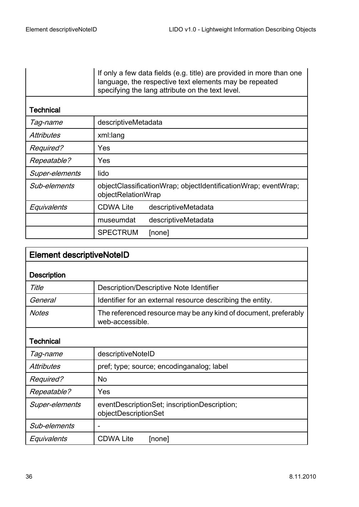<span id="page-41-0"></span>

|                   |                                                                                      | If only a few data fields (e.g. title) are provided in more than one<br>language, the respective text elements may be repeated<br>specifying the lang attribute on the text level. |
|-------------------|--------------------------------------------------------------------------------------|------------------------------------------------------------------------------------------------------------------------------------------------------------------------------------|
| <b>Technical</b>  |                                                                                      |                                                                                                                                                                                    |
| Tag-name          | descriptiveMetadata                                                                  |                                                                                                                                                                                    |
| <b>Attributes</b> | xml:lang                                                                             |                                                                                                                                                                                    |
| Required?         | Yes                                                                                  |                                                                                                                                                                                    |
| Repeatable?       | Yes                                                                                  |                                                                                                                                                                                    |
| Super-elements    | lido                                                                                 |                                                                                                                                                                                    |
| Sub-elements      | objectClassificationWrap; objectIdentificationWrap; eventWrap;<br>objectRelationWrap |                                                                                                                                                                                    |
| Equivalents       | <b>CDWA Lite</b>                                                                     | descriptiveMetadata                                                                                                                                                                |
|                   | museumdat                                                                            | descriptiveMetadata                                                                                                                                                                |
|                   | <b>SPECTRUM</b>                                                                      | [none]                                                                                                                                                                             |

| <b>Element descriptiveNoteID</b> |                                                                                    |
|----------------------------------|------------------------------------------------------------------------------------|
| <b>Description</b>               |                                                                                    |
| Title                            | Description/Descriptive Note Identifier                                            |
| General                          | Identifier for an external resource describing the entity.                         |
| Notes                            | The referenced resource may be any kind of document, preferably<br>web-accessible. |
| <b>Technical</b>                 |                                                                                    |
| Tag-name                         | descriptiveNoteID                                                                  |
| Attributes                       | pref; type; source; encodinganalog; label                                          |
| Required?                        | <b>No</b>                                                                          |
| Repeatable?                      | Yes                                                                                |
| Super-elements                   | eventDescriptionSet; inscriptionDescription;<br>objectDescriptionSet               |
| Sub-elements                     |                                                                                    |
| Equivalents                      | <b>CDWA Lite</b><br>[none]                                                         |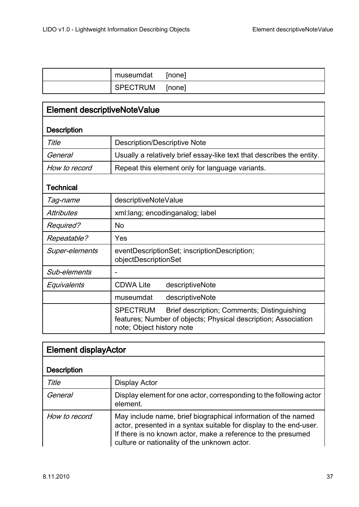<span id="page-42-0"></span>

| museumdat   [none] |  |
|--------------------|--|
| SPECTRUM [none]    |  |

| <b>Element descriptiveNoteValue</b> |                                                                                                                                                               |
|-------------------------------------|---------------------------------------------------------------------------------------------------------------------------------------------------------------|
| <b>Description</b>                  |                                                                                                                                                               |
| Title                               | <b>Description/Descriptive Note</b>                                                                                                                           |
| General                             | Usually a relatively brief essay-like text that describes the entity.                                                                                         |
| How to record                       | Repeat this element only for language variants.                                                                                                               |
| Technical                           |                                                                                                                                                               |
| Tag-name                            | descriptiveNoteValue                                                                                                                                          |
| <b>Attributes</b>                   | xml:lang; encodinganalog; label                                                                                                                               |
| Required?                           | <b>No</b>                                                                                                                                                     |
| Repeatable?                         | Yes                                                                                                                                                           |
| Super-elements                      | eventDescriptionSet; inscriptionDescription;<br>objectDescriptionSet                                                                                          |
| Sub-elements                        |                                                                                                                                                               |
| Equivalents                         | <b>CDWA Lite</b><br>descriptiveNote                                                                                                                           |
|                                     | descriptiveNote<br>museumdat                                                                                                                                  |
|                                     | <b>SPECTRUM</b><br>Brief description; Comments; Distinguishing<br>features; Number of objects; Physical description; Association<br>note; Object history note |

| <b>Element displayActor</b> |                                                                                                                                                                                                                                                     |
|-----------------------------|-----------------------------------------------------------------------------------------------------------------------------------------------------------------------------------------------------------------------------------------------------|
| <b>Description</b>          |                                                                                                                                                                                                                                                     |
| Title                       | Display Actor                                                                                                                                                                                                                                       |
| General                     | Display element for one actor, corresponding to the following actor<br>element.                                                                                                                                                                     |
| How to record               | May include name, brief biographical information of the named<br>actor, presented in a syntax suitable for display to the end-user.<br>If there is no known actor, make a reference to the presumed<br>culture or nationality of the unknown actor. |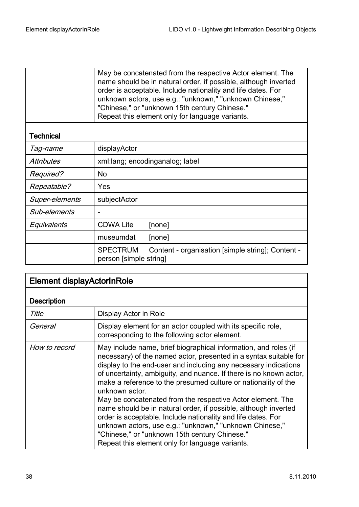<span id="page-43-0"></span>

|                   | May be concatenated from the respective Actor element. The<br>name should be in natural order, if possible, although inverted<br>order is acceptable. Include nationality and life dates. For<br>unknown actors, use e.g.: "unknown," "unknown Chinese,"<br>"Chinese," or "unknown 15th century Chinese."<br>Repeat this element only for language variants. |
|-------------------|--------------------------------------------------------------------------------------------------------------------------------------------------------------------------------------------------------------------------------------------------------------------------------------------------------------------------------------------------------------|
| <b>Technical</b>  |                                                                                                                                                                                                                                                                                                                                                              |
| Tag-name          | displayActor                                                                                                                                                                                                                                                                                                                                                 |
| <b>Attributes</b> | xml:lang; encodinganalog; label                                                                                                                                                                                                                                                                                                                              |
| Required?         | <b>No</b>                                                                                                                                                                                                                                                                                                                                                    |
| Repeatable?       | Yes                                                                                                                                                                                                                                                                                                                                                          |
| Super-elements    | subjectActor                                                                                                                                                                                                                                                                                                                                                 |
| Sub-elements      |                                                                                                                                                                                                                                                                                                                                                              |
| Equivalents       | <b>CDWA Lite</b><br>[none]                                                                                                                                                                                                                                                                                                                                   |
|                   | [none]<br>museumdat                                                                                                                                                                                                                                                                                                                                          |
|                   | <b>SPECTRUM</b><br>Content - organisation [simple string]; Content -<br>person [simple string]                                                                                                                                                                                                                                                               |

| <b>Element displayActorInRole</b> |                                                                                                                                                                                                                                                                                                                                                                                                                                                                                                                                                                                                                                                                                                                                   |
|-----------------------------------|-----------------------------------------------------------------------------------------------------------------------------------------------------------------------------------------------------------------------------------------------------------------------------------------------------------------------------------------------------------------------------------------------------------------------------------------------------------------------------------------------------------------------------------------------------------------------------------------------------------------------------------------------------------------------------------------------------------------------------------|
| <b>Description</b>                |                                                                                                                                                                                                                                                                                                                                                                                                                                                                                                                                                                                                                                                                                                                                   |
| Title                             | Display Actor in Role                                                                                                                                                                                                                                                                                                                                                                                                                                                                                                                                                                                                                                                                                                             |
| General                           | Display element for an actor coupled with its specific role,<br>corresponding to the following actor element.                                                                                                                                                                                                                                                                                                                                                                                                                                                                                                                                                                                                                     |
| How to record                     | May include name, brief biographical information, and roles (if<br>necessary) of the named actor, presented in a syntax suitable for<br>display to the end-user and including any necessary indications<br>of uncertainty, ambiguity, and nuance. If there is no known actor,<br>make a reference to the presumed culture or nationality of the<br>unknown actor.<br>May be concatenated from the respective Actor element. The<br>name should be in natural order, if possible, although inverted<br>order is acceptable. Include nationality and life dates. For<br>unknown actors, use e.g.: "unknown," "unknown Chinese,"<br>"Chinese," or "unknown 15th century Chinese."<br>Repeat this element only for language variants. |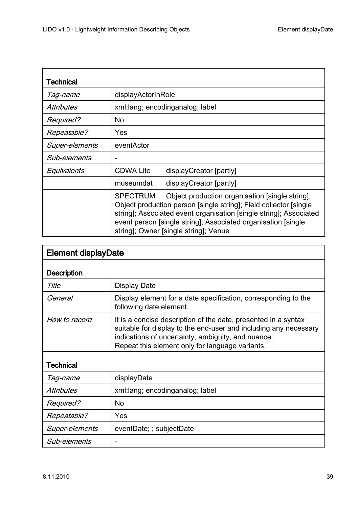<span id="page-44-0"></span>

| Technical         |                                                                                                                                                                                                                                                                                                                         |  |
|-------------------|-------------------------------------------------------------------------------------------------------------------------------------------------------------------------------------------------------------------------------------------------------------------------------------------------------------------------|--|
| Tag-name          | displayActorInRole                                                                                                                                                                                                                                                                                                      |  |
| <b>Attributes</b> | xml:lang; encodinganalog; label                                                                                                                                                                                                                                                                                         |  |
| Required?         | <b>No</b>                                                                                                                                                                                                                                                                                                               |  |
| Repeatable?       | Yes                                                                                                                                                                                                                                                                                                                     |  |
| Super-elements    | eventActor                                                                                                                                                                                                                                                                                                              |  |
| Sub-elements      |                                                                                                                                                                                                                                                                                                                         |  |
| Equivalents       | <b>CDWA Lite</b><br>displayCreator [partly]                                                                                                                                                                                                                                                                             |  |
|                   | displayCreator [partly]<br>museumdat                                                                                                                                                                                                                                                                                    |  |
|                   | <b>SPECTRUM</b><br>Object production organisation [single string];<br>Object production person [single string]; Field collector [single<br>string]; Associated event organisation [single string]; Associated<br>event person [single string]; Associated organisation [single<br>string]; Owner [single string]; Venue |  |

| <b>Element displayDate</b> |                                                                                                                                                                                                                                             |
|----------------------------|---------------------------------------------------------------------------------------------------------------------------------------------------------------------------------------------------------------------------------------------|
| <b>Description</b>         |                                                                                                                                                                                                                                             |
| Title                      | <b>Display Date</b>                                                                                                                                                                                                                         |
| General                    | Display element for a date specification, corresponding to the<br>following date element.                                                                                                                                                   |
| How to record              | It is a concise description of the date, presented in a syntax<br>suitable for display to the end-user and including any necessary<br>indications of uncertainty, ambiguity, and nuance.<br>Repeat this element only for language variants. |
| <b>Technical</b>           |                                                                                                                                                                                                                                             |
| Tag-name                   | displayDate                                                                                                                                                                                                                                 |
| <b>Attributes</b>          | xml:lang; encodinganalog; label                                                                                                                                                                                                             |
| Required?                  | No                                                                                                                                                                                                                                          |
| Repeatable?                | Yes                                                                                                                                                                                                                                         |
| Super-elements             | eventDate; ; subjectDate                                                                                                                                                                                                                    |
| Sub-elements               |                                                                                                                                                                                                                                             |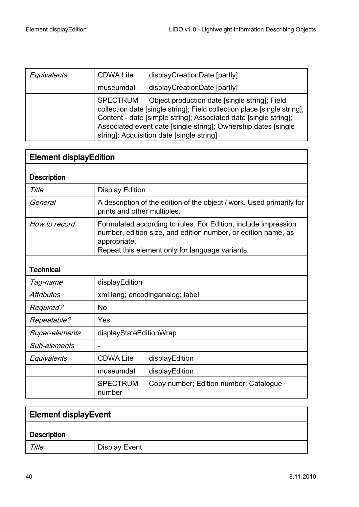<span id="page-45-0"></span>

| Equivalents | <b>CDWA Lite</b> | displayCreationDate [partly]                                                                                                                                                                                                                                                                                 |
|-------------|------------------|--------------------------------------------------------------------------------------------------------------------------------------------------------------------------------------------------------------------------------------------------------------------------------------------------------------|
|             | museumdat        | displayCreationDate [partly]                                                                                                                                                                                                                                                                                 |
|             | <b>SPECTRUM</b>  | Object production date [single string]; Field<br>collection date [single string]; Field collection place [single string];<br>Content - date [simple string]; Associated date [single string];<br>Associated event date [single string]; Ownership dates [single<br>string]; Acquisition date [single string] |

| <b>Element displayEdition</b> |                                                                                                                                                                                                    |
|-------------------------------|----------------------------------------------------------------------------------------------------------------------------------------------------------------------------------------------------|
| <b>Description</b>            |                                                                                                                                                                                                    |
| Title                         | <b>Display Edition</b>                                                                                                                                                                             |
| General                       | A description of the edition of the object / work. Used primarily for<br>prints and other multiples.                                                                                               |
| How to record                 | Formulated according to rules. For Edition, include impression<br>number, edition size, and edition number, or edition name, as<br>appropriate.<br>Repeat this element only for language variants. |
| <b>Technical</b>              |                                                                                                                                                                                                    |
| Tag-name                      | displayEdition                                                                                                                                                                                     |
| <b>Attributes</b>             | xml:lang; encodinganalog; label                                                                                                                                                                    |
| Required?                     | <b>No</b>                                                                                                                                                                                          |
| Repeatable?                   | Yes                                                                                                                                                                                                |
| Super-elements                | displayStateEditionWrap                                                                                                                                                                            |
| Sub-elements                  | $\overline{\phantom{0}}$                                                                                                                                                                           |
| Equivalents                   | <b>CDWA Lite</b><br>displayEdition                                                                                                                                                                 |
|                               | museumdat<br>displayEdition                                                                                                                                                                        |
|                               | <b>SPECTRUM</b><br>Copy number; Edition number; Catalogue<br>number                                                                                                                                |

| <b>Element displayEvent</b> |                      |  |
|-----------------------------|----------------------|--|
| <b>Description</b>          |                      |  |
| Title                       | <b>Display Event</b> |  |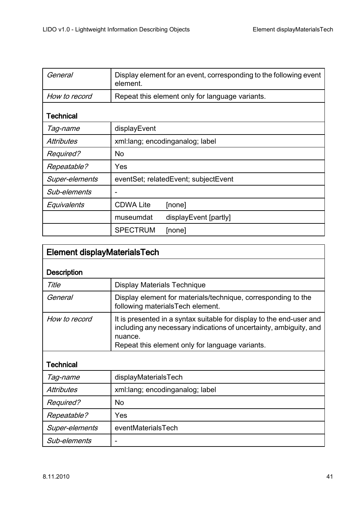<span id="page-46-0"></span>

| General        | Display element for an event, corresponding to the following event<br>element. |
|----------------|--------------------------------------------------------------------------------|
| How to record  | Repeat this element only for language variants.                                |
| Technical      |                                                                                |
| Tag-name       | displayEvent                                                                   |
| Attributes     | xml:lang; encodinganalog; label                                                |
| Required?      | No                                                                             |
| Repeatable?    | Yes                                                                            |
| Super-elements | eventSet; relatedEvent; subjectEvent                                           |
| Sub-elements   |                                                                                |
| Equivalents    | <b>CDWA Lite</b><br>[none]                                                     |
|                | displayEvent [partly]<br>museumdat                                             |
|                | <b>SPECTRUM</b><br>[none]                                                      |

| <b>Element displayMaterialsTech</b> |                                                                                                                                                                                                          |
|-------------------------------------|----------------------------------------------------------------------------------------------------------------------------------------------------------------------------------------------------------|
| <b>Description</b>                  |                                                                                                                                                                                                          |
| Title                               | <b>Display Materials Technique</b>                                                                                                                                                                       |
| General                             | Display element for materials/technique, corresponding to the<br>following materials Tech element.                                                                                                       |
| How to record                       | It is presented in a syntax suitable for display to the end-user and<br>including any necessary indications of uncertainty, ambiguity, and<br>nuance.<br>Repeat this element only for language variants. |
| <b>Technical</b>                    |                                                                                                                                                                                                          |
| Tag-name                            | displayMaterialsTech                                                                                                                                                                                     |
| <b>Attributes</b>                   | xml:lang; encodinganalog; label                                                                                                                                                                          |
| Required?                           | No                                                                                                                                                                                                       |
| Repeatable?                         | Yes                                                                                                                                                                                                      |
| Super-elements                      | eventMaterialsTech                                                                                                                                                                                       |
| Sub-elements                        |                                                                                                                                                                                                          |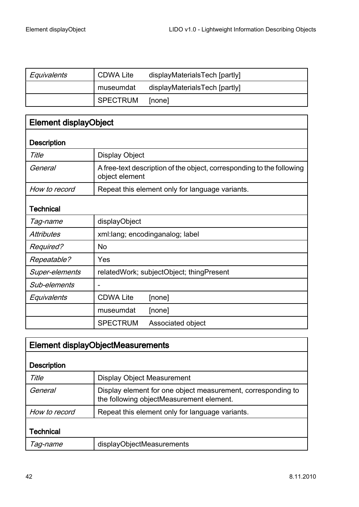| Equivalents | CDWA Lite       | displayMaterialsTech [partly] |
|-------------|-----------------|-------------------------------|
|             | museumdat       | displayMaterialsTech [partly] |
|             | <b>SPECTRUM</b> | [none]                        |

| <b>Element displayObject</b> |                                                                                         |
|------------------------------|-----------------------------------------------------------------------------------------|
| <b>Description</b>           |                                                                                         |
| Title                        | <b>Display Object</b>                                                                   |
| General                      | A free-text description of the object, corresponding to the following<br>object element |
| How to record                | Repeat this element only for language variants.                                         |
| <b>Technical</b>             |                                                                                         |
| Tag-name                     | displayObject                                                                           |
| Attributes                   | xml:lang; encodinganalog; label                                                         |
| Required?                    | <b>No</b>                                                                               |
| Repeatable?                  | Yes                                                                                     |
| Super-elements               | relatedWork; subjectObject; thingPresent                                                |
| Sub-elements                 |                                                                                         |
| Equivalents                  | <b>CDWA Lite</b><br>[none]                                                              |
|                              | museumdat<br>[none]                                                                     |
|                              | <b>SPECTRUM</b><br>Associated object                                                    |

| <b>Element displayObjectMeasurements</b> |                                                                                                          |
|------------------------------------------|----------------------------------------------------------------------------------------------------------|
| <b>Description</b>                       |                                                                                                          |
| Title                                    | <b>Display Object Measurement</b>                                                                        |
| General                                  | Display element for one object measurement, corresponding to<br>the following objectMeasurement element. |
| How to record                            | Repeat this element only for language variants.                                                          |
| <b>Technical</b>                         |                                                                                                          |
| Tag-name                                 | displayObjectMeasurements                                                                                |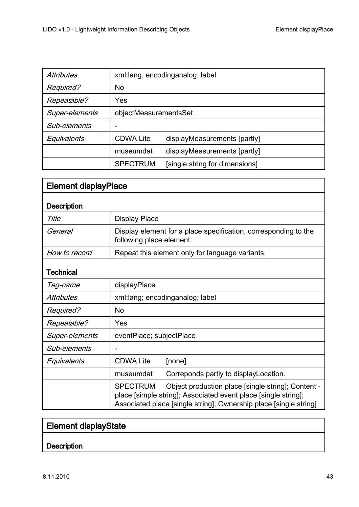<span id="page-48-0"></span>

| <b>Attributes</b> |                       | xml:lang; encodinganalog; label |
|-------------------|-----------------------|---------------------------------|
| Required?         | No                    |                                 |
| Repeatable?       | Yes                   |                                 |
| Super-elements    | objectMeasurementsSet |                                 |
| Sub-elements      |                       |                                 |
| Equivalents       | <b>CDWA Lite</b>      | displayMeasurements [partly]    |
|                   | museumdat             | displayMeasurements [partly]    |
|                   | <b>SPECTRUM</b>       | [single string for dimensions]  |

| <b>Element displayPlace</b> |                                                                                                                                                                                                              |
|-----------------------------|--------------------------------------------------------------------------------------------------------------------------------------------------------------------------------------------------------------|
| <b>Description</b>          |                                                                                                                                                                                                              |
| Title                       | <b>Display Place</b>                                                                                                                                                                                         |
| General                     | Display element for a place specification, corresponding to the<br>following place element.                                                                                                                  |
| How to record               | Repeat this element only for language variants.                                                                                                                                                              |
| Technical                   |                                                                                                                                                                                                              |
| Tag-name                    | displayPlace                                                                                                                                                                                                 |
| Attributes                  | xml:lang; encodinganalog; label                                                                                                                                                                              |
| Required?                   | No                                                                                                                                                                                                           |
| Repeatable?                 | Yes                                                                                                                                                                                                          |
| Super-elements              | eventPlace; subjectPlace                                                                                                                                                                                     |
| Sub-elements                |                                                                                                                                                                                                              |
| Equivalents                 | <b>CDWA Lite</b><br>[none]                                                                                                                                                                                   |
|                             | Correponds partly to display Location.<br>museumdat                                                                                                                                                          |
|                             | <b>SPECTRUM</b><br>Object production place [single string]; Content -<br>place [simple string]; Associated event place [single string];<br>Associated place [single string]; Ownership place [single string] |

# Element displayState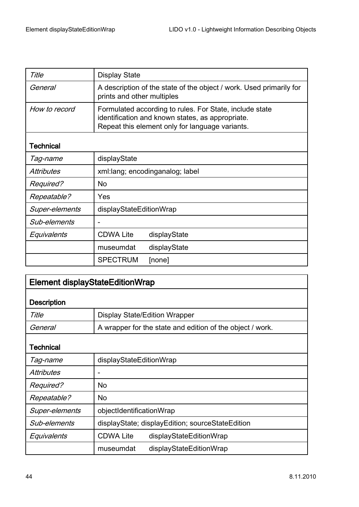<span id="page-49-0"></span>

| Title             | <b>Display State</b>                                                                                                                                           |
|-------------------|----------------------------------------------------------------------------------------------------------------------------------------------------------------|
| General           | A description of the state of the object / work. Used primarily for<br>prints and other multiples                                                              |
| How to record     | Formulated according to rules. For State, include state<br>identification and known states, as appropriate.<br>Repeat this element only for language variants. |
| <b>Technical</b>  |                                                                                                                                                                |
| Tag-name          | displayState                                                                                                                                                   |
| <b>Attributes</b> | xml:lang; encodinganalog; label                                                                                                                                |
| Required?         | No                                                                                                                                                             |
| Repeatable?       | Yes                                                                                                                                                            |
| Super-elements    | displayStateEditionWrap                                                                                                                                        |
| Sub-elements      |                                                                                                                                                                |
| Equivalents       | <b>CDWA Lite</b><br>displayState                                                                                                                               |
|                   | displayState<br>museumdat                                                                                                                                      |
|                   | <b>SPECTRUM</b><br>[none]                                                                                                                                      |

| <b>Element displayStateEditionWrap</b> |                                                           |
|----------------------------------------|-----------------------------------------------------------|
| <b>Description</b>                     |                                                           |
| Title                                  | <b>Display State/Edition Wrapper</b>                      |
| General                                | A wrapper for the state and edition of the object / work. |
| <b>Technical</b>                       |                                                           |
| Tag-name                               | displayStateEditionWrap                                   |
| <b>Attributes</b>                      |                                                           |
| Required?                              | No                                                        |
| <i>Repeatable?</i>                     | <b>No</b>                                                 |
| Super-elements                         | objectIdentificationWrap                                  |
| Sub-elements                           | displayState; displayEdition; sourceStateEdition          |
| Equivalents                            | <b>CDWA Lite</b><br>displayStateEditionWrap               |
|                                        | displayStateEditionWrap<br>museumdat                      |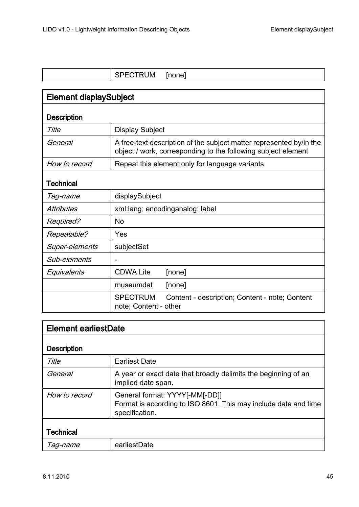r

┑

<span id="page-50-0"></span>

|  | <b>SPECTRUM</b><br>aonel a |
|--|----------------------------|
|--|----------------------------|

| <b>Element displaySubject</b> |                                                                                                                                      |
|-------------------------------|--------------------------------------------------------------------------------------------------------------------------------------|
| <b>Description</b>            |                                                                                                                                      |
| Title                         | <b>Display Subject</b>                                                                                                               |
| General                       | A free-text description of the subject matter represented by/in the<br>object / work, corresponding to the following subject element |
| How to record                 | Repeat this element only for language variants.                                                                                      |
| <b>Technical</b>              |                                                                                                                                      |
| Tag-name                      | displaySubject                                                                                                                       |
| Attributes                    | xml:lang; encodinganalog; label                                                                                                      |
| Required?                     | No                                                                                                                                   |
| Repeatable?                   | Yes                                                                                                                                  |
| Super-elements                | subjectSet                                                                                                                           |
| Sub-elements                  |                                                                                                                                      |
| Equivalents                   | <b>CDWA Lite</b><br>[none]                                                                                                           |
|                               | museumdat<br>[none]                                                                                                                  |
|                               | <b>SPECTRUM</b><br>Content - description; Content - note; Content<br>note; Content - other                                           |

| <b>Element earliestDate</b> |                                                                                                                     |
|-----------------------------|---------------------------------------------------------------------------------------------------------------------|
| <b>Description</b>          |                                                                                                                     |
| Title                       | <b>Earliest Date</b>                                                                                                |
| General                     | A year or exact date that broadly delimits the beginning of an<br>implied date span.                                |
| How to record               | General format: YYYY[-MM[-DD]]<br>Format is according to ISO 8601. This may include date and time<br>specification. |
| <b>Technical</b>            |                                                                                                                     |
| Tag-name                    | earliestDate                                                                                                        |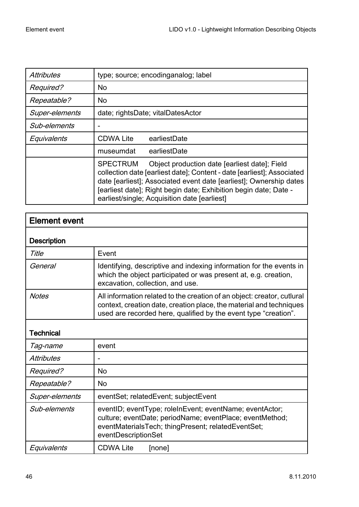<span id="page-51-0"></span>

| <b>Attributes</b> | type; source; encodinganalog; label                                                                                                                                                                                                                                                                                                  |
|-------------------|--------------------------------------------------------------------------------------------------------------------------------------------------------------------------------------------------------------------------------------------------------------------------------------------------------------------------------------|
| Required?         | <b>No</b>                                                                                                                                                                                                                                                                                                                            |
| Repeatable?       | No                                                                                                                                                                                                                                                                                                                                   |
| Super-elements    | date; rightsDate; vitalDatesActor                                                                                                                                                                                                                                                                                                    |
| Sub-elements      |                                                                                                                                                                                                                                                                                                                                      |
| Equivalents       | <b>CDWA Lite</b><br>earliestDate                                                                                                                                                                                                                                                                                                     |
|                   | museumdat<br>earliestDate                                                                                                                                                                                                                                                                                                            |
|                   | <b>SPECTRUM</b><br>Object production date [earliest date]; Field<br>collection date [earliest date]; Content - date [earliest]; Associated<br>date [earliest]; Associated event date [earliest]; Ownership dates<br>[earliest date]; Right begin date; Exhibition begin date; Date -<br>earliest/single; Acquisition date [earliest] |

| <b>Element event</b> |                                                                                                                                                                                                                   |
|----------------------|-------------------------------------------------------------------------------------------------------------------------------------------------------------------------------------------------------------------|
| <b>Description</b>   |                                                                                                                                                                                                                   |
| Title                | Event                                                                                                                                                                                                             |
| General              | Identifying, descriptive and indexing information for the events in<br>which the object participated or was present at, e.g. creation,<br>excavation, collection, and use.                                        |
| <b>Notes</b>         | All information related to the creation of an object: creator, cutlural<br>context, creation date, creation place, the material and techniques<br>used are recorded here, qualified by the event type "creation". |
| <b>Technical</b>     |                                                                                                                                                                                                                   |
| Tag-name             | event                                                                                                                                                                                                             |
| Attributes           |                                                                                                                                                                                                                   |
| Required?            | No                                                                                                                                                                                                                |
| Repeatable?          | No                                                                                                                                                                                                                |
| Super-elements       | eventSet; relatedEvent; subjectEvent                                                                                                                                                                              |
| Sub-elements         | eventID; eventType; roleInEvent; eventName; eventActor;<br>culture; eventDate; periodName; eventPlace; eventMethod;<br>eventMaterialsTech; thingPresent; relatedEventSet;<br>eventDescriptionSet                  |
| Equivalents          | <b>CDWA Lite</b><br>[none]                                                                                                                                                                                        |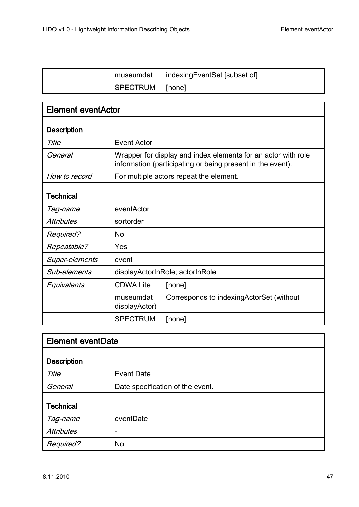<span id="page-52-0"></span>

|                 | museumdat indexingEventSet [subset of] |
|-----------------|----------------------------------------|
| SPECTRUM [none] |                                        |

| <b>Element eventActor</b> |                                                                                                                             |  |
|---------------------------|-----------------------------------------------------------------------------------------------------------------------------|--|
| <b>Description</b>        |                                                                                                                             |  |
| Title                     | <b>Event Actor</b>                                                                                                          |  |
| General                   | Wrapper for display and index elements for an actor with role<br>information (participating or being present in the event). |  |
| How to record             | For multiple actors repeat the element.                                                                                     |  |
| <b>Technical</b>          |                                                                                                                             |  |
| Tag-name                  | eventActor                                                                                                                  |  |
| <b>Attributes</b>         | sortorder                                                                                                                   |  |
| Required?                 | No                                                                                                                          |  |
| Repeatable?               | Yes                                                                                                                         |  |
| Super-elements            | event                                                                                                                       |  |
| Sub-elements              | displayActorInRole; actorInRole                                                                                             |  |
| Equivalents               | <b>CDWA Lite</b><br>[none]                                                                                                  |  |
|                           | Corresponds to indexing Actor Set (without<br>museumdat<br>displayActor)                                                    |  |
|                           | <b>SPECTRUM</b><br>[none]                                                                                                   |  |

| <b>Element eventDate</b> |                                  |  |
|--------------------------|----------------------------------|--|
| <b>Description</b>       |                                  |  |
| Title                    | <b>Event Date</b>                |  |
| General                  | Date specification of the event. |  |
| <b>Technical</b>         |                                  |  |
| Tag-name                 | eventDate                        |  |
| <b>Attributes</b>        |                                  |  |
| Required?                | <b>No</b>                        |  |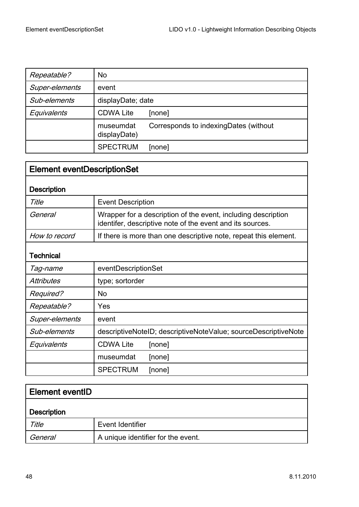<span id="page-53-0"></span>

| Repeatable?    | No                        |                                        |
|----------------|---------------------------|----------------------------------------|
| Super-elements | event                     |                                        |
| Sub-elements   | displayDate; date         |                                        |
| Equivalents    | <b>CDWA Lite</b>          | [none]                                 |
|                | museumdat<br>displayDate) | Corresponds to indexing Dates (without |
|                | <b>SPECTRUM</b>           | [none]                                 |

| <b>Element eventDescriptionSet</b> |                                                                                                                            |  |
|------------------------------------|----------------------------------------------------------------------------------------------------------------------------|--|
| <b>Description</b>                 |                                                                                                                            |  |
| Title                              | <b>Event Description</b>                                                                                                   |  |
| General                            | Wrapper for a description of the event, including description<br>identifer, descriptive note of the event and its sources. |  |
| How to record                      | If there is more than one descriptive note, repeat this element.                                                           |  |
| <b>Technical</b>                   |                                                                                                                            |  |
| Tag-name                           | eventDescriptionSet                                                                                                        |  |
| Attributes                         | type; sortorder                                                                                                            |  |
| Required?                          | No                                                                                                                         |  |
| Repeatable?                        | Yes                                                                                                                        |  |
| Super-elements                     | event                                                                                                                      |  |
| Sub-elements                       | descriptiveNoteID; descriptiveNoteValue; sourceDescriptiveNote                                                             |  |
| Equivalents                        | <b>CDWA Lite</b><br>[none]                                                                                                 |  |
|                                    | museumdat<br>[none]                                                                                                        |  |
|                                    | <b>SPECTRUM</b><br>[none]                                                                                                  |  |

| <b>Element eventID</b> |                                    |  |
|------------------------|------------------------------------|--|
| <b>Description</b>     |                                    |  |
| Title                  | Event Identifier                   |  |
| General                | A unique identifier for the event. |  |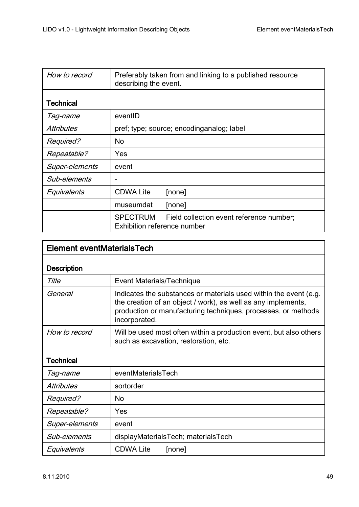<span id="page-54-0"></span>

| How to record  | Preferably taken from and linking to a published resource<br>describing the event.                |
|----------------|---------------------------------------------------------------------------------------------------|
| Technical      |                                                                                                   |
| Tag-name       | eventID                                                                                           |
| Attributes     | pref; type; source; encodinganalog; label                                                         |
| Required?      | <b>No</b>                                                                                         |
| Repeatable?    | Yes                                                                                               |
| Super-elements | event                                                                                             |
| Sub-elements   |                                                                                                   |
| Equivalents    | <b>CDWA Lite</b><br>[none]                                                                        |
|                | museumdat<br>[none]                                                                               |
|                | <b>SPECTRUM</b><br>Field collection event reference number;<br><b>Exhibition reference number</b> |

| <b>Element eventMaterialsTech</b> |                                                                                                                                                                                                                      |  |
|-----------------------------------|----------------------------------------------------------------------------------------------------------------------------------------------------------------------------------------------------------------------|--|
| <b>Description</b>                |                                                                                                                                                                                                                      |  |
| Title                             | Event Materials/Technique                                                                                                                                                                                            |  |
| General                           | Indicates the substances or materials used within the event (e.g.<br>the creation of an object / work), as well as any implements,<br>production or manufacturing techniques, processes, or methods<br>incorporated. |  |
| How to record                     | Will be used most often within a production event, but also others<br>such as excavation, restoration, etc.                                                                                                          |  |
| Technical                         |                                                                                                                                                                                                                      |  |
| Tag-name                          | eventMaterialsTech                                                                                                                                                                                                   |  |
| <b>Attributes</b>                 | sortorder                                                                                                                                                                                                            |  |
| Required?                         | No                                                                                                                                                                                                                   |  |
| Repeatable?                       | Yes                                                                                                                                                                                                                  |  |
| Super-elements                    | event                                                                                                                                                                                                                |  |
| Sub-elements                      | displayMaterialsTech; materialsTech                                                                                                                                                                                  |  |
| Equivalents                       | <b>CDWA Lite</b><br>[none]                                                                                                                                                                                           |  |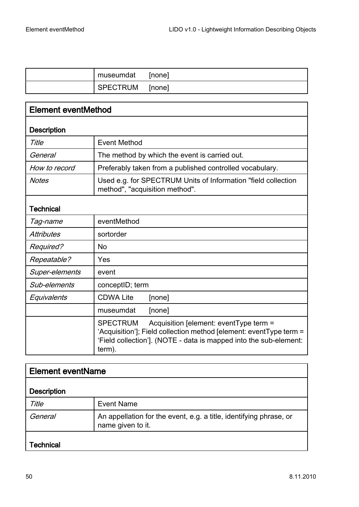<span id="page-55-0"></span>

| museumdat [none] |  |
|------------------|--|
| SPECTRUM [none]  |  |

| <b>Element eventMethod</b> |                                                                                                                                                                                                                |
|----------------------------|----------------------------------------------------------------------------------------------------------------------------------------------------------------------------------------------------------------|
| <b>Description</b>         |                                                                                                                                                                                                                |
| Title                      | <b>Event Method</b>                                                                                                                                                                                            |
| General                    | The method by which the event is carried out.                                                                                                                                                                  |
| How to record              | Preferably taken from a published controlled vocabulary.                                                                                                                                                       |
| <b>Notes</b>               | Used e.g. for SPECTRUM Units of Information "field collection<br>method", "acquisition method".                                                                                                                |
| <b>Technical</b>           |                                                                                                                                                                                                                |
| Tag-name                   | eventMethod                                                                                                                                                                                                    |
| <b>Attributes</b>          | sortorder                                                                                                                                                                                                      |
| Required?                  | <b>No</b>                                                                                                                                                                                                      |
| Repeatable?                | Yes                                                                                                                                                                                                            |
| Super-elements             | event                                                                                                                                                                                                          |
| Sub-elements               | conceptID; term                                                                                                                                                                                                |
| Equivalents                | <b>CDWA Lite</b><br>[none]                                                                                                                                                                                     |
|                            | museumdat<br>[none]                                                                                                                                                                                            |
|                            | <b>SPECTRUM</b><br>Acquisition [element: eventType term =<br>'Acquisition']; Field collection method [element: eventType term =<br>'Field collection']. (NOTE - data is mapped into the sub-element:<br>term). |

| <b>Element eventName</b> |                                                                                         |  |
|--------------------------|-----------------------------------------------------------------------------------------|--|
| <b>Description</b>       |                                                                                         |  |
| Title                    | <b>Event Name</b>                                                                       |  |
| General                  | An appellation for the event, e.g. a title, identifying phrase, or<br>name given to it. |  |
| <b>Technical</b>         |                                                                                         |  |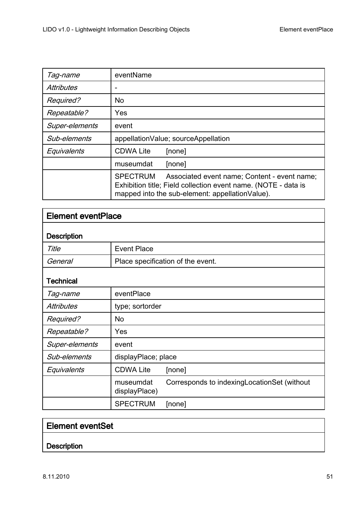<span id="page-56-0"></span>

| Tag-name          | eventName                                                                                                                                                                            |
|-------------------|--------------------------------------------------------------------------------------------------------------------------------------------------------------------------------------|
| <b>Attributes</b> | -                                                                                                                                                                                    |
| Required?         | <b>No</b>                                                                                                                                                                            |
| Repeatable?       | Yes                                                                                                                                                                                  |
| Super-elements    | event                                                                                                                                                                                |
| Sub-elements      | appellation Value; source Appellation                                                                                                                                                |
| Equivalents       | <b>CDWA Lite</b><br>[none]                                                                                                                                                           |
|                   | museumdat<br>[none]                                                                                                                                                                  |
|                   | <b>SPECTRUM</b><br>Associated event name; Content - event name;<br>Exhibition title; Field collection event name. (NOTE - data is<br>mapped into the sub-element: appellationValue). |

| <b>Element eventPlace</b> |                                   |                                               |  |
|---------------------------|-----------------------------------|-----------------------------------------------|--|
| <b>Description</b>        |                                   |                                               |  |
| Title                     | <b>Event Place</b>                |                                               |  |
| General                   | Place specification of the event. |                                               |  |
| <b>Technical</b>          |                                   |                                               |  |
| Tag-name                  | eventPlace                        |                                               |  |
| <b>Attributes</b>         | type; sortorder                   |                                               |  |
| Required?                 | No                                |                                               |  |
| Repeatable?               | Yes                               |                                               |  |
| Super-elements            | event                             |                                               |  |
| Sub-elements              | displayPlace; place               |                                               |  |
| Equivalents               | <b>CDWA Lite</b>                  | [none]                                        |  |
|                           | museumdat<br>displayPlace)        | Corresponds to indexing Location Set (without |  |
|                           | <b>SPECTRUM</b>                   | [none]                                        |  |

## Element eventSet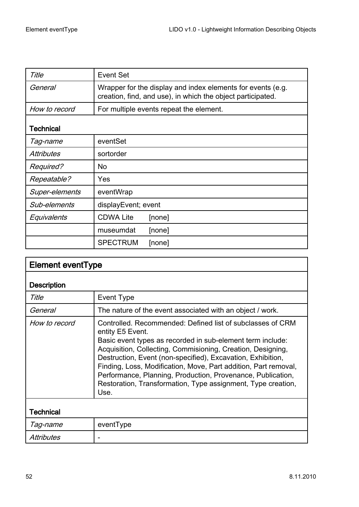<span id="page-57-0"></span>

| Title             | <b>Event Set</b>                                                                                                           |  |  |
|-------------------|----------------------------------------------------------------------------------------------------------------------------|--|--|
| General           | Wrapper for the display and index elements for events (e.g.<br>creation, find, and use), in which the object participated. |  |  |
| How to record     | For multiple events repeat the element.                                                                                    |  |  |
| Technical         |                                                                                                                            |  |  |
| Tag-name          | eventSet                                                                                                                   |  |  |
| <b>Attributes</b> | sortorder                                                                                                                  |  |  |
| Required?         | No                                                                                                                         |  |  |
| Repeatable?       | Yes                                                                                                                        |  |  |
| Super-elements    | eventWrap                                                                                                                  |  |  |
| Sub-elements      | displayEvent; event                                                                                                        |  |  |
| Equivalents       | <b>CDWA Lite</b><br>[none]                                                                                                 |  |  |
|                   | museumdat<br>[none]                                                                                                        |  |  |
|                   | <b>SPECTRUM</b><br>[none]                                                                                                  |  |  |

| <b>Element eventType</b> |                                                                                                                                                                                                                                                                                                                                                                                                                                                                                      |  |
|--------------------------|--------------------------------------------------------------------------------------------------------------------------------------------------------------------------------------------------------------------------------------------------------------------------------------------------------------------------------------------------------------------------------------------------------------------------------------------------------------------------------------|--|
| <b>Description</b>       |                                                                                                                                                                                                                                                                                                                                                                                                                                                                                      |  |
| Title                    | Event Type                                                                                                                                                                                                                                                                                                                                                                                                                                                                           |  |
| General                  | The nature of the event associated with an object / work.                                                                                                                                                                                                                                                                                                                                                                                                                            |  |
| How to record            | Controlled. Recommended: Defined list of subclasses of CRM<br>entity E5 Event.<br>Basic event types as recorded in sub-element term include:<br>Acquisition, Collecting, Commisioning, Creation, Designing,<br>Destruction, Event (non-specified), Excavation, Exhibition,<br>Finding, Loss, Modification, Move, Part addition, Part removal,<br>Performance, Planning, Production, Provenance, Publication,<br>Restoration, Transformation, Type assignment, Type creation,<br>Use. |  |
| <b>Technical</b>         |                                                                                                                                                                                                                                                                                                                                                                                                                                                                                      |  |
| Tag-name                 | eventType                                                                                                                                                                                                                                                                                                                                                                                                                                                                            |  |
| <b>Attributes</b>        |                                                                                                                                                                                                                                                                                                                                                                                                                                                                                      |  |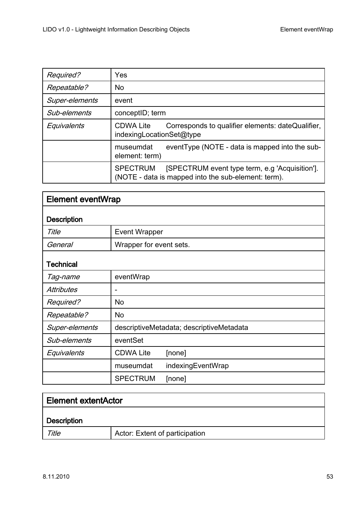<span id="page-58-0"></span>

| Required?      | Yes                                                                                                                      |  |
|----------------|--------------------------------------------------------------------------------------------------------------------------|--|
| Repeatable?    | <b>No</b>                                                                                                                |  |
| Super-elements | event                                                                                                                    |  |
| Sub-elements   | conceptID; term                                                                                                          |  |
| Equivalents    | <b>CDWA Lite</b><br>Corresponds to qualifier elements: dateQualifier,<br>indexingLocationSet@type                        |  |
|                | event Type (NOTE - data is mapped into the sub-<br>museumdat<br>element: term)                                           |  |
|                | <b>SPECTRUM</b><br>[SPECTRUM event type term, e.g 'Acquisition'].<br>(NOTE - data is mapped into the sub-element: term). |  |

| <b>Element eventWrap</b> |                                          |  |  |
|--------------------------|------------------------------------------|--|--|
| <b>Description</b>       |                                          |  |  |
| Title                    | <b>Event Wrapper</b>                     |  |  |
| General                  | Wrapper for event sets.                  |  |  |
| <b>Technical</b>         |                                          |  |  |
| Tag-name                 | eventWrap                                |  |  |
| Attributes               |                                          |  |  |
| Required?                | No                                       |  |  |
| Repeatable?              | No                                       |  |  |
| Super-elements           | descriptiveMetadata; descriptiveMetadata |  |  |
| Sub-elements             | eventSet                                 |  |  |
| Equivalents              | <b>CDWA Lite</b><br>[none]               |  |  |
|                          | indexingEventWrap<br>museumdat           |  |  |
|                          | <b>SPECTRUM</b><br>[none]                |  |  |

| Element extentActor |                                |  |
|---------------------|--------------------------------|--|
| Description         |                                |  |
| Title               | Actor: Extent of participation |  |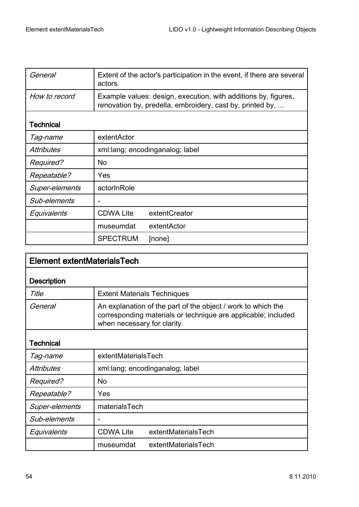<span id="page-59-0"></span>

| General           | Extent of the actor's participation in the event, if there are several<br>actors.                                           |  |  |
|-------------------|-----------------------------------------------------------------------------------------------------------------------------|--|--|
| How to record     | Example values: design, execution, with additions by, figures,<br>renovation by, predella, embroidery, cast by, printed by, |  |  |
| <b>Technical</b>  |                                                                                                                             |  |  |
| Tag-name          | extentActor                                                                                                                 |  |  |
| <b>Attributes</b> | xml:lang; encodinganalog; label                                                                                             |  |  |
| Required?         | <b>No</b>                                                                                                                   |  |  |
| Repeatable?       | Yes                                                                                                                         |  |  |
| Super-elements    | actorInRole                                                                                                                 |  |  |
| Sub-elements      |                                                                                                                             |  |  |
| Equivalents       | <b>CDWA Lite</b><br>extentCreator                                                                                           |  |  |
|                   | extentActor<br>museumdat                                                                                                    |  |  |
|                   | <b>SPECTRUM</b><br>[none]                                                                                                   |  |  |

| <b>Element extentMaterialsTech</b> |                                                                                                                                                              |  |
|------------------------------------|--------------------------------------------------------------------------------------------------------------------------------------------------------------|--|
| <b>Description</b>                 |                                                                                                                                                              |  |
| Title                              | <b>Extent Materials Techniques</b>                                                                                                                           |  |
| General                            | An explanation of the part of the object / work to which the<br>corresponding materials or technique are applicable; included<br>when necessary for clarity. |  |
| Technical                          |                                                                                                                                                              |  |
| Tag-name                           | extentMaterialsTech                                                                                                                                          |  |
| Attributes                         | xml:lang; encodinganalog; label                                                                                                                              |  |
| Required?                          | <b>No</b>                                                                                                                                                    |  |
| Repeatable?                        | Yes                                                                                                                                                          |  |
| Super-elements                     | materialsTech                                                                                                                                                |  |
| Sub-elements                       |                                                                                                                                                              |  |
| Equivalents                        | <b>CDWA Lite</b><br>extentMaterialsTech                                                                                                                      |  |
|                                    | extentMaterialsTech<br>museumdat                                                                                                                             |  |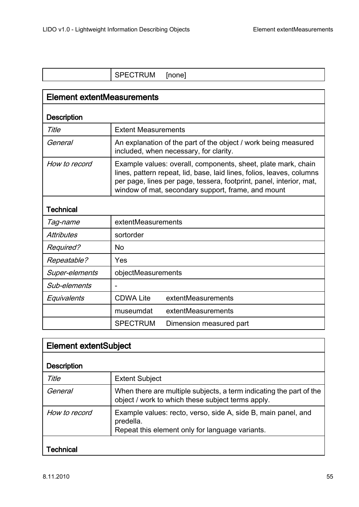r

h

| <b>LUM</b> Inco<br>וממר |  |  |  |
|-------------------------|--|--|--|
|-------------------------|--|--|--|

| <b>Element extentMeasurements</b> |                                                                                                                                                                                                                                                                     |  |  |
|-----------------------------------|---------------------------------------------------------------------------------------------------------------------------------------------------------------------------------------------------------------------------------------------------------------------|--|--|
| <b>Description</b>                |                                                                                                                                                                                                                                                                     |  |  |
| Title                             | <b>Extent Measurements</b>                                                                                                                                                                                                                                          |  |  |
| General                           | An explanation of the part of the object / work being measured<br>included, when necessary, for clarity.                                                                                                                                                            |  |  |
| How to record                     | Example values: overall, components, sheet, plate mark, chain<br>lines, pattern repeat, lid, base, laid lines, folios, leaves, columns<br>per page, lines per page, tessera, footprint, panel, interior, mat,<br>window of mat, secondary support, frame, and mount |  |  |
| <b>Technical</b>                  |                                                                                                                                                                                                                                                                     |  |  |
| Tag-name                          | extentMeasurements                                                                                                                                                                                                                                                  |  |  |
| <b>Attributes</b>                 | sortorder                                                                                                                                                                                                                                                           |  |  |
| Required?                         | No                                                                                                                                                                                                                                                                  |  |  |
| Repeatable?                       | Yes                                                                                                                                                                                                                                                                 |  |  |
| Super-elements                    | objectMeasurements                                                                                                                                                                                                                                                  |  |  |
| Sub-elements                      |                                                                                                                                                                                                                                                                     |  |  |
| Equivalents                       | <b>CDWA Lite</b><br>extentMeasurements                                                                                                                                                                                                                              |  |  |
|                                   | extentMeasurements<br>museumdat                                                                                                                                                                                                                                     |  |  |
|                                   | <b>SPECTRUM</b><br>Dimension measured part                                                                                                                                                                                                                          |  |  |

| <b>Element extentSubject</b> |                                                                                                                               |  |
|------------------------------|-------------------------------------------------------------------------------------------------------------------------------|--|
| <b>Description</b>           |                                                                                                                               |  |
| Title                        | <b>Extent Subject</b>                                                                                                         |  |
| General                      | When there are multiple subjects, a term indicating the part of the<br>object / work to which these subject terms apply.      |  |
| How to record                | Example values: recto, verso, side A, side B, main panel, and<br>predella.<br>Repeat this element only for language variants. |  |
| Technical                    |                                                                                                                               |  |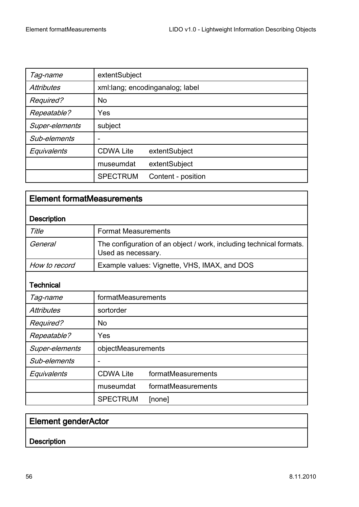| Tag-name          | extentSubject                   |                    |
|-------------------|---------------------------------|--------------------|
| <b>Attributes</b> | xml:lang; encodinganalog; label |                    |
| Required?         | No                              |                    |
| Repeatable?       | Yes                             |                    |
| Super-elements    | subject                         |                    |
| Sub-elements      |                                 |                    |
| Equivalents       | <b>CDWA Lite</b>                | extentSubject      |
|                   | museumdat                       | extentSubject      |
|                   | <b>SPECTRUM</b>                 | Content - position |

| <b>Element formatMeasurements</b> |                                                                                           |  |
|-----------------------------------|-------------------------------------------------------------------------------------------|--|
| <b>Description</b>                |                                                                                           |  |
| Title                             | <b>Format Measurements</b>                                                                |  |
| General                           | The configuration of an object / work, including technical formats.<br>Used as necessary. |  |
| How to record                     | Example values: Vignette, VHS, IMAX, and DOS                                              |  |
| <b>Technical</b>                  |                                                                                           |  |
| Tag-name                          | formatMeasurements                                                                        |  |
| <b>Attributes</b>                 | sortorder                                                                                 |  |
| Required?                         | No.                                                                                       |  |
| Repeatable?                       | Yes                                                                                       |  |
| Super-elements                    | objectMeasurements                                                                        |  |
| Sub-elements                      |                                                                                           |  |
| Equivalents                       | <b>CDWA Lite</b><br>formatMeasurements                                                    |  |
|                                   | formatMeasurements<br>museumdat                                                           |  |
|                                   | <b>SPECTRUM</b><br>[none]                                                                 |  |

# Element genderActor **Description**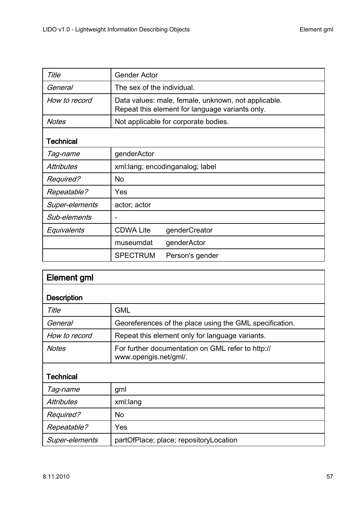| Title            | <b>Gender Actor</b>                                                                                    |  |  |
|------------------|--------------------------------------------------------------------------------------------------------|--|--|
| General          | The sex of the individual.                                                                             |  |  |
| How to record    | Data values: male, female, unknown, not applicable.<br>Repeat this element for language variants only. |  |  |
| <b>Notes</b>     | Not applicable for corporate bodies.                                                                   |  |  |
| <b>Technical</b> |                                                                                                        |  |  |
| Tag-name         | genderActor                                                                                            |  |  |
| Attributes       | xml:lang; encodinganalog; label                                                                        |  |  |
| Required?        | <b>No</b>                                                                                              |  |  |
| Repeatable?      | Yes                                                                                                    |  |  |
| Super-elements   | actor; actor                                                                                           |  |  |
| Sub-elements     | $\overline{\phantom{0}}$                                                                               |  |  |
| Equivalents      | <b>CDWA Lite</b><br>genderCreator                                                                      |  |  |
|                  | museumdat<br>genderActor                                                                               |  |  |
|                  | <b>SPECTRUM</b><br>Person's gender                                                                     |  |  |

| <b>Element gml</b> |                                                                            |  |
|--------------------|----------------------------------------------------------------------------|--|
| <b>Description</b> |                                                                            |  |
| Title              | <b>GML</b>                                                                 |  |
| General            | Georeferences of the place using the GML specification.                    |  |
| How to record      | Repeat this element only for language variants.                            |  |
| <b>Notes</b>       | For further documentation on GML refer to http://<br>www.opengis.net/gml/. |  |
| Technical          |                                                                            |  |
| Tag-name           | gml                                                                        |  |
| Attributes         | xml:lang                                                                   |  |
| Required?          | No                                                                         |  |
| Repeatable?        | Yes                                                                        |  |
| Super-elements     | partOfPlace; place; repositoryLocation                                     |  |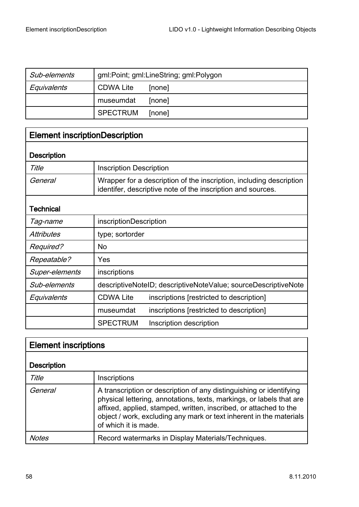<span id="page-63-0"></span>

| Sub-elements | gml:Point; gml:LineString; gml:Polygon |        |
|--------------|----------------------------------------|--------|
| Equivalents  | <b>CDWA Lite</b>                       | [none] |
|              | museumdat                              | [none] |
|              | SPECTRUM                               | [none] |

| <b>Element inscriptionDescription</b> |                                                                                                                                    |  |
|---------------------------------------|------------------------------------------------------------------------------------------------------------------------------------|--|
| <b>Description</b>                    |                                                                                                                                    |  |
| Title                                 | <b>Inscription Description</b>                                                                                                     |  |
| General                               | Wrapper for a description of the inscription, including description<br>identifer, descriptive note of the inscription and sources. |  |
| <b>Technical</b>                      |                                                                                                                                    |  |
| Tag-name                              | inscriptionDescription                                                                                                             |  |
| Attributes                            | type; sortorder                                                                                                                    |  |
| Required?                             | <b>No</b>                                                                                                                          |  |
| Repeatable?                           | Yes                                                                                                                                |  |
| Super-elements                        | inscriptions                                                                                                                       |  |
| Sub-elements                          | descriptiveNoteID; descriptiveNoteValue; sourceDescriptiveNote                                                                     |  |
| Equivalents                           | <b>CDWA Lite</b><br>inscriptions [restricted to description]                                                                       |  |
|                                       | inscriptions [restricted to description]<br>museumdat                                                                              |  |
|                                       | <b>SPECTRUM</b><br>Inscription description                                                                                         |  |

| <b>Element inscriptions</b> |                                                                                                                                                                                                                                                                                                                 |  |
|-----------------------------|-----------------------------------------------------------------------------------------------------------------------------------------------------------------------------------------------------------------------------------------------------------------------------------------------------------------|--|
| <b>Description</b>          |                                                                                                                                                                                                                                                                                                                 |  |
| Title                       | Inscriptions                                                                                                                                                                                                                                                                                                    |  |
| General                     | A transcription or description of any distinguishing or identifying<br>physical lettering, annotations, texts, markings, or labels that are<br>affixed, applied, stamped, written, inscribed, or attached to the<br>object / work, excluding any mark or text inherent in the materials<br>of which it is made. |  |
| Notes                       | Record watermarks in Display Materials/Techniques.                                                                                                                                                                                                                                                              |  |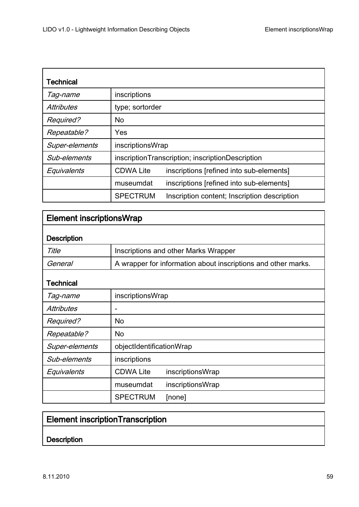| Technical         |                                                  |                                              |
|-------------------|--------------------------------------------------|----------------------------------------------|
| Tag-name          | inscriptions                                     |                                              |
| <b>Attributes</b> | type; sortorder                                  |                                              |
| Required?         | <b>No</b>                                        |                                              |
| Repeatable?       | Yes                                              |                                              |
| Super-elements    | <i>inscriptionsWrap</i>                          |                                              |
| Sub-elements      | inscriptionTranscription; inscriptionDescription |                                              |
| Equivalents       | <b>CDWA Lite</b>                                 | inscriptions [refined into sub-elements]     |
|                   | museumdat                                        | inscriptions [refined into sub-elements]     |
|                   | <b>SPECTRUM</b>                                  | Inscription content; Inscription description |

# Element inscriptionsWrap

#### **Description**

| Title   | Inscriptions and other Marks Wrapper                          |  |
|---------|---------------------------------------------------------------|--|
| General | A wrapper for information about inscriptions and other marks. |  |

#### **Technical**

| ecnnical          |                                      |  |
|-------------------|--------------------------------------|--|
| Tag-name          | inscriptionsWrap                     |  |
| <b>Attributes</b> |                                      |  |
| Required?         | No                                   |  |
| Repeatable?       | No                                   |  |
| Super-elements    | objectIdentificationWrap             |  |
| Sub-elements      | inscriptions                         |  |
| Equivalents       | <b>CDWA Lite</b><br>inscriptionsWrap |  |
|                   | museumdat<br>inscriptionsWrap        |  |
|                   | <b>SPECTRUM</b><br>[none]            |  |

# Element inscriptionTranscription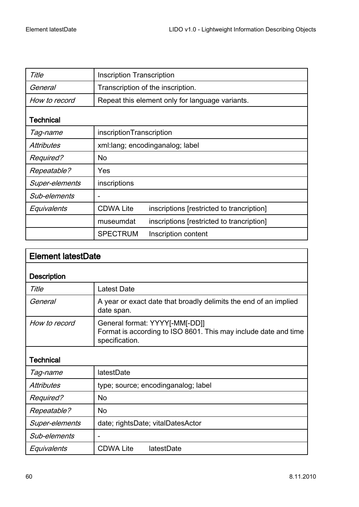<span id="page-65-0"></span>

| Title             | <b>Inscription Transcription</b>                              |  |  |
|-------------------|---------------------------------------------------------------|--|--|
| General           | Transcription of the inscription.                             |  |  |
| How to record     | Repeat this element only for language variants.               |  |  |
| Technical         |                                                               |  |  |
| Tag-name          | inscriptionTranscription                                      |  |  |
| <b>Attributes</b> | xml:lang; encodinganalog; label                               |  |  |
| Required?         | No                                                            |  |  |
| Repeatable?       | Yes                                                           |  |  |
| Super-elements    | inscriptions                                                  |  |  |
| Sub-elements      |                                                               |  |  |
| Equivalents       | <b>CDWA Lite</b><br>inscriptions [restricted to trancription] |  |  |
|                   | inscriptions [restricted to trancription]<br>museumdat        |  |  |
|                   | <b>SPECTRUM</b><br>Inscription content                        |  |  |

| <b>Element latestDate</b> |                                                                                                                     |  |
|---------------------------|---------------------------------------------------------------------------------------------------------------------|--|
| <b>Description</b>        |                                                                                                                     |  |
| Title                     | <b>Latest Date</b>                                                                                                  |  |
| General                   | A year or exact date that broadly delimits the end of an implied<br>date span.                                      |  |
| How to record             | General format: YYYY[-MM[-DD]]<br>Format is according to ISO 8601. This may include date and time<br>specification. |  |
| <b>Technical</b>          |                                                                                                                     |  |
| Tag-name                  | latestDate                                                                                                          |  |
| Attributes                | type; source; encodinganalog; label                                                                                 |  |
| Required?                 | <b>No</b>                                                                                                           |  |
| Repeatable?               | <b>No</b>                                                                                                           |  |
| Super-elements            | date; rightsDate; vitalDatesActor                                                                                   |  |
| Sub-elements              |                                                                                                                     |  |
| Equivalents               | <b>CDWA Lite</b><br>latestDate                                                                                      |  |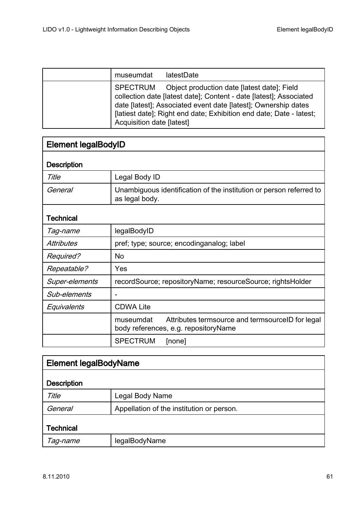| museumdat                                    | latestDate                                                                                                                                                                                                                                                 |
|----------------------------------------------|------------------------------------------------------------------------------------------------------------------------------------------------------------------------------------------------------------------------------------------------------------|
| <b>SPECTRUM</b><br>Acquisition date [latest] | Object production date [latest date]; Field<br>collection date [latest date]; Content - date [latest]; Associated<br>date [latest]; Associated event date [latest]; Ownership dates<br>[latiest date]; Right end date; Exhibition end date; Date - latest; |

| <b>Element legalBodyID</b> |                                                                                                       |  |
|----------------------------|-------------------------------------------------------------------------------------------------------|--|
| <b>Description</b>         |                                                                                                       |  |
| Title                      | Legal Body ID                                                                                         |  |
| General                    | Unambiguous identification of the institution or person referred to<br>as legal body.                 |  |
| <b>Technical</b>           |                                                                                                       |  |
| Tag-name                   | legalBodyID                                                                                           |  |
| Attributes                 | pref; type; source; encodinganalog; label                                                             |  |
| Required?                  | <b>No</b>                                                                                             |  |
| Repeatable?                | Yes                                                                                                   |  |
| Super-elements             | recordSource; repositoryName; resourceSource; rightsHolder                                            |  |
| Sub-elements               |                                                                                                       |  |
| Equivalents                | <b>CDWA Lite</b>                                                                                      |  |
|                            | museumdat<br>Attributes termsource and termsourceID for legal<br>body references, e.g. repositoryName |  |
|                            | <b>SPECTRUM</b><br>[none]                                                                             |  |

| <b>Element legalBodyName</b> |                                           |  |
|------------------------------|-------------------------------------------|--|
| <b>Description</b>           |                                           |  |
| Title                        | Legal Body Name                           |  |
| General                      | Appellation of the institution or person. |  |
| <b>Technical</b>             |                                           |  |
| Tag-name                     | legalBodyName                             |  |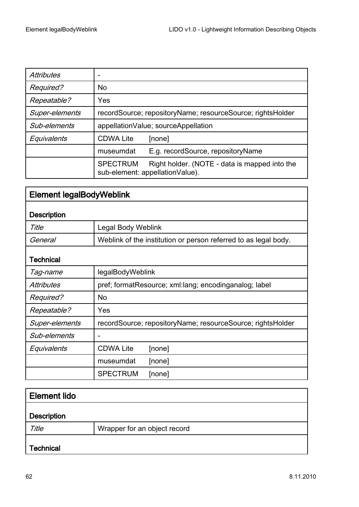<span id="page-67-0"></span>

| <b>Attributes</b> |                                                                                                     |  |  |
|-------------------|-----------------------------------------------------------------------------------------------------|--|--|
| Required?         | <b>No</b>                                                                                           |  |  |
| Repeatable?       | Yes                                                                                                 |  |  |
| Super-elements    | recordSource; repositoryName; resourceSource; rightsHolder                                          |  |  |
| Sub-elements      | appellationValue; sourceAppellation                                                                 |  |  |
| Equivalents       | <b>CDWA Lite</b><br>[none]                                                                          |  |  |
|                   | E.g. recordSource, repositoryName<br>museumdat                                                      |  |  |
|                   | Right holder. (NOTE - data is mapped into the<br><b>SPECTRUM</b><br>sub-element: appellationValue). |  |  |

| <b>Element legalBodyWeblink</b> |                                                                 |  |  |
|---------------------------------|-----------------------------------------------------------------|--|--|
| <b>Description</b>              |                                                                 |  |  |
| Title                           | <b>Legal Body Weblink</b>                                       |  |  |
| General                         | Weblink of the institution or person referred to as legal body. |  |  |
| <b>Technical</b>                |                                                                 |  |  |
| Tag-name                        | legalBodyWeblink                                                |  |  |
| <b>Attributes</b>               | pref; formatResource; xml:lang; encodinganalog; label           |  |  |
| Required?                       | <b>No</b>                                                       |  |  |
| Repeatable?                     | Yes                                                             |  |  |
| Super-elements                  | recordSource; repositoryName; resourceSource; rightsHolder      |  |  |
| Sub-elements                    | $\qquad \qquad$                                                 |  |  |
| Equivalents                     | <b>CDWA Lite</b><br>[none]                                      |  |  |
|                                 | museumdat<br>[none]                                             |  |  |
|                                 | <b>SPECTRUM</b><br>[none]                                       |  |  |

| <b>Element lido</b> |                              |
|---------------------|------------------------------|
| <b>Description</b>  |                              |
| Title               | Wrapper for an object record |
| <b>Technical</b>    |                              |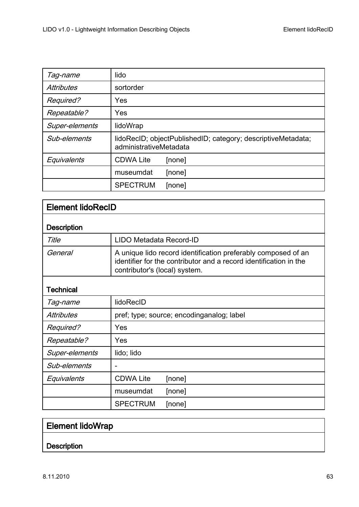| Tag-name          | lido                                                                                   |  |  |
|-------------------|----------------------------------------------------------------------------------------|--|--|
| <b>Attributes</b> | sortorder                                                                              |  |  |
| Required?         | Yes                                                                                    |  |  |
| Repeatable?       | Yes                                                                                    |  |  |
| Super-elements    | lidoWrap                                                                               |  |  |
| Sub-elements      | lidoRecID; objectPublishedID; category; descriptiveMetadata;<br>administrativeMetadata |  |  |
| Equivalents       | <b>CDWA Lite</b><br>[none]                                                             |  |  |
|                   | museumdat<br>[none]                                                                    |  |  |
|                   | <b>SPECTRUM</b><br>[none]                                                              |  |  |

| <b>Element lidoRecID</b> |                                                                                                                                                                     |  |  |
|--------------------------|---------------------------------------------------------------------------------------------------------------------------------------------------------------------|--|--|
| <b>Description</b>       |                                                                                                                                                                     |  |  |
| Title                    | LIDO Metadata Record-ID                                                                                                                                             |  |  |
| General                  | A unique lido record identification preferably composed of an<br>identifier for the contributor and a record identification in the<br>contributor's (local) system. |  |  |
| <b>Technical</b>         |                                                                                                                                                                     |  |  |
| Tag-name                 | lidoRecID                                                                                                                                                           |  |  |
| <b>Attributes</b>        | pref; type; source; encodinganalog; label                                                                                                                           |  |  |
| Required?                | Yes                                                                                                                                                                 |  |  |
| Repeatable?              | Yes                                                                                                                                                                 |  |  |
| Super-elements           | lido; lido                                                                                                                                                          |  |  |
| Sub-elements             |                                                                                                                                                                     |  |  |
| Equivalents              | <b>CDWA Lite</b><br>[none]                                                                                                                                          |  |  |
|                          | museumdat<br>[none]                                                                                                                                                 |  |  |
|                          | <b>SPECTRUM</b><br>[none]                                                                                                                                           |  |  |

# Element lidoWrap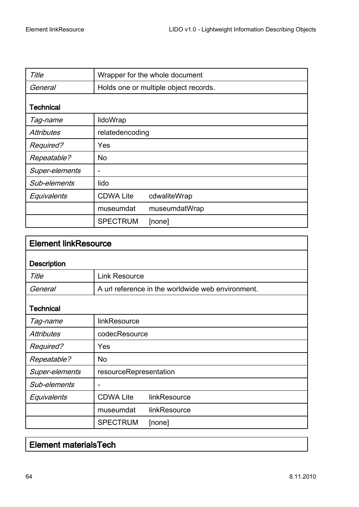<span id="page-69-0"></span>

| Title             | Wrapper for the whole document        |  |  |
|-------------------|---------------------------------------|--|--|
| General           | Holds one or multiple object records. |  |  |
| <b>Technical</b>  |                                       |  |  |
| Tag-name          | lidoWrap                              |  |  |
| <b>Attributes</b> | relatedencoding                       |  |  |
| Required?         | Yes                                   |  |  |
| Repeatable?       | No                                    |  |  |
| Super-elements    |                                       |  |  |
| Sub-elements      | lido                                  |  |  |
| Equivalents       | <b>CDWA Lite</b><br>cdwaliteWrap      |  |  |
|                   | museumdat<br>museumdatWrap            |  |  |
|                   | <b>SPECTRUM</b><br>[none]             |  |  |

| <b>Element linkResource</b> |                        |                                                   |  |
|-----------------------------|------------------------|---------------------------------------------------|--|
| <b>Description</b>          |                        |                                                   |  |
| Title                       | <b>Link Resource</b>   |                                                   |  |
| General                     |                        | A url reference in the worldwide web environment. |  |
| <b>Technical</b>            |                        |                                                   |  |
| Tag-name                    | linkResource           |                                                   |  |
| <b>Attributes</b>           | codecResource          |                                                   |  |
| Required?                   | Yes                    |                                                   |  |
| Repeatable?                 | No                     |                                                   |  |
| Super-elements              | resourceRepresentation |                                                   |  |
| Sub-elements                | -                      |                                                   |  |
| Equivalents                 | <b>CDWA Lite</b>       | linkResource                                      |  |
|                             | museumdat              | linkResource                                      |  |
|                             | <b>SPECTRUM</b>        | [none]                                            |  |

# Element materialsTech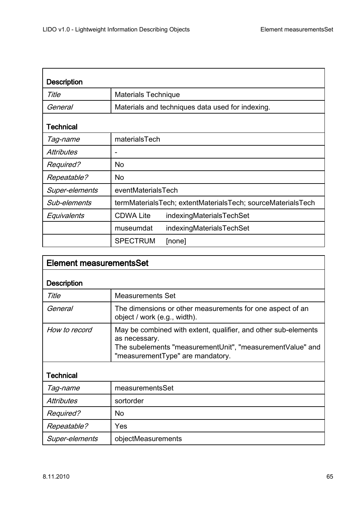<span id="page-70-0"></span>÷.

| <b>Description</b> |                                                             |  |  |
|--------------------|-------------------------------------------------------------|--|--|
| Title              | <b>Materials Technique</b>                                  |  |  |
| General            | Materials and techniques data used for indexing.            |  |  |
| Technical          |                                                             |  |  |
| Tag-name           | materialsTech                                               |  |  |
| Attributes         |                                                             |  |  |
| Required?          | No                                                          |  |  |
| Repeatable?        | <b>No</b>                                                   |  |  |
| Super-elements     | eventMaterialsTech                                          |  |  |
| Sub-elements       | termMaterialsTech; extentMaterialsTech; sourceMaterialsTech |  |  |
| Equivalents        | <b>CDWA Lite</b><br>indexingMaterialsTechSet                |  |  |
|                    | museumdat<br>indexingMaterialsTechSet                       |  |  |
|                    | <b>SPECTRUM</b><br>[none]                                   |  |  |

| <b>Element measurementsSet</b> |                                                                                                                                                                                  |
|--------------------------------|----------------------------------------------------------------------------------------------------------------------------------------------------------------------------------|
| <b>Description</b>             |                                                                                                                                                                                  |
| Title                          | <b>Measurements Set</b>                                                                                                                                                          |
| General                        | The dimensions or other measurements for one aspect of an<br>object / work (e.g., width).                                                                                        |
| How to record                  | May be combined with extent, qualifier, and other sub-elements<br>as necessary.<br>The subelements "measurementUnit", "measurementValue" and<br>"measurementType" are mandatory. |
| <b>Technical</b>               |                                                                                                                                                                                  |
| Tag-name                       | measurementsSet                                                                                                                                                                  |
| Attributes                     | sortorder                                                                                                                                                                        |
| Required?                      | No                                                                                                                                                                               |
| Repeatable?                    | Yes                                                                                                                                                                              |
| Super-elements                 | objectMeasurements                                                                                                                                                               |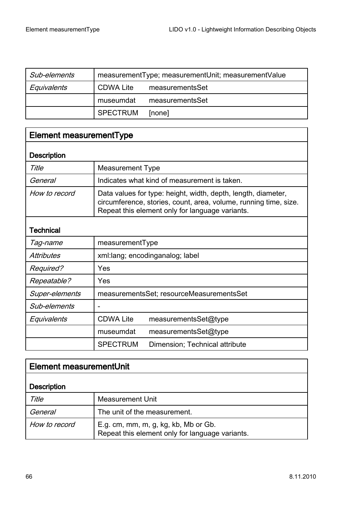| Sub-elements | measurementType; measurementUnit; measurementValue |                 |
|--------------|----------------------------------------------------|-----------------|
| Equivalents  | CDWA Lite<br>measurementsSet                       |                 |
|              | museumdat                                          | measurementsSet |
|              | <b>SPECTRUM</b>                                    | [none]          |

| <b>Element measurementType</b> |                                                                                                                                                                                      |
|--------------------------------|--------------------------------------------------------------------------------------------------------------------------------------------------------------------------------------|
| <b>Description</b>             |                                                                                                                                                                                      |
| Title                          | <b>Measurement Type</b>                                                                                                                                                              |
| General                        | Indicates what kind of measurement is taken.                                                                                                                                         |
| How to record                  | Data values for type: height, width, depth, length, diameter,<br>circumference, stories, count, area, volume, running time, size.<br>Repeat this element only for language variants. |
| <b>Technical</b>               |                                                                                                                                                                                      |
| Tag-name                       | measurementType                                                                                                                                                                      |
| <b>Attributes</b>              | xml:lang; encodinganalog; label                                                                                                                                                      |
| Required?                      | Yes                                                                                                                                                                                  |
| Repeatable?                    | Yes                                                                                                                                                                                  |
| Super-elements                 | measurementsSet; resourceMeasurementsSet                                                                                                                                             |
| Sub-elements                   |                                                                                                                                                                                      |
| Equivalents                    | <b>CDWA Lite</b><br>measurementsSet@type                                                                                                                                             |
|                                | museumdat<br>measurementsSet@type                                                                                                                                                    |
|                                | <b>SPECTRUM</b><br>Dimension; Technical attribute                                                                                                                                    |

| Element measurementUnit |                                                                                         |  |
|-------------------------|-----------------------------------------------------------------------------------------|--|
| <b>Description</b>      |                                                                                         |  |
| Title                   | <b>Measurement Unit</b>                                                                 |  |
| General                 | The unit of the measurement.                                                            |  |
| How to record           | E.g. cm, mm, m, g, kg, kb, Mb or Gb.<br>Repeat this element only for language variants. |  |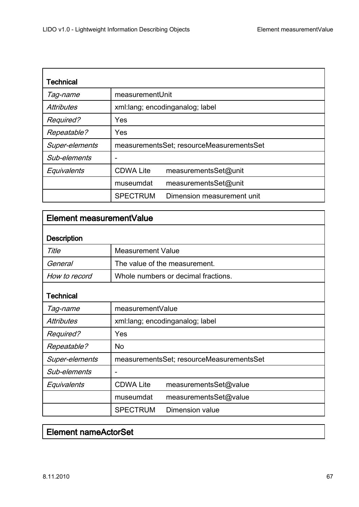<span id="page-72-0"></span>

| <b>Technical</b>  |                                               |  |
|-------------------|-----------------------------------------------|--|
| Tag-name          | measurementUnit                               |  |
| <b>Attributes</b> | xml:lang; encodinganalog; label               |  |
| Required?         | Yes                                           |  |
| Repeatable?       | Yes                                           |  |
| Super-elements    | measurementsSet; resourceMeasurementsSet      |  |
| Sub-elements      |                                               |  |
| Equivalents       | <b>CDWA Lite</b><br>measurementsSet@unit      |  |
|                   | museumdat<br>measurementsSet@unit             |  |
|                   | Dimension measurement unit<br><b>SPECTRUM</b> |  |

### Element measurementValue

#### **Description**

| <b>Description</b> |                                           |  |  |
|--------------------|-------------------------------------------|--|--|
| Title              | <b>Measurement Value</b>                  |  |  |
| General            | The value of the measurement.             |  |  |
| How to record      | Whole numbers or decimal fractions.       |  |  |
| Technical          |                                           |  |  |
| Tag-name           | measurementValue                          |  |  |
| <b>Attributes</b>  | xml:lang; encodinganalog; label           |  |  |
| Required?          | Yes                                       |  |  |
| Repeatable?        | <b>No</b>                                 |  |  |
| Super-elements     | measurementsSet; resourceMeasurementsSet  |  |  |
| Sub-elements       |                                           |  |  |
| Equivalents        | <b>CDWA Lite</b><br>measurementsSet@value |  |  |
|                    | museumdat<br>measurementsSet@value        |  |  |

SPECTRUM Dimension value

### Element nameActorSet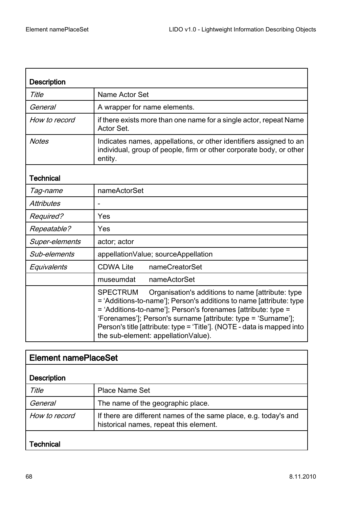<span id="page-73-0"></span>

| <b>Description</b> |                                                                                                                                                                                                                                                                                                                                                                                                 |  |  |
|--------------------|-------------------------------------------------------------------------------------------------------------------------------------------------------------------------------------------------------------------------------------------------------------------------------------------------------------------------------------------------------------------------------------------------|--|--|
| Title              | Name Actor Set                                                                                                                                                                                                                                                                                                                                                                                  |  |  |
| <b>General</b>     | A wrapper for name elements.                                                                                                                                                                                                                                                                                                                                                                    |  |  |
| How to record      | if there exists more than one name for a single actor, repeat Name<br>Actor Set.                                                                                                                                                                                                                                                                                                                |  |  |
| <b>Notes</b>       | Indicates names, appellations, or other identifiers assigned to an<br>individual, group of people, firm or other corporate body, or other<br>entity.                                                                                                                                                                                                                                            |  |  |
| <b>Technical</b>   |                                                                                                                                                                                                                                                                                                                                                                                                 |  |  |
| Tag-name           | nameActorSet                                                                                                                                                                                                                                                                                                                                                                                    |  |  |
| <b>Attributes</b>  |                                                                                                                                                                                                                                                                                                                                                                                                 |  |  |
| Required?          | Yes                                                                                                                                                                                                                                                                                                                                                                                             |  |  |
| Repeatable?        | Yes                                                                                                                                                                                                                                                                                                                                                                                             |  |  |
| Super-elements     | actor; actor                                                                                                                                                                                                                                                                                                                                                                                    |  |  |
| Sub-elements       | appellationValue; sourceAppellation                                                                                                                                                                                                                                                                                                                                                             |  |  |
| Equivalents        | <b>CDWA Lite</b><br>nameCreatorSet                                                                                                                                                                                                                                                                                                                                                              |  |  |
|                    | museumdat<br>nameActorSet                                                                                                                                                                                                                                                                                                                                                                       |  |  |
|                    | <b>SPECTRUM</b><br>Organisation's additions to name [attribute: type<br>= 'Additions-to-name']; Person's additions to name [attribute: type<br>= 'Additions-to-name']; Person's forenames [attribute: type =<br>'Forenames']; Person's surname [attribute: type = 'Surname'];<br>Person's title [attribute: type = 'Title']. (NOTE - data is mapped into<br>the sub-element: appellationValue). |  |  |

| <b>Element namePlaceSet</b> |                                                                                                            |  |
|-----------------------------|------------------------------------------------------------------------------------------------------------|--|
| <b>Description</b>          |                                                                                                            |  |
| Title                       | <b>Place Name Set</b>                                                                                      |  |
| General                     | The name of the geographic place.                                                                          |  |
| How to record               | If there are different names of the same place, e.g. today's and<br>historical names, repeat this element. |  |
| <b>Technical</b>            |                                                                                                            |  |

I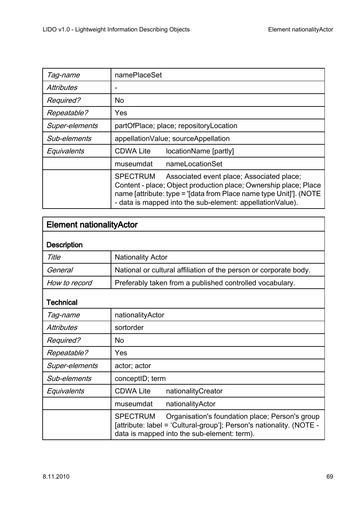| Tag-name          | namePlaceSet                                                                                                                                                                                                                                                         |  |  |
|-------------------|----------------------------------------------------------------------------------------------------------------------------------------------------------------------------------------------------------------------------------------------------------------------|--|--|
| <b>Attributes</b> |                                                                                                                                                                                                                                                                      |  |  |
| Required?         | <b>No</b>                                                                                                                                                                                                                                                            |  |  |
| Repeatable?       | Yes                                                                                                                                                                                                                                                                  |  |  |
| Super-elements    | partOfPlace; place; repositoryLocation                                                                                                                                                                                                                               |  |  |
| Sub-elements      | appellation Value; source Appellation                                                                                                                                                                                                                                |  |  |
| Equivalents       | <b>CDWA Lite</b><br>locationName [partly]                                                                                                                                                                                                                            |  |  |
|                   | nameLocationSet<br>museumdat                                                                                                                                                                                                                                         |  |  |
|                   | <b>SPECTRUM</b><br>Associated event place; Associated place;<br>Content - place; Object production place; Ownership place; Place<br>name [attribute: type = '[data from Place name type Unit]']. (NOTE<br>- data is mapped into the sub-element: appellation Value). |  |  |

| <b>Element nationalityActor</b> |                                                                                                                                                                                           |  |  |
|---------------------------------|-------------------------------------------------------------------------------------------------------------------------------------------------------------------------------------------|--|--|
| <b>Description</b>              |                                                                                                                                                                                           |  |  |
| Title                           | <b>Nationality Actor</b>                                                                                                                                                                  |  |  |
| General                         | National or cultural affiliation of the person or corporate body.                                                                                                                         |  |  |
| How to record                   | Preferably taken from a published controlled vocabulary.                                                                                                                                  |  |  |
| <b>Technical</b>                |                                                                                                                                                                                           |  |  |
| Tag-name                        | nationalityActor                                                                                                                                                                          |  |  |
| <b>Attributes</b>               | sortorder                                                                                                                                                                                 |  |  |
| Required?                       | No                                                                                                                                                                                        |  |  |
| Repeatable?                     | Yes                                                                                                                                                                                       |  |  |
| Super-elements                  | actor; actor                                                                                                                                                                              |  |  |
| Sub-elements                    | conceptID; term                                                                                                                                                                           |  |  |
| Equivalents                     | <b>CDWA Lite</b><br>nationalityCreator                                                                                                                                                    |  |  |
|                                 | museumdat<br>nationalityActor                                                                                                                                                             |  |  |
|                                 | <b>SPECTRUM</b><br>Organisation's foundation place; Person's group<br>[attribute: label = 'Cultural-group']; Person's nationality. (NOTE -<br>data is mapped into the sub-element: term). |  |  |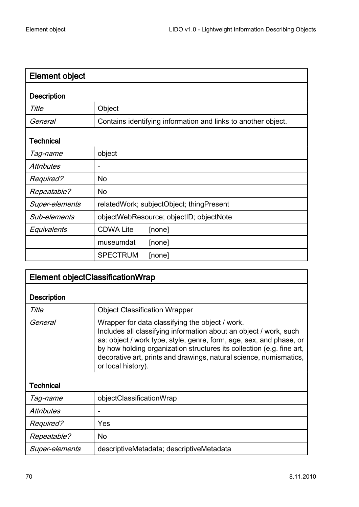<span id="page-75-0"></span>

| <b>Element object</b> |                                                               |  |  |
|-----------------------|---------------------------------------------------------------|--|--|
| <b>Description</b>    |                                                               |  |  |
| Title                 | Object                                                        |  |  |
| General               | Contains identifying information and links to another object. |  |  |
| Technical             |                                                               |  |  |
| Tag-name              | object                                                        |  |  |
| <b>Attributes</b>     | $\blacksquare$                                                |  |  |
| Required?             | <b>No</b>                                                     |  |  |
| Repeatable?           | <b>No</b>                                                     |  |  |
| Super-elements        | relatedWork; subjectObject; thingPresent                      |  |  |
| Sub-elements          | objectWebResource; objectID; objectNote                       |  |  |
| Equivalents           | <b>CDWA Lite</b><br>[none]                                    |  |  |
|                       | museumdat<br>[none]                                           |  |  |
|                       | <b>SPECTRUM</b><br>[none]                                     |  |  |

| <b>Element objectClassificationWrap</b> |                                                                                                                                                                                                                                                                                                                                                                  |  |
|-----------------------------------------|------------------------------------------------------------------------------------------------------------------------------------------------------------------------------------------------------------------------------------------------------------------------------------------------------------------------------------------------------------------|--|
| <b>Description</b>                      |                                                                                                                                                                                                                                                                                                                                                                  |  |
| Title                                   | <b>Object Classification Wrapper</b>                                                                                                                                                                                                                                                                                                                             |  |
| General                                 | Wrapper for data classifying the object / work.<br>Includes all classifying information about an object / work, such<br>as: object / work type, style, genre, form, age, sex, and phase, or<br>by how holding organization structures its collection (e.g. fine art,<br>decorative art, prints and drawings, natural science, numismatics,<br>or local history). |  |
| <b>Technical</b>                        |                                                                                                                                                                                                                                                                                                                                                                  |  |
| Tag-name                                | objectClassificationWrap                                                                                                                                                                                                                                                                                                                                         |  |
| <b>Attributes</b>                       |                                                                                                                                                                                                                                                                                                                                                                  |  |
| Required?                               | Yes                                                                                                                                                                                                                                                                                                                                                              |  |
| Repeatable?                             | <b>No</b>                                                                                                                                                                                                                                                                                                                                                        |  |
| Super-elements                          | descriptiveMetadata; descriptiveMetadata                                                                                                                                                                                                                                                                                                                         |  |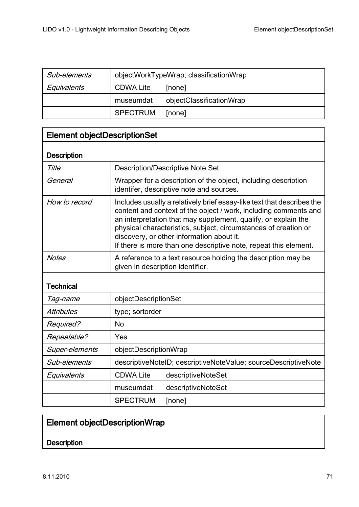<span id="page-76-0"></span>

| Sub-elements | objectWorkTypeWrap; classificationWrap |                          |
|--------------|----------------------------------------|--------------------------|
| Equivalents  | <b>CDWA Lite</b>                       | [none]                   |
|              | museumdat                              | objectClassificationWrap |
|              | <b>SPECTRUM</b>                        | [none]                   |

| <b>Element objectDescriptionSet</b> |                                                                                                                                                                                                                                                                                                                                                                                                  |  |  |
|-------------------------------------|--------------------------------------------------------------------------------------------------------------------------------------------------------------------------------------------------------------------------------------------------------------------------------------------------------------------------------------------------------------------------------------------------|--|--|
| <b>Description</b>                  |                                                                                                                                                                                                                                                                                                                                                                                                  |  |  |
| Title                               | <b>Description/Descriptive Note Set</b>                                                                                                                                                                                                                                                                                                                                                          |  |  |
| General                             | Wrapper for a description of the object, including description<br>identifer, descriptive note and sources.                                                                                                                                                                                                                                                                                       |  |  |
| How to record                       | Includes usually a relatively brief essay-like text that describes the<br>content and context of the object / work, including comments and<br>an interpretation that may supplement, qualify, or explain the<br>physical characteristics, subject, circumstances of creation or<br>discovery, or other information about it.<br>If there is more than one descriptive note, repeat this element. |  |  |
| <b>Notes</b>                        | A reference to a text resource holding the description may be<br>given in description identifier.                                                                                                                                                                                                                                                                                                |  |  |
| <b>Technical</b>                    |                                                                                                                                                                                                                                                                                                                                                                                                  |  |  |
| Tag-name                            | objectDescriptionSet                                                                                                                                                                                                                                                                                                                                                                             |  |  |
| <b>Attributes</b>                   | type; sortorder                                                                                                                                                                                                                                                                                                                                                                                  |  |  |
| Required?                           | <b>No</b>                                                                                                                                                                                                                                                                                                                                                                                        |  |  |
| Repeatable?                         | Yes                                                                                                                                                                                                                                                                                                                                                                                              |  |  |
| Super-elements                      | objectDescriptionWrap                                                                                                                                                                                                                                                                                                                                                                            |  |  |
| Sub-elements                        | descriptiveNoteID; descriptiveNoteValue; sourceDescriptiveNote                                                                                                                                                                                                                                                                                                                                   |  |  |
| Equivalents                         | <b>CDWA Lite</b><br>descriptiveNoteSet                                                                                                                                                                                                                                                                                                                                                           |  |  |
|                                     | museumdat<br>descriptiveNoteSet                                                                                                                                                                                                                                                                                                                                                                  |  |  |
|                                     | <b>SPECTRUM</b><br>[none]                                                                                                                                                                                                                                                                                                                                                                        |  |  |

## Element objectDescriptionWrap

### Description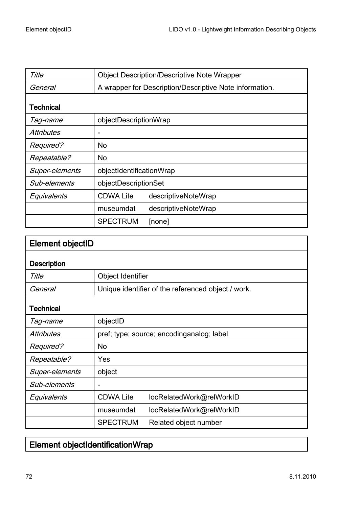<span id="page-77-0"></span>

| Title             | <b>Object Description/Descriptive Note Wrapper</b>      |  |  |
|-------------------|---------------------------------------------------------|--|--|
| General           | A wrapper for Description/Descriptive Note information. |  |  |
| <b>Technical</b>  |                                                         |  |  |
| Tag-name          | objectDescriptionWrap                                   |  |  |
| <b>Attributes</b> |                                                         |  |  |
| Required?         | <b>No</b>                                               |  |  |
| Repeatable?       | No                                                      |  |  |
| Super-elements    | objectIdentificationWrap                                |  |  |
| Sub-elements      | objectDescriptionSet                                    |  |  |
| Equivalents       | <b>CDWA Lite</b><br>descriptiveNoteWrap                 |  |  |
|                   | descriptiveNoteWrap<br>museumdat                        |  |  |
|                   | <b>SPECTRUM</b><br>[none]                               |  |  |

| <b>Element objectID</b> |                                                    |                          |  |
|-------------------------|----------------------------------------------------|--------------------------|--|
| <b>Description</b>      |                                                    |                          |  |
| Title                   |                                                    | Object Identifier        |  |
| General                 | Unique identifier of the referenced object / work. |                          |  |
| Technical               |                                                    |                          |  |
| Tag-name                | objectID                                           |                          |  |
| <b>Attributes</b>       | pref; type; source; encodinganalog; label          |                          |  |
| Required?               | <b>No</b>                                          |                          |  |
| Repeatable?             | Yes                                                |                          |  |
| Super-elements          | object                                             |                          |  |
| Sub-elements            |                                                    |                          |  |
| Equivalents             | <b>CDWA Lite</b>                                   | locRelatedWork@relWorkID |  |
|                         | museumdat                                          | locRelatedWork@relWorkID |  |
|                         | <b>SPECTRUM</b>                                    | Related object number    |  |

## Element objectIdentificationWrap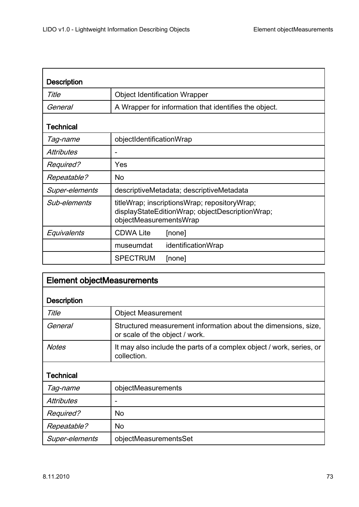<span id="page-78-0"></span>

| <b>Description</b> |                                                                                                                           |  |
|--------------------|---------------------------------------------------------------------------------------------------------------------------|--|
| Title              | <b>Object Identification Wrapper</b>                                                                                      |  |
| General            | A Wrapper for information that identifies the object.                                                                     |  |
| Technical          |                                                                                                                           |  |
| Tag-name           | objectIdentificationWrap                                                                                                  |  |
| <b>Attributes</b>  |                                                                                                                           |  |
| Required?          | Yes                                                                                                                       |  |
| Repeatable?        | <b>No</b>                                                                                                                 |  |
| Super-elements     | descriptiveMetadata; descriptiveMetadata                                                                                  |  |
| Sub-elements       | titleWrap; inscriptionsWrap; repositoryWrap;<br>displayStateEditionWrap; objectDescriptionWrap;<br>objectMeasurementsWrap |  |
| Equivalents        | <b>CDWA Lite</b><br>[none]                                                                                                |  |
|                    | <i>identificationWrap</i><br>museumdat                                                                                    |  |
|                    | <b>SPECTRUM</b><br>[none]                                                                                                 |  |

| <b>Element objectMeasurements</b> |                                                                                                  |
|-----------------------------------|--------------------------------------------------------------------------------------------------|
| <b>Description</b>                |                                                                                                  |
| Title                             | <b>Object Measurement</b>                                                                        |
| General                           | Structured measurement information about the dimensions, size,<br>or scale of the object / work. |
| <b>Notes</b>                      | It may also include the parts of a complex object / work, series, or<br>collection.              |
| <b>Technical</b>                  |                                                                                                  |
| Tag-name                          | objectMeasurements                                                                               |
| <b>Attributes</b>                 |                                                                                                  |
| Required?                         | No                                                                                               |
| Repeatable?                       | <b>No</b>                                                                                        |
| Super-elements                    | objectMeasurementsSet                                                                            |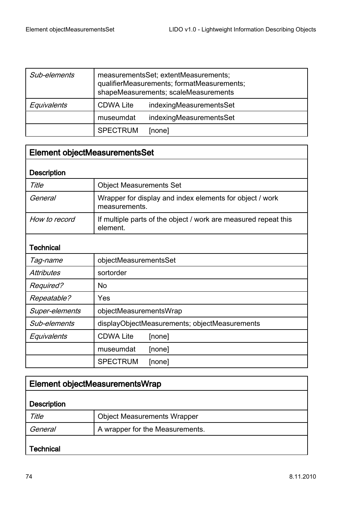<span id="page-79-0"></span>

| Sub-elements | measurementsSet; extentMeasurements;<br>qualifierMeasurements; formatMeasurements;<br>shapeMeasurements; scaleMeasurements |                         |
|--------------|----------------------------------------------------------------------------------------------------------------------------|-------------------------|
| Equivalents  | <b>CDWA Lite</b>                                                                                                           | indexingMeasurementsSet |
|              | museumdat                                                                                                                  | indexingMeasurementsSet |
|              | <b>SPECTRUM</b>                                                                                                            | [none]                  |

| Element objectMeasurementsSet |                                                                             |  |
|-------------------------------|-----------------------------------------------------------------------------|--|
| <b>Description</b>            |                                                                             |  |
| Title                         | <b>Object Measurements Set</b>                                              |  |
| General                       | Wrapper for display and index elements for object / work<br>measurements.   |  |
| How to record                 | If multiple parts of the object / work are measured repeat this<br>element. |  |
| <b>Technical</b>              |                                                                             |  |
| Tag-name                      | objectMeasurementsSet                                                       |  |
| <b>Attributes</b>             | sortorder                                                                   |  |
| Required?                     | <b>No</b>                                                                   |  |
| Repeatable?                   | Yes                                                                         |  |
| Super-elements                | objectMeasurementsWrap                                                      |  |
| Sub-elements                  | displayObjectMeasurements; objectMeasurements                               |  |
| Equivalents                   | <b>CDWA Lite</b><br>[none]                                                  |  |
|                               | museumdat<br>[none]                                                         |  |
|                               | <b>SPECTRUM</b><br>[none]                                                   |  |

| Element objectMeasurementsWrap |                                    |  |
|--------------------------------|------------------------------------|--|
| <b>Description</b>             |                                    |  |
| Title                          | <b>Object Measurements Wrapper</b> |  |
| General                        | A wrapper for the Measurements.    |  |
| <b>Technical</b>               |                                    |  |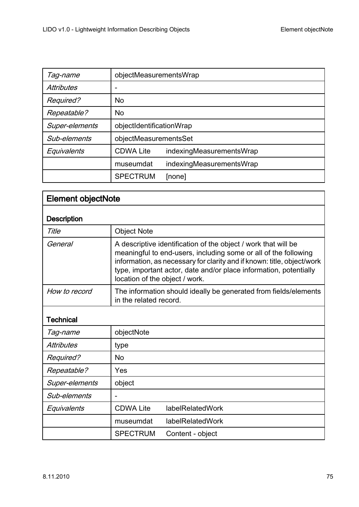<span id="page-80-0"></span>

| Tag-name          | objectMeasurementsWrap   |                          |
|-------------------|--------------------------|--------------------------|
| <b>Attributes</b> |                          |                          |
| Required?         | No                       |                          |
| Repeatable?       | No                       |                          |
| Super-elements    | objectIdentificationWrap |                          |
| Sub-elements      | objectMeasurementsSet    |                          |
| Equivalents       | <b>CDWA Lite</b>         | indexingMeasurementsWrap |
|                   | museumdat                | indexingMeasurementsWrap |
|                   | <b>SPECTRUM</b>          | [none]                   |

| <b>Element objectNote</b> |                                                                                                                                                                                                                                                                                                                    |  |
|---------------------------|--------------------------------------------------------------------------------------------------------------------------------------------------------------------------------------------------------------------------------------------------------------------------------------------------------------------|--|
| <b>Description</b>        |                                                                                                                                                                                                                                                                                                                    |  |
| Title                     | <b>Object Note</b>                                                                                                                                                                                                                                                                                                 |  |
| General                   | A descriptive identification of the object / work that will be<br>meaningful to end-users, including some or all of the following<br>information, as necessary for clarity and if known: title, object/work<br>type, important actor, date and/or place information, potentially<br>location of the object / work. |  |
| How to record             | The information should ideally be generated from fields/elements<br>in the related record.                                                                                                                                                                                                                         |  |
| <b>Technical</b>          |                                                                                                                                                                                                                                                                                                                    |  |
| Tag-name                  | objectNote                                                                                                                                                                                                                                                                                                         |  |
| <b>Attributes</b>         | type                                                                                                                                                                                                                                                                                                               |  |
| Required?                 | No                                                                                                                                                                                                                                                                                                                 |  |
| Repeatable?               | Yes                                                                                                                                                                                                                                                                                                                |  |
| Super-elements            | object                                                                                                                                                                                                                                                                                                             |  |
| Sub-elements              |                                                                                                                                                                                                                                                                                                                    |  |
| Equivalents               | <b>CDWA Lite</b><br><b>labelRelatedWork</b>                                                                                                                                                                                                                                                                        |  |
|                           | <b>labelRelatedWork</b><br>museumdat                                                                                                                                                                                                                                                                               |  |
|                           | <b>SPECTRUM</b><br>Content - object                                                                                                                                                                                                                                                                                |  |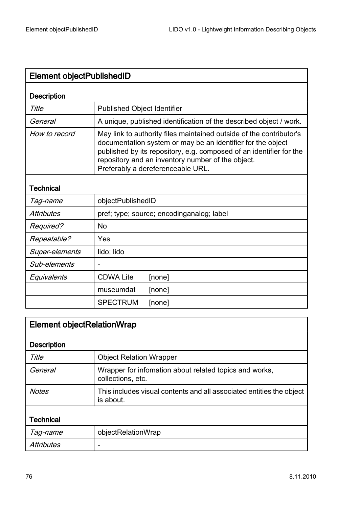<span id="page-81-0"></span>

| <b>Element objectPublishedID</b> |                                                                                                                                                                                                                                                                                                     |  |
|----------------------------------|-----------------------------------------------------------------------------------------------------------------------------------------------------------------------------------------------------------------------------------------------------------------------------------------------------|--|
| <b>Description</b>               |                                                                                                                                                                                                                                                                                                     |  |
| Title                            | <b>Published Object Identifier</b>                                                                                                                                                                                                                                                                  |  |
| General                          | A unique, published identification of the described object / work.                                                                                                                                                                                                                                  |  |
| How to record                    | May link to authority files maintained outside of the contributor's<br>documentation system or may be an identifier for the object<br>published by its repository, e.g. composed of an identifier for the<br>repository and an inventory number of the object.<br>Preferably a dereferenceable URL. |  |
| <b>Technical</b>                 |                                                                                                                                                                                                                                                                                                     |  |
| Tag-name                         | objectPublishedID                                                                                                                                                                                                                                                                                   |  |
| <b>Attributes</b>                | pref; type; source; encodinganalog; label                                                                                                                                                                                                                                                           |  |
| Required?                        | <b>No</b>                                                                                                                                                                                                                                                                                           |  |
| Repeatable?                      | Yes                                                                                                                                                                                                                                                                                                 |  |
| Super-elements                   | lido; lido                                                                                                                                                                                                                                                                                          |  |
| Sub-elements                     |                                                                                                                                                                                                                                                                                                     |  |
| Equivalents                      | <b>CDWA Lite</b><br>[none]                                                                                                                                                                                                                                                                          |  |
|                                  | museumdat<br>[none]                                                                                                                                                                                                                                                                                 |  |
|                                  | <b>SPECTRUM</b><br>[none]                                                                                                                                                                                                                                                                           |  |

| <b>Element objectRelationWrap</b> |                                                                                   |
|-----------------------------------|-----------------------------------------------------------------------------------|
| <b>Description</b>                |                                                                                   |
| Title                             | <b>Object Relation Wrapper</b>                                                    |
| General                           | Wrapper for infomation about related topics and works,<br>collections, etc.       |
| <b>Notes</b>                      | This includes visual contents and all associated entities the object<br>is about. |
| <b>Technical</b>                  |                                                                                   |
| Tag-name                          | objectRelationWrap                                                                |
| <b>Attributes</b>                 |                                                                                   |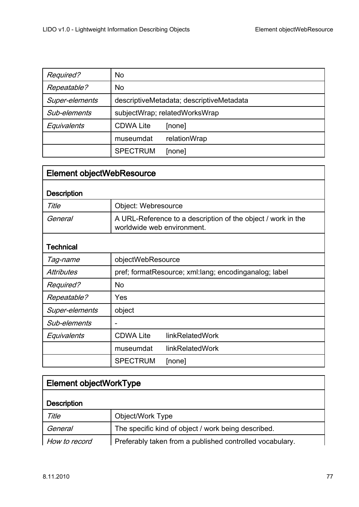<span id="page-82-0"></span>

| Required?      | No                                       |  |
|----------------|------------------------------------------|--|
| Repeatable?    | No                                       |  |
| Super-elements | descriptiveMetadata; descriptiveMetadata |  |
| Sub-elements   | subjectWrap; relatedWorksWrap            |  |
| Equivalents    | <b>CDWA Lite</b><br>[none]               |  |
|                | museumdat<br>relationWrap                |  |
|                | <b>SPECTRUM</b><br>[none]                |  |

| <b>Element objectWebResource</b> |                                                                                            |  |
|----------------------------------|--------------------------------------------------------------------------------------------|--|
| <b>Description</b>               |                                                                                            |  |
| Title                            | Object: Webresource                                                                        |  |
| General                          | A URL-Reference to a description of the object / work in the<br>worldwide web environment. |  |
| <b>Technical</b>                 |                                                                                            |  |
| Tag-name                         | objectWebResource                                                                          |  |
| Attributes                       | pref; formatResource; xml:lang; encodinganalog; label                                      |  |
| Required?                        | <b>No</b>                                                                                  |  |
| Repeatable?                      | Yes                                                                                        |  |
| Super-elements                   | object                                                                                     |  |
| Sub-elements                     |                                                                                            |  |
| Equivalents                      | <b>CDWA Lite</b><br><b>linkRelatedWork</b>                                                 |  |
|                                  | museumdat<br><b>linkRelatedWork</b>                                                        |  |
|                                  | <b>SPECTRUM</b><br>[none]                                                                  |  |

| <b>Element objectWorkType</b> |                                                          |
|-------------------------------|----------------------------------------------------------|
| <b>Description</b>            |                                                          |
| Title                         | Object/Work Type                                         |
| General                       | The specific kind of object / work being described.      |
| How to record                 | Preferably taken from a published controlled vocabulary. |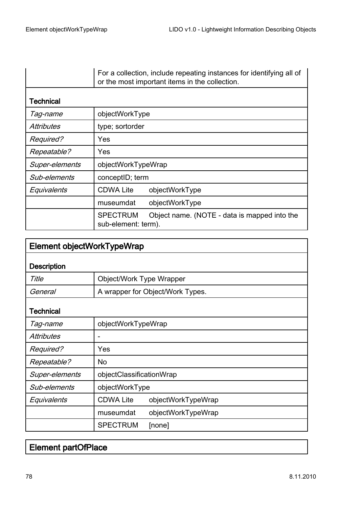<span id="page-83-0"></span>

|                   | For a collection, include repeating instances for identifying all of<br>or the most important items in the collection. |
|-------------------|------------------------------------------------------------------------------------------------------------------------|
| Technical         |                                                                                                                        |
| Tag-name          | objectWorkType                                                                                                         |
| <b>Attributes</b> | type; sortorder                                                                                                        |
| Required?         | Yes                                                                                                                    |
| Repeatable?       | Yes                                                                                                                    |
| Super-elements    | objectWorkTypeWrap                                                                                                     |
| Sub-elements      | conceptID; term                                                                                                        |
| Equivalents       | <b>CDWA Lite</b><br>objectWorkType                                                                                     |
|                   | museumdat<br>objectWorkType                                                                                            |
|                   | <b>SPECTRUM</b><br>Object name. (NOTE - data is mapped into the<br>sub-element: term).                                 |

| <b>Element objectWorkTypeWrap</b> |                          |                                  |
|-----------------------------------|--------------------------|----------------------------------|
| <b>Description</b>                |                          |                                  |
| Title                             | Object/Work Type Wrapper |                                  |
| General                           |                          | A wrapper for Object/Work Types. |
| <b>Technical</b>                  |                          |                                  |
| Tag-name                          | objectWorkTypeWrap       |                                  |
| <b>Attributes</b>                 | -                        |                                  |
| Required?                         | Yes                      |                                  |
| Repeatable?                       | No                       |                                  |
| Super-elements                    | objectClassificationWrap |                                  |
| Sub-elements                      | objectWorkType           |                                  |
| Equivalents                       | <b>CDWA Lite</b>         | objectWorkTypeWrap               |
|                                   | museumdat                | objectWorkTypeWrap               |
|                                   | <b>SPECTRUM</b>          | [none]                           |

## Element partOfPlace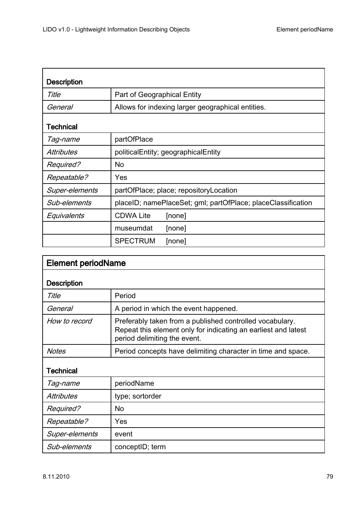| <b>Description</b> |                                                              |
|--------------------|--------------------------------------------------------------|
| Title              | Part of Geographical Entity                                  |
| General            | Allows for indexing larger geographical entities.            |
| Technical          |                                                              |
| Tag-name           | partOfPlace                                                  |
| Attributes         | politicalEntity; geographicalEntity                          |
| Required?          | <b>No</b>                                                    |
| Repeatable?        | Yes                                                          |
| Super-elements     | partOfPlace; place; repositoryLocation                       |
| Sub-elements       | placeID; namePlaceSet; gml; partOfPlace; placeClassification |
| Equivalents        | <b>CDWA Lite</b><br>[none]                                   |
|                    | museumdat<br>[none]                                          |
|                    | <b>SPECTRUM</b><br>[none]                                    |

| <b>Element periodName</b> |                                                                                                                                                            |  |
|---------------------------|------------------------------------------------------------------------------------------------------------------------------------------------------------|--|
| <b>Description</b>        |                                                                                                                                                            |  |
| Title                     | Period                                                                                                                                                     |  |
| General                   | A period in which the event happened.                                                                                                                      |  |
| How to record             | Preferably taken from a published controlled vocabulary.<br>Repeat this element only for indicating an earliest and latest<br>period delimiting the event. |  |
| <b>Notes</b>              | Period concepts have delimiting character in time and space.                                                                                               |  |
| Technical                 |                                                                                                                                                            |  |
| Tag-name                  | periodName                                                                                                                                                 |  |
| Attributes                | type; sortorder                                                                                                                                            |  |
| Required?                 | <b>No</b>                                                                                                                                                  |  |
| Repeatable?               | Yes                                                                                                                                                        |  |
| Super-elements            | event                                                                                                                                                      |  |
| Sub-elements              | conceptID; term                                                                                                                                            |  |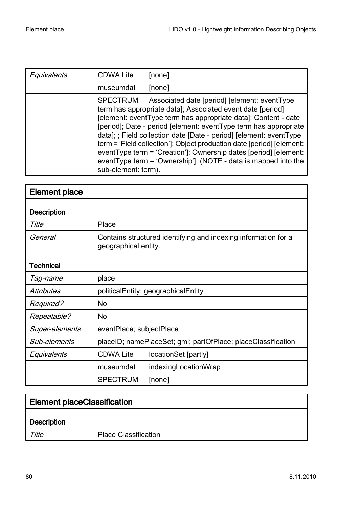<span id="page-85-0"></span>

| Equivalents | <b>CDWA Lite</b>                       | [none]                                                                                                                                                                                                                                                                                                                                                                                                                                                                                                                                 |
|-------------|----------------------------------------|----------------------------------------------------------------------------------------------------------------------------------------------------------------------------------------------------------------------------------------------------------------------------------------------------------------------------------------------------------------------------------------------------------------------------------------------------------------------------------------------------------------------------------------|
|             | museumdat                              | [none]                                                                                                                                                                                                                                                                                                                                                                                                                                                                                                                                 |
|             | <b>SPECTRUM</b><br>sub-element: term). | Associated date [period] [element: eventType<br>term has appropriate data]; Associated event date [period]<br>[element: eventType term has appropriate data]; Content - date<br>[period]; Date - period [element: eventType term has appropriate<br>data]; ; Field collection date [Date - period] [element: eventType<br>term = 'Field collection']; Object production date [period] [element:<br>eventType term = 'Creation']; Ownership dates [period] [element:<br>event Type term = 'Ownership']. (NOTE - data is mapped into the |

| <b>Element place</b> |                                                                                        |
|----------------------|----------------------------------------------------------------------------------------|
| <b>Description</b>   |                                                                                        |
| Title                | Place                                                                                  |
| General              | Contains structured identifying and indexing information for a<br>geographical entity. |
| <b>Technical</b>     |                                                                                        |
| Tag-name             | place                                                                                  |
| <b>Attributes</b>    | politicalEntity; geographicalEntity                                                    |
| Required?            | No                                                                                     |
| Repeatable?          | No                                                                                     |
| Super-elements       | eventPlace; subjectPlace                                                               |
| Sub-elements         | placeID; namePlaceSet; gml; partOfPlace; placeClassification                           |
| Equivalents          | <b>CDWA Lite</b><br>locationSet [partly]                                               |
|                      | museumdat<br>indexingLocationWrap                                                      |
|                      | <b>SPECTRUM</b><br>[none]                                                              |

| <b>Element placeClassification</b> |                             |  |
|------------------------------------|-----------------------------|--|
| <b>Description</b>                 |                             |  |
| Title                              | <b>Place Classification</b> |  |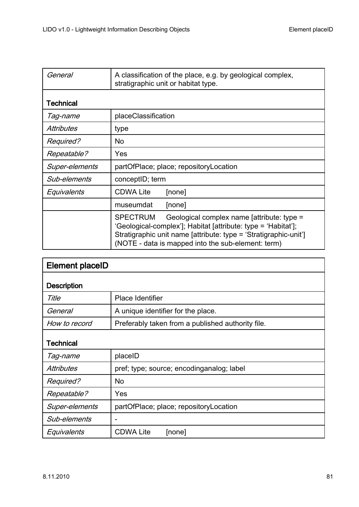<span id="page-86-0"></span>

| General           | A classification of the place, e.g. by geological complex,<br>stratigraphic unit or habitat type.                                                                                                                                                                   |
|-------------------|---------------------------------------------------------------------------------------------------------------------------------------------------------------------------------------------------------------------------------------------------------------------|
| <b>Technical</b>  |                                                                                                                                                                                                                                                                     |
| Tag-name          | placeClassification                                                                                                                                                                                                                                                 |
| <b>Attributes</b> | type                                                                                                                                                                                                                                                                |
| Required?         | <b>No</b>                                                                                                                                                                                                                                                           |
| Repeatable?       | Yes                                                                                                                                                                                                                                                                 |
| Super-elements    | partOfPlace; place; repositoryLocation                                                                                                                                                                                                                              |
| Sub-elements      | conceptID; term                                                                                                                                                                                                                                                     |
| Equivalents       | <b>CDWA Lite</b><br>[none]                                                                                                                                                                                                                                          |
|                   | museumdat<br>[none]                                                                                                                                                                                                                                                 |
|                   | <b>SPECTRUM</b><br>Geological complex name [attribute: type =<br>'Geological-complex'];            Habitat [attribute: type = 'Habitat'];<br>Stratigraphic unit name [attribute: type = 'Stratigraphic-unit']<br>(NOTE - data is mapped into the sub-element: term) |

| <b>Element placeID</b> |                                                   |
|------------------------|---------------------------------------------------|
| <b>Description</b>     |                                                   |
| Title                  | <b>Place Identifier</b>                           |
| General                | A unique identifier for the place.                |
| How to record          | Preferably taken from a published authority file. |
| Technical              |                                                   |
| Tag-name               | placeID                                           |
| <b>Attributes</b>      | pref; type; source; encodinganalog; label         |
| Required?              | No                                                |
| Repeatable?            | Yes                                               |
| Super-elements         | partOfPlace; place; repositoryLocation            |
| Sub-elements           | $\qquad \qquad \blacksquare$                      |
| Equivalents            | <b>CDWA Lite</b><br>[none]                        |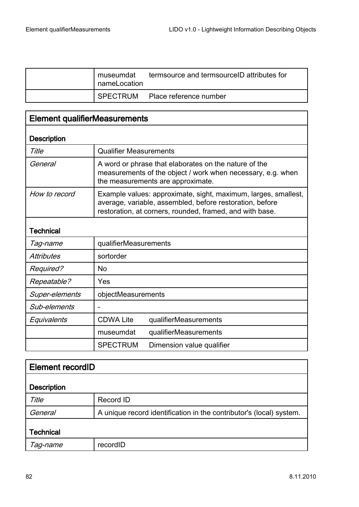г

<span id="page-87-0"></span>

| l museumdat<br>nameLocation | termsource and termsource ID attributes for |
|-----------------------------|---------------------------------------------|
|                             | SPECTRUM Place reference number             |

| <b>Element qualifierMeasurements</b> |                                                                                                                                                                                        |  |
|--------------------------------------|----------------------------------------------------------------------------------------------------------------------------------------------------------------------------------------|--|
| <b>Description</b>                   |                                                                                                                                                                                        |  |
| Title                                | <b>Qualifier Measurements</b>                                                                                                                                                          |  |
| General                              | A word or phrase that elaborates on the nature of the<br>measurements of the object / work when necessary, e.g. when<br>the measurements are approximate.                              |  |
| How to record                        | Example values: approximate, sight, maximum, larges, smallest,<br>average, variable, assembled, before restoration, before<br>restoration, at corners, rounded, framed, and with base. |  |
| <b>Technical</b>                     |                                                                                                                                                                                        |  |
| Tag-name                             | qualifierMeasurements                                                                                                                                                                  |  |
| <b>Attributes</b>                    | sortorder                                                                                                                                                                              |  |
| Required?                            | <b>No</b>                                                                                                                                                                              |  |
| Repeatable?                          | Yes                                                                                                                                                                                    |  |
| Super-elements                       | objectMeasurements                                                                                                                                                                     |  |
| Sub-elements                         |                                                                                                                                                                                        |  |
| Equivalents                          | <b>CDWA Lite</b><br>qualifierMeasurements                                                                                                                                              |  |
|                                      | museumdat<br>qualifierMeasurements                                                                                                                                                     |  |
|                                      | <b>SPECTRUM</b><br>Dimension value qualifier                                                                                                                                           |  |

| <b>Element recordID</b> |                                                                     |  |
|-------------------------|---------------------------------------------------------------------|--|
| <b>Description</b>      |                                                                     |  |
| Title                   | Record ID                                                           |  |
| General                 | A unique record identification in the contributor's (local) system. |  |
| <b>Technical</b>        |                                                                     |  |
| Tag-name                | recordID                                                            |  |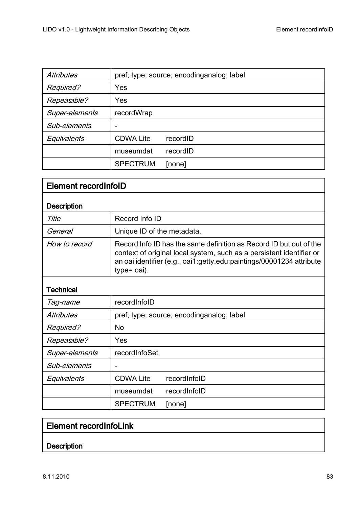<span id="page-88-0"></span>

| <b>Attributes</b> | pref; type; source; encodinganalog; label |  |
|-------------------|-------------------------------------------|--|
| Required?         | Yes                                       |  |
| Repeatable?       | Yes                                       |  |
| Super-elements    | recordWrap                                |  |
| Sub-elements      |                                           |  |
| Equivalents       | <b>CDWA Lite</b><br>recordID              |  |
|                   | museumdat<br>recordID                     |  |
|                   | <b>SPECTRUM</b><br>[none]                 |  |

| Element record InfoID |                                                                                                                                                                                                                                   |  |
|-----------------------|-----------------------------------------------------------------------------------------------------------------------------------------------------------------------------------------------------------------------------------|--|
| <b>Description</b>    |                                                                                                                                                                                                                                   |  |
| Title                 | Record Info ID                                                                                                                                                                                                                    |  |
| <b>General</b>        | Unique ID of the metadata.                                                                                                                                                                                                        |  |
| How to record         | Record Info ID has the same definition as Record ID but out of the<br>context of original local system, such as a persistent identifier or<br>an oai identifier (e.g., oai1:getty.edu:paintings/00001234 attribute<br>type= oai). |  |
| <b>Technical</b>      |                                                                                                                                                                                                                                   |  |
| Tag-name              | recordInfoID                                                                                                                                                                                                                      |  |
| <b>Attributes</b>     | pref; type; source; encodinganalog; label                                                                                                                                                                                         |  |
| Required?             | <b>No</b>                                                                                                                                                                                                                         |  |
| Repeatable?           | Yes                                                                                                                                                                                                                               |  |
| Super-elements        | recordInfoSet                                                                                                                                                                                                                     |  |
| Sub-elements          |                                                                                                                                                                                                                                   |  |
| Equivalents           | <b>CDWA Lite</b><br>recordInfoID                                                                                                                                                                                                  |  |
|                       | recordInfoID<br>museumdat                                                                                                                                                                                                         |  |
|                       | <b>SPECTRUM</b><br>[none]                                                                                                                                                                                                         |  |

### Element recordInfoLink

### **Description**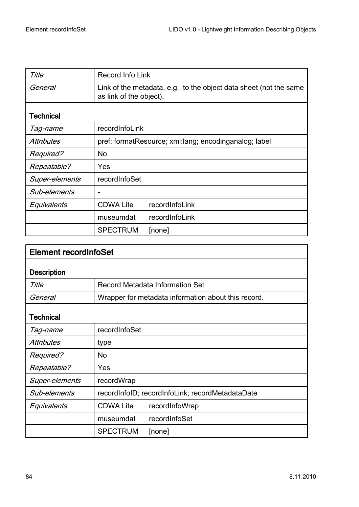<span id="page-89-0"></span>

| Title             | <b>Record Info Link</b>                                                                       |
|-------------------|-----------------------------------------------------------------------------------------------|
| General           | Link of the metadata, e.g., to the object data sheet (not the same<br>as link of the object). |
| Technical         |                                                                                               |
| Tag-name          | recordInfoLink                                                                                |
| <b>Attributes</b> | pref; formatResource; xml:lang; encodinganalog; label                                         |
| Required?         | <b>No</b>                                                                                     |
| Repeatable?       | Yes                                                                                           |
| Super-elements    | recordInfoSet                                                                                 |
| Sub-elements      |                                                                                               |
| Equivalents       | <b>CDWA Lite</b><br>recordInfoLink                                                            |
|                   | recordInfoLink<br>museumdat                                                                   |
|                   | <b>SPECTRUM</b><br>[none]                                                                     |

| <b>Element recordinfoSet</b> |                                                     |
|------------------------------|-----------------------------------------------------|
| <b>Description</b>           |                                                     |
| Title                        | Record Metadata Information Set                     |
| General                      | Wrapper for metadata information about this record. |
| <b>Technical</b>             |                                                     |
| Tag-name                     | recordInfoSet                                       |
| Attributes                   | type                                                |
| Required?                    | No                                                  |
| Repeatable?                  | Yes                                                 |
| Super-elements               | recordWrap                                          |
| Sub-elements                 | recordInfoID; recordInfoLink; recordMetadataDate    |
| Equivalents                  | <b>CDWA Lite</b><br>recordInfoWrap                  |
|                              | recordInfoSet<br>museumdat                          |
|                              | <b>SPECTRUM</b><br>[none]                           |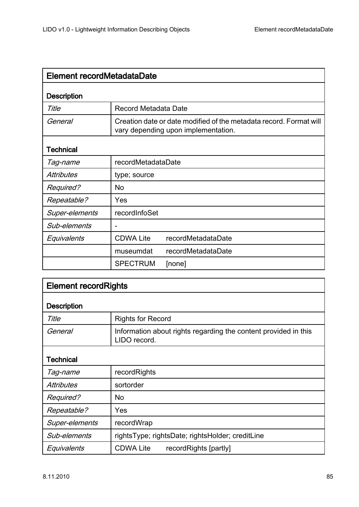<span id="page-90-0"></span>÷.

| Element recordMetadataDate |                                                                                                           |
|----------------------------|-----------------------------------------------------------------------------------------------------------|
| <b>Description</b>         |                                                                                                           |
| Title                      | <b>Record Metadata Date</b>                                                                               |
| General                    | Creation date or date modified of the metadata record. Format will<br>vary depending upon implementation. |
| Technical                  |                                                                                                           |
| Tag-name                   | recordMetadataDate                                                                                        |
| <b>Attributes</b>          | type; source                                                                                              |
| Required?                  | No                                                                                                        |
| Repeatable?                | Yes                                                                                                       |
| Super-elements             | recordInfoSet                                                                                             |
| Sub-elements               |                                                                                                           |
| Equivalents                | <b>CDWA Lite</b><br>recordMetadataDate                                                                    |
|                            | recordMetadataDate<br>museumdat                                                                           |
|                            | <b>SPECTRUM</b><br>[none]                                                                                 |

| <b>Element record Rights</b> |                                                                                 |
|------------------------------|---------------------------------------------------------------------------------|
| <b>Description</b>           |                                                                                 |
| Title                        | <b>Rights for Record</b>                                                        |
| <b>General</b>               | Information about rights regarding the content provided in this<br>LIDO record. |
| Technical                    |                                                                                 |
| Tag-name                     | recordRights                                                                    |
| <b>Attributes</b>            | sortorder                                                                       |
| Required?                    | No                                                                              |
| Repeatable?                  | Yes                                                                             |
| Super-elements               | recordWrap                                                                      |
| Sub-elements                 | rightsType; rightsDate; rightsHolder; creditLine                                |
| Equivalents                  | <b>CDWA Lite</b><br>recordRights [partly]                                       |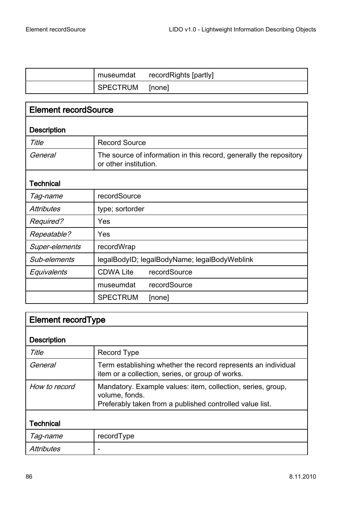<span id="page-91-0"></span>

| museumdat       | recordRights [partly] |
|-----------------|-----------------------|
| <b>SPECTRUM</b> | [none]                |

| <b>Element recordSource</b> |                                                                                             |
|-----------------------------|---------------------------------------------------------------------------------------------|
| <b>Description</b>          |                                                                                             |
| Title                       | <b>Record Source</b>                                                                        |
| General                     | The source of information in this record, generally the repository<br>or other institution. |
| <b>Technical</b>            |                                                                                             |
| Tag-name                    | recordSource                                                                                |
| <b>Attributes</b>           | type; sortorder                                                                             |
| Required?                   | Yes                                                                                         |
| Repeatable?                 | Yes                                                                                         |
| Super-elements              | recordWrap                                                                                  |
| Sub-elements                | legalBodyID; legalBodyName; legalBodyWeblink                                                |
| Equivalents                 | <b>CDWA Lite</b><br>recordSource                                                            |
|                             | recordSource<br>museumdat                                                                   |
|                             | <b>SPECTRUM</b><br>[none]                                                                   |

| Element record Type |                                                                                                                                           |
|---------------------|-------------------------------------------------------------------------------------------------------------------------------------------|
| <b>Description</b>  |                                                                                                                                           |
| Title               | Record Type                                                                                                                               |
| General             | Term establishing whether the record represents an individual<br>item or a collection, series, or group of works.                         |
| How to record       | Mandatory. Example values: item, collection, series, group,<br>volume, fonds.<br>Preferably taken from a published controlled value list. |
| <b>Technical</b>    |                                                                                                                                           |
| Tag-name            | recordType                                                                                                                                |
| <b>Attributes</b>   |                                                                                                                                           |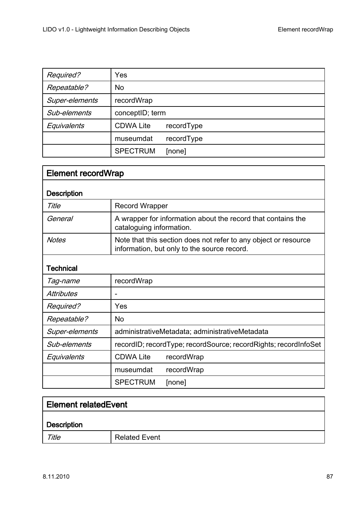<span id="page-92-0"></span>

| Required?      | Yes              |            |
|----------------|------------------|------------|
| Repeatable?    | No               |            |
| Super-elements | recordWrap       |            |
| Sub-elements   | conceptID; term  |            |
| Equivalents    | <b>CDWA Lite</b> | recordType |
|                | museumdat        | recordType |
|                | <b>SPECTRUM</b>  | [none]     |

| <b>Element recordWrap</b> |                                                                                                                |
|---------------------------|----------------------------------------------------------------------------------------------------------------|
| <b>Description</b>        |                                                                                                                |
| Title                     | <b>Record Wrapper</b>                                                                                          |
| General                   | A wrapper for information about the record that contains the<br>cataloguing information.                       |
| <b>Notes</b>              | Note that this section does not refer to any object or resource<br>information, but only to the source record. |
| Technical                 |                                                                                                                |
| Tag-name                  | recordWrap                                                                                                     |
| <b>Attributes</b>         |                                                                                                                |
| Required?                 | Yes                                                                                                            |
| Repeatable?               | No                                                                                                             |
| Super-elements            | administrativeMetadata; administrativeMetadata                                                                 |
| Sub-elements              | recordID; recordType; recordSource; recordRights; recordInfoSet                                                |
| Equivalents               | <b>CDWA Lite</b><br>recordWrap                                                                                 |
|                           | museumdat<br>recordWrap                                                                                        |
|                           | <b>SPECTRUM</b><br>[none]                                                                                      |

| <b>Element relatedEvent</b> |                      |
|-----------------------------|----------------------|
| <b>Description</b>          |                      |
| Title                       | <b>Related Event</b> |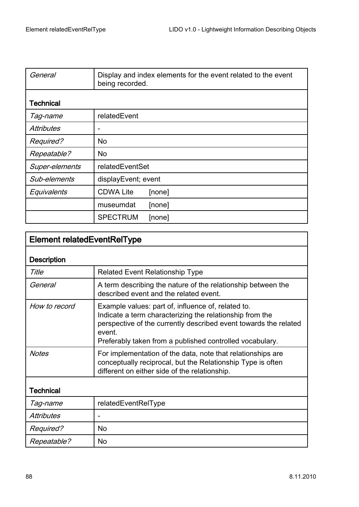<span id="page-93-0"></span>

| General           | Display and index elements for the event related to the event<br>being recorded. |  |
|-------------------|----------------------------------------------------------------------------------|--|
| <b>Technical</b>  |                                                                                  |  |
| Tag-name          | relatedEvent                                                                     |  |
| <b>Attributes</b> |                                                                                  |  |
| Required?         | No.                                                                              |  |
| Repeatable?       | <b>No</b>                                                                        |  |
| Super-elements    | relatedEventSet                                                                  |  |
| Sub-elements      | displayEvent; event                                                              |  |
| Equivalents       | <b>CDWA Lite</b><br>[none]                                                       |  |
|                   | museumdat<br>[none]                                                              |  |
|                   | <b>SPECTRUM</b><br>[none]                                                        |  |

| Element relatedEventRelType |                                                                                                                                                                                                                                                          |
|-----------------------------|----------------------------------------------------------------------------------------------------------------------------------------------------------------------------------------------------------------------------------------------------------|
| <b>Description</b>          |                                                                                                                                                                                                                                                          |
| Title                       | <b>Related Event Relationship Type</b>                                                                                                                                                                                                                   |
| General                     | A term describing the nature of the relationship between the<br>described event and the related event.                                                                                                                                                   |
| How to record               | Example values: part of, influence of, related to.<br>Indicate a term characterizing the relationship from the<br>perspective of the currently described event towards the related<br>event.<br>Preferably taken from a published controlled vocabulary. |
| <b>Notes</b>                | For implementation of the data, note that relationships are<br>conceptually reciprocal, but the Relationship Type is often<br>different on either side of the relationship.                                                                              |
| <b>Technical</b>            |                                                                                                                                                                                                                                                          |
| Tag-name                    | relatedEventRelType                                                                                                                                                                                                                                      |
| <b>Attributes</b>           |                                                                                                                                                                                                                                                          |
| Required?                   | <b>No</b>                                                                                                                                                                                                                                                |
| Repeatable?                 | <b>No</b>                                                                                                                                                                                                                                                |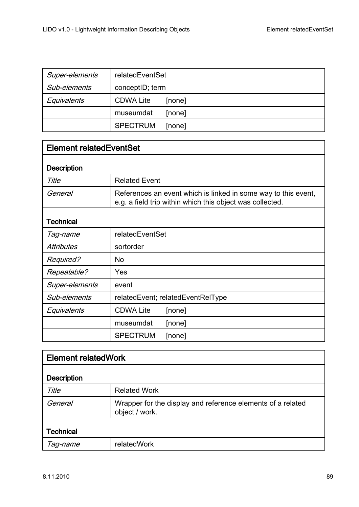<span id="page-94-0"></span>

| Super-elements | relatedEventSet            |  |
|----------------|----------------------------|--|
| Sub-elements   | conceptID; term            |  |
| Equivalents    | <b>CDWA Lite</b><br>[none] |  |
|                | museumdat<br>[none]        |  |
|                | <b>SPECTRUM</b><br>[none]  |  |

| <b>Element relatedEventSet</b> |                                                                                                                             |
|--------------------------------|-----------------------------------------------------------------------------------------------------------------------------|
| <b>Description</b>             |                                                                                                                             |
| Title                          | <b>Related Event</b>                                                                                                        |
| General                        | References an event which is linked in some way to this event,<br>e.g. a field trip within which this object was collected. |
| <b>Technical</b>               |                                                                                                                             |
| Tag-name                       | relatedEventSet                                                                                                             |
| Attributes                     | sortorder                                                                                                                   |
| Required?                      | <b>No</b>                                                                                                                   |
| Repeatable?                    | Yes                                                                                                                         |
| Super-elements                 | event                                                                                                                       |
| Sub-elements                   | relatedEvent; relatedEventRelType                                                                                           |
| Equivalents                    | <b>CDWA Lite</b><br>[none]                                                                                                  |
|                                | museumdat<br>[none]                                                                                                         |
|                                | <b>SPECTRUM</b><br>[none]                                                                                                   |

| <b>Element related Work</b> |                                                                               |  |
|-----------------------------|-------------------------------------------------------------------------------|--|
| <b>Description</b>          |                                                                               |  |
| Title                       | <b>Related Work</b>                                                           |  |
| General                     | Wrapper for the display and reference elements of a related<br>object / work. |  |
| <b>Technical</b>            |                                                                               |  |
| Tag-name                    | relatedWork                                                                   |  |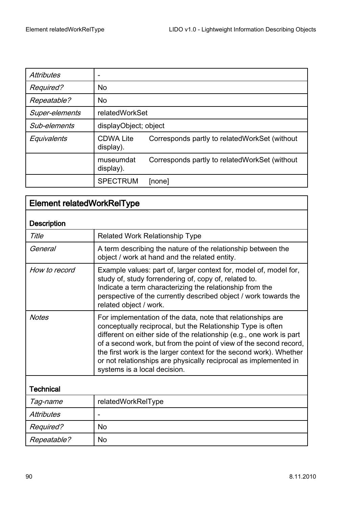<span id="page-95-0"></span>

| <b>Attributes</b> |                               |                                                 |
|-------------------|-------------------------------|-------------------------------------------------|
| Required?         | No                            |                                                 |
| Repeatable?       | <b>No</b>                     |                                                 |
| Super-elements    | relatedWorkSet                |                                                 |
| Sub-elements      | displayObject; object         |                                                 |
| Equivalents       | <b>CDWA Lite</b><br>display). | Corresponds partly to related Work Set (without |
|                   | museumdat<br>display).        | Corresponds partly to related Work Set (without |
|                   | <b>SPECTRUM</b>               | [none]                                          |

| <b>Element relatedWorkRelType</b> |                                                                                                                                                                                                                                                                                                                                                                                                                                                    |  |
|-----------------------------------|----------------------------------------------------------------------------------------------------------------------------------------------------------------------------------------------------------------------------------------------------------------------------------------------------------------------------------------------------------------------------------------------------------------------------------------------------|--|
| <b>Description</b>                |                                                                                                                                                                                                                                                                                                                                                                                                                                                    |  |
| Title                             | <b>Related Work Relationship Type</b>                                                                                                                                                                                                                                                                                                                                                                                                              |  |
| General                           | A term describing the nature of the relationship between the<br>object / work at hand and the related entity.                                                                                                                                                                                                                                                                                                                                      |  |
| How to record                     | Example values: part of, larger context for, model of, model for,<br>study of, study forrendering of, copy of, related to.<br>Indicate a term characterizing the relationship from the<br>perspective of the currently described object / work towards the<br>related object / work.                                                                                                                                                               |  |
| <b>Notes</b>                      | For implementation of the data, note that relationships are<br>conceptually reciprocal, but the Relationship Type is often<br>different on either side of the relationship (e.g., one work is part<br>of a second work, but from the point of view of the second record,<br>the first work is the larger context for the second work). Whether<br>or not relationships are physically reciprocal as implemented in<br>systems is a local decision. |  |
| <b>Technical</b>                  |                                                                                                                                                                                                                                                                                                                                                                                                                                                    |  |
| Tag-name                          | relatedWorkRelType                                                                                                                                                                                                                                                                                                                                                                                                                                 |  |
| <b>Attributes</b>                 |                                                                                                                                                                                                                                                                                                                                                                                                                                                    |  |
| Required?                         | <b>No</b>                                                                                                                                                                                                                                                                                                                                                                                                                                          |  |
| Repeatable?                       | <b>No</b>                                                                                                                                                                                                                                                                                                                                                                                                                                          |  |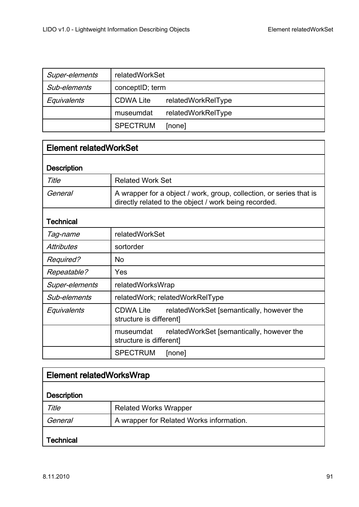<span id="page-96-0"></span>

| Super-elements | relatedWorkSet   |                    |
|----------------|------------------|--------------------|
| Sub-elements   | conceptID; term  |                    |
| Equivalents    | <b>CDWA Lite</b> | relatedWorkRelType |
|                | museumdat        | relatedWorkRelType |
|                | <b>SPECTRUM</b>  | [none]             |

| <b>Element relatedWorkSet</b> |                                                                                                                              |
|-------------------------------|------------------------------------------------------------------------------------------------------------------------------|
| <b>Description</b>            |                                                                                                                              |
| Title                         | <b>Related Work Set</b>                                                                                                      |
| General                       | A wrapper for a object / work, group, collection, or series that is<br>directly related to the object / work being recorded. |
| <b>Technical</b>              |                                                                                                                              |
| Tag-name                      | relatedWorkSet                                                                                                               |
| <b>Attributes</b>             | sortorder                                                                                                                    |
| Required?                     | No                                                                                                                           |
| Repeatable?                   | Yes                                                                                                                          |
| Super-elements                | relatedWorksWrap                                                                                                             |
| Sub-elements                  | relatedWork; relatedWorkRelType                                                                                              |
| Equivalents                   | <b>CDWA Lite</b><br>related Work Set [semantically, however the<br>structure is different]                                   |
|                               | museumdat<br>related Work Set [semantically, however the<br>structure is different]                                          |
|                               | <b>SPECTRUM</b><br>[none]                                                                                                    |

| <b>Element relatedWorksWrap</b> |                                          |
|---------------------------------|------------------------------------------|
| <b>Description</b>              |                                          |
| Title                           | <b>Related Works Wrapper</b>             |
| General                         | A wrapper for Related Works information. |
| <b>Technical</b>                |                                          |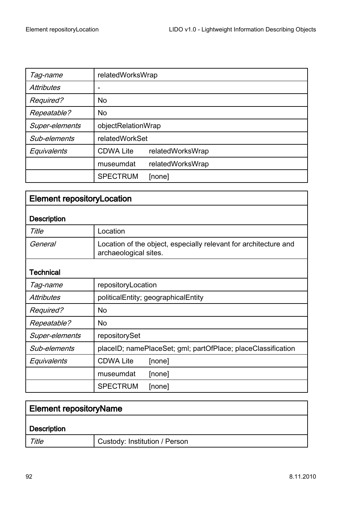<span id="page-97-0"></span>

| Tag-name          | relatedWorksWrap                     |
|-------------------|--------------------------------------|
| <b>Attributes</b> |                                      |
| Required?         | No                                   |
| Repeatable?       | No                                   |
| Super-elements    | objectRelationWrap                   |
| Sub-elements      | relatedWorkSet                       |
| Equivalents       | <b>CDWA Lite</b><br>relatedWorksWrap |
|                   | museumdat<br>relatedWorksWrap        |
|                   | <b>SPECTRUM</b><br>[none]            |

| <b>Element repositoryLocation</b> |                                                                                           |
|-----------------------------------|-------------------------------------------------------------------------------------------|
| <b>Description</b>                |                                                                                           |
| Title                             | Location                                                                                  |
| General                           | Location of the object, especially relevant for architecture and<br>archaeological sites. |
| <b>Technical</b>                  |                                                                                           |
| Tag-name                          | repositoryLocation                                                                        |
| <b>Attributes</b>                 | politicalEntity; geographicalEntity                                                       |
| Required?                         | <b>No</b>                                                                                 |
| Repeatable?                       | <b>No</b>                                                                                 |
| Super-elements                    | repositorySet                                                                             |
| Sub-elements                      | placeID; namePlaceSet; gml; partOfPlace; placeClassification                              |
| Equivalents                       | <b>CDWA Lite</b><br>[none]                                                                |
|                                   | museumdat<br>[none]                                                                       |
|                                   | <b>SPECTRUM</b><br>[none]                                                                 |

| <b>Element repositoryName</b> |                               |  |
|-------------------------------|-------------------------------|--|
| <b>Description</b>            |                               |  |
| Title                         | Custody: Institution / Person |  |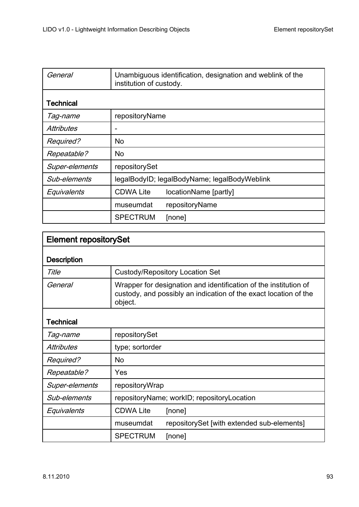<span id="page-98-0"></span>

| General          | Unambiguous identification, designation and weblink of the<br>institution of custody. |
|------------------|---------------------------------------------------------------------------------------|
| <b>Technical</b> |                                                                                       |
| Tag-name         | repositoryName                                                                        |
| Attributes       |                                                                                       |
| Required?        | No                                                                                    |
| Repeatable?      | <b>No</b>                                                                             |
| Super-elements   | repositorySet                                                                         |
| Sub-elements     | legalBodyID; legalBodyName; legalBodyWeblink                                          |
| Equivalents      | <b>CDWA Lite</b><br>locationName [partly]                                             |
|                  | museumdat<br>repositoryName                                                           |
|                  | <b>SPECTRUM</b><br>[none]                                                             |

| <b>Element repositorySet</b> |                                                                                                                                                 |
|------------------------------|-------------------------------------------------------------------------------------------------------------------------------------------------|
| <b>Description</b>           |                                                                                                                                                 |
| Title                        | <b>Custody/Repository Location Set</b>                                                                                                          |
| General                      | Wrapper for designation and identification of the institution of<br>custody, and possibly an indication of the exact location of the<br>object. |
| Technical                    |                                                                                                                                                 |
| Tag-name                     | repositorySet                                                                                                                                   |
| <b>Attributes</b>            | type; sortorder                                                                                                                                 |
| Required?                    | No                                                                                                                                              |
| Repeatable?                  | Yes                                                                                                                                             |
| Super-elements               | repositoryWrap                                                                                                                                  |
| Sub-elements                 | repositoryName; workID; repositoryLocation                                                                                                      |
| Equivalents                  | <b>CDWA Lite</b><br>[none]                                                                                                                      |
|                              | repositorySet [with extended sub-elements]<br>museumdat                                                                                         |
|                              | <b>SPECTRUM</b><br>[none]                                                                                                                       |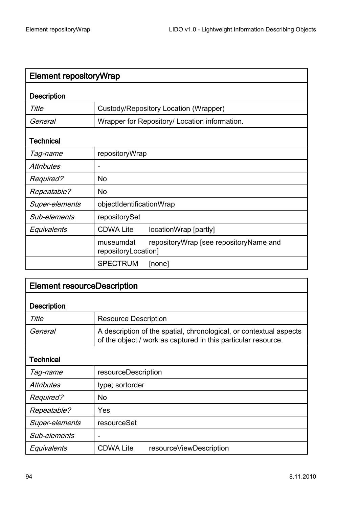<span id="page-99-0"></span>

| <b>Element repositoryWrap</b> |                                                                            |
|-------------------------------|----------------------------------------------------------------------------|
| <b>Description</b>            |                                                                            |
| Title                         | Custody/Repository Location (Wrapper)                                      |
| General                       | Wrapper for Repository/ Location information.                              |
| <b>Technical</b>              |                                                                            |
| Tag-name                      | repositoryWrap                                                             |
| <b>Attributes</b>             | -                                                                          |
| Required?                     | <b>No</b>                                                                  |
| Repeatable?                   | <b>No</b>                                                                  |
| Super-elements                | objectIdentificationWrap                                                   |
| Sub-elements                  | repositorySet                                                              |
| Equivalents                   | <b>CDWA Lite</b><br>locationWrap [partly]                                  |
|                               | museumdat<br>repositoryWrap [see repositoryName and<br>repositoryLocation] |
|                               | <b>SPECTRUM</b><br>[none]                                                  |

| <b>Element resourceDescription</b> |                                                                                                                                     |
|------------------------------------|-------------------------------------------------------------------------------------------------------------------------------------|
| <b>Description</b>                 |                                                                                                                                     |
| Title                              | <b>Resource Description</b>                                                                                                         |
| General                            | A description of the spatial, chronological, or contextual aspects<br>of the object / work as captured in this particular resource. |
| <b>Technical</b>                   |                                                                                                                                     |
| Tag-name                           | resourceDescription                                                                                                                 |
| <b>Attributes</b>                  | type; sortorder                                                                                                                     |
| Required?                          | No                                                                                                                                  |
| Repeatable?                        | Yes                                                                                                                                 |
| Super-elements                     | resourceSet                                                                                                                         |
| Sub-elements                       |                                                                                                                                     |
| Equivalents                        | <b>CDWA Lite</b><br>resourceViewDescription                                                                                         |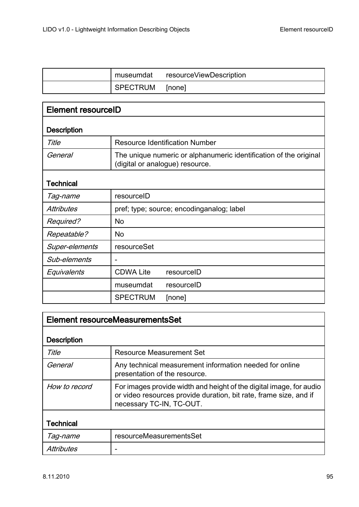<span id="page-100-0"></span>

|                 | museumdat resourceViewDescription |
|-----------------|-----------------------------------|
| SPECTRUM [none] |                                   |

| <b>Element resourceID</b> |                                                                                                      |
|---------------------------|------------------------------------------------------------------------------------------------------|
| <b>Description</b>        |                                                                                                      |
| Title                     | <b>Resource Identification Number</b>                                                                |
| General                   | The unique numeric or alphanumeric identification of the original<br>(digital or analogue) resource. |
| <b>Technical</b>          |                                                                                                      |
| Tag-name                  | resourceID                                                                                           |
| <b>Attributes</b>         | pref; type; source; encodinganalog; label                                                            |
| Required?                 | No                                                                                                   |
| Repeatable?               | No                                                                                                   |
| Super-elements            | resourceSet                                                                                          |
| Sub-elements              | -                                                                                                    |
| Equivalents               | <b>CDWA Lite</b><br>resourceID                                                                       |
|                           | museumdat<br>resourceID                                                                              |
|                           | <b>SPECTRUM</b><br>[none]                                                                            |

| <b>Element resourceMeasurementsSet</b> |                                                                                                                                                                      |
|----------------------------------------|----------------------------------------------------------------------------------------------------------------------------------------------------------------------|
| <b>Description</b>                     |                                                                                                                                                                      |
| Title                                  | <b>Resource Measurement Set</b>                                                                                                                                      |
| General                                | Any technical measurement information needed for online<br>presentation of the resource.                                                                             |
| How to record                          | For images provide width and height of the digital image, for audio<br>or video resources provide duration, bit rate, frame size, and if<br>necessary TC-IN, TC-OUT. |
| <b>Technical</b>                       |                                                                                                                                                                      |
| Tag-name                               | resourceMeasurementsSet                                                                                                                                              |
| <b>Attributes</b>                      |                                                                                                                                                                      |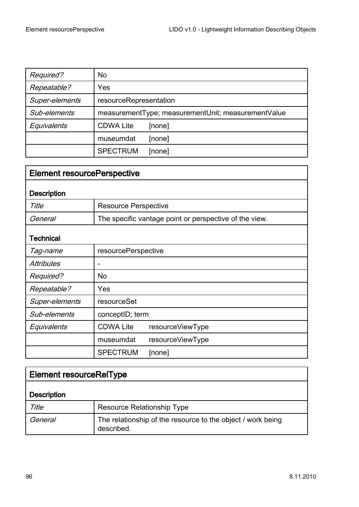<span id="page-101-0"></span>

| Required?      | No                                                 |
|----------------|----------------------------------------------------|
| Repeatable?    | Yes                                                |
| Super-elements | resourceRepresentation                             |
| Sub-elements   | measurementType; measurementUnit; measurementValue |
| Equivalents    | <b>CDWA Lite</b><br>[none]                         |
|                | museumdat<br>[none]                                |
|                | <b>SPECTRUM</b><br>[none]                          |

| <b>Element resourcePerspective</b> |                                                        |
|------------------------------------|--------------------------------------------------------|
| <b>Description</b>                 |                                                        |
| Title                              | <b>Resource Perspective</b>                            |
| General                            | The specific vantage point or perspective of the view. |
| Technical                          |                                                        |
| Tag-name                           | resourcePerspective                                    |
| <b>Attributes</b>                  |                                                        |
| Required?                          | No                                                     |
| Repeatable?                        | Yes                                                    |
| Super-elements                     | resourceSet                                            |
| Sub-elements                       | conceptID; term                                        |
| Equivalents                        | <b>CDWA Lite</b><br>resourceViewType                   |
|                                    | museumdat<br>resourceViewType                          |
|                                    | <b>SPECTRUM</b><br>[none]                              |

| <b>Element resourceRelType</b> |                                                                           |
|--------------------------------|---------------------------------------------------------------------------|
| <b>Description</b>             |                                                                           |
| Title                          | <b>Resource Relationship Type</b>                                         |
| General                        | The relationship of the resource to the object / work being<br>described. |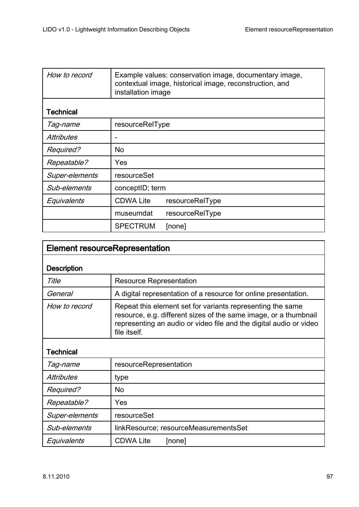<span id="page-102-0"></span>

| How to record    | Example values: conservation image, documentary image,<br>contextual image, historical image, reconstruction, and<br>installation image |
|------------------|-----------------------------------------------------------------------------------------------------------------------------------------|
| <b>Technical</b> |                                                                                                                                         |
| Tag-name         | resourceRelType                                                                                                                         |
| Attributes       |                                                                                                                                         |
| Required?        | No                                                                                                                                      |
| Repeatable?      | Yes                                                                                                                                     |
| Super-elements   | resourceSet                                                                                                                             |
| Sub-elements     | conceptID; term                                                                                                                         |
| Equivalents      | <b>CDWA Lite</b><br>resourceRelType                                                                                                     |
|                  | museumdat<br>resourceRelType                                                                                                            |
|                  | <b>SPECTRUM</b><br>[none]                                                                                                               |

| <b>Element resourceRepresentation</b> |                                                                                                                                                                                                                      |
|---------------------------------------|----------------------------------------------------------------------------------------------------------------------------------------------------------------------------------------------------------------------|
| <b>Description</b>                    |                                                                                                                                                                                                                      |
| Title                                 | <b>Resource Representation</b>                                                                                                                                                                                       |
| General                               | A digital representation of a resource for online presentation.                                                                                                                                                      |
| How to record                         | Repeat this element set for variants representing the same<br>resource, e.g. different sizes of the same image, or a thumbnail<br>representing an audio or video file and the digital audio or video<br>file itself. |
| Technical                             |                                                                                                                                                                                                                      |
| Tag-name                              | resourceRepresentation                                                                                                                                                                                               |
| <b>Attributes</b>                     | type                                                                                                                                                                                                                 |
| Required?                             | No                                                                                                                                                                                                                   |
| Repeatable?                           | Yes                                                                                                                                                                                                                  |
| Super-elements                        | resourceSet                                                                                                                                                                                                          |
| Sub-elements                          | linkResource; resourceMeasurementsSet                                                                                                                                                                                |
| Equivalents                           | <b>CDWA Lite</b><br>[none]                                                                                                                                                                                           |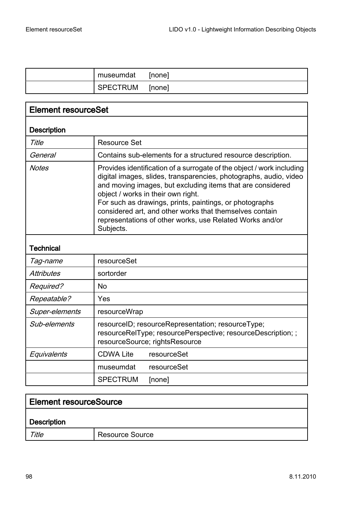<span id="page-103-0"></span>

| museumdat       | [none] |
|-----------------|--------|
| <b>SPECTRUM</b> | [none] |

| <b>Element resourceSet</b> |                                                                                                                                                                                                                                                                                                                                                                                                                                               |
|----------------------------|-----------------------------------------------------------------------------------------------------------------------------------------------------------------------------------------------------------------------------------------------------------------------------------------------------------------------------------------------------------------------------------------------------------------------------------------------|
| <b>Description</b>         |                                                                                                                                                                                                                                                                                                                                                                                                                                               |
| Title                      | <b>Resource Set</b>                                                                                                                                                                                                                                                                                                                                                                                                                           |
| General                    | Contains sub-elements for a structured resource description.                                                                                                                                                                                                                                                                                                                                                                                  |
| <b>Notes</b>               | Provides identification of a surrogate of the object / work including<br>digital images, slides, transparencies, photographs, audio, video<br>and moving images, but excluding items that are considered<br>object / works in their own right.<br>For such as drawings, prints, paintings, or photographs<br>considered art, and other works that themselves contain<br>representations of other works, use Related Works and/or<br>Subjects. |
| <b>Technical</b>           |                                                                                                                                                                                                                                                                                                                                                                                                                                               |
| Tag-name                   | resourceSet                                                                                                                                                                                                                                                                                                                                                                                                                                   |
| <b>Attributes</b>          | sortorder                                                                                                                                                                                                                                                                                                                                                                                                                                     |
| Required?                  | <b>No</b>                                                                                                                                                                                                                                                                                                                                                                                                                                     |
| Repeatable?                | Yes                                                                                                                                                                                                                                                                                                                                                                                                                                           |
| Super-elements             | resourceWrap                                                                                                                                                                                                                                                                                                                                                                                                                                  |
| Sub-elements               | resourceID; resourceRepresentation; resourceType;<br>resourceReIType; resourcePerspective; resourceDescription; ;<br>resourceSource; rightsResource                                                                                                                                                                                                                                                                                           |
| Equivalents                | <b>CDWA Lite</b><br>resourceSet                                                                                                                                                                                                                                                                                                                                                                                                               |
|                            | museumdat<br>resourceSet                                                                                                                                                                                                                                                                                                                                                                                                                      |
|                            | <b>SPECTRUM</b><br>[none]                                                                                                                                                                                                                                                                                                                                                                                                                     |

# Element resourceSource **Description** Title Resource Source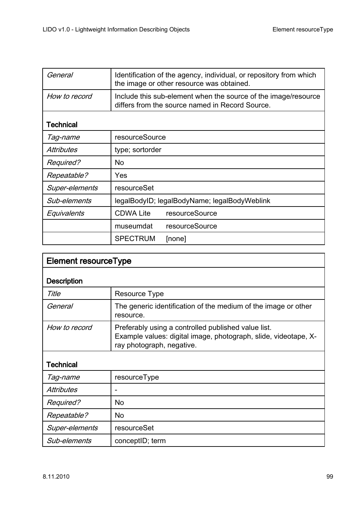<span id="page-104-0"></span>

| General        | Identification of the agency, individual, or repository from which<br>the image or other resource was obtained.   |
|----------------|-------------------------------------------------------------------------------------------------------------------|
| How to record  | Include this sub-element when the source of the image/resource<br>differs from the source named in Record Source. |
| Technical      |                                                                                                                   |
| Tag-name       | resourceSource                                                                                                    |
| Attributes     | type; sortorder                                                                                                   |
| Required?      | <b>No</b>                                                                                                         |
| Repeatable?    | Yes                                                                                                               |
| Super-elements | resourceSet                                                                                                       |
| Sub-elements   | legalBodyID; legalBodyName; legalBodyWeblink                                                                      |
| Equivalents    | <b>CDWA Lite</b><br>resourceSource                                                                                |
|                | museumdat<br>resourceSource                                                                                       |
|                | <b>SPECTRUM</b><br>[none]                                                                                         |

| <b>Element resourceType</b> |                                                                                                                                                     |
|-----------------------------|-----------------------------------------------------------------------------------------------------------------------------------------------------|
| <b>Description</b>          |                                                                                                                                                     |
| Title                       | Resource Type                                                                                                                                       |
| General                     | The generic identification of the medium of the image or other<br>resource.                                                                         |
| How to record               | Preferably using a controlled published value list.<br>Example values: digital image, photograph, slide, videotape, X-<br>ray photograph, negative. |
| <b>Technical</b>            |                                                                                                                                                     |
| Tag-name                    | resourceType                                                                                                                                        |
| <b>Attributes</b>           |                                                                                                                                                     |
| Required?                   | No                                                                                                                                                  |
| Repeatable?                 | No                                                                                                                                                  |
| Super-elements              | resourceSet                                                                                                                                         |
| Sub-elements                | conceptID; term                                                                                                                                     |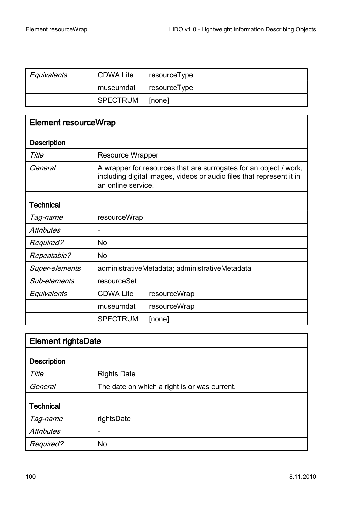<span id="page-105-0"></span>

| Equivalents | CDWA Lite       | resourceType           |
|-------------|-----------------|------------------------|
|             |                 | museumdat resourceType |
|             | <b>SPECTRUM</b> | [none]                 |

| <b>Element resourceWrap</b> |                                                                                                                                                                 |
|-----------------------------|-----------------------------------------------------------------------------------------------------------------------------------------------------------------|
| <b>Description</b>          |                                                                                                                                                                 |
| Title                       | <b>Resource Wrapper</b>                                                                                                                                         |
| General                     | A wrapper for resources that are surrogates for an object / work,<br>including digital images, videos or audio files that represent it in<br>an online service. |
| <b>Technical</b>            |                                                                                                                                                                 |
| Tag-name                    | resourceWrap                                                                                                                                                    |
| <b>Attributes</b>           |                                                                                                                                                                 |
| Required?                   | <b>No</b>                                                                                                                                                       |
| Repeatable?                 | No                                                                                                                                                              |
| Super-elements              | administrativeMetadata; administrativeMetadata                                                                                                                  |
| Sub-elements                | resourceSet                                                                                                                                                     |
| Equivalents                 | <b>CDWA Lite</b><br>resourceWrap                                                                                                                                |
|                             | museumdat<br>resourceWrap                                                                                                                                       |
|                             | <b>SPECTRUM</b><br>[none]                                                                                                                                       |

| <b>Element rightsDate</b> |                                              |
|---------------------------|----------------------------------------------|
| <b>Description</b>        |                                              |
| Title                     | <b>Rights Date</b>                           |
| General                   | The date on which a right is or was current. |
| <b>Technical</b>          |                                              |
| Tag-name                  | rightsDate                                   |
| <b>Attributes</b>         |                                              |
| Required?                 | No                                           |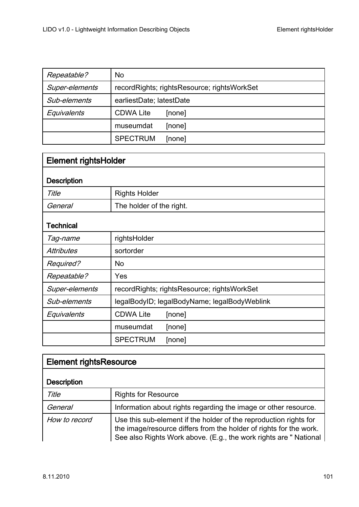<span id="page-106-0"></span>

| Repeatable?    | No                                          |
|----------------|---------------------------------------------|
| Super-elements | recordRights; rightsResource; rightsWorkSet |
| Sub-elements   | earliestDate; latestDate                    |
| Equivalents    | <b>CDWA Lite</b><br>[none]                  |
|                | museumdat<br>[none]                         |
|                | <b>SPECTRUM</b><br>[none]                   |

| <b>Element rightsHolder</b> |                                              |
|-----------------------------|----------------------------------------------|
| <b>Description</b>          |                                              |
| Title                       | <b>Rights Holder</b>                         |
| General                     | The holder of the right.                     |
| <b>Technical</b>            |                                              |
| Tag-name                    | rightsHolder                                 |
| Attributes                  | sortorder                                    |
| Required?                   | <b>No</b>                                    |
| Repeatable?                 | Yes                                          |
| Super-elements              | recordRights; rightsResource; rightsWorkSet  |
| Sub-elements                | legalBodyID; legalBodyName; legalBodyWeblink |
| Equivalents                 | <b>CDWA Lite</b><br>[none]                   |
|                             | museumdat<br>[none]                          |
|                             | <b>SPECTRUM</b><br>[none]                    |

| <b>Element rightsResource</b> |                                                                                                                                                                                                             |
|-------------------------------|-------------------------------------------------------------------------------------------------------------------------------------------------------------------------------------------------------------|
| <b>Description</b>            |                                                                                                                                                                                                             |
| Title                         | <b>Rights for Resource</b>                                                                                                                                                                                  |
| <b>General</b>                | Information about rights regarding the image or other resource.                                                                                                                                             |
| How to record                 | Use this sub-element if the holder of the reproduction rights for<br>the image/resource differs from the holder of rights for the work.<br>See also Rights Work above. (E.g., the work rights are "National |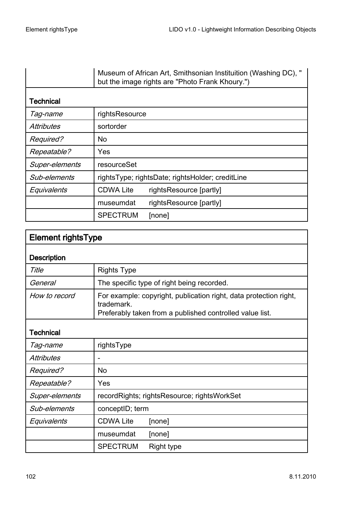<span id="page-107-0"></span>

|                | Museum of African Art, Smithsonian Instituition (Washing DC), "<br>but the image rights are "Photo Frank Khoury.") |
|----------------|--------------------------------------------------------------------------------------------------------------------|
| Technical      |                                                                                                                    |
| Tag-name       | rightsResource                                                                                                     |
| Attributes     | sortorder                                                                                                          |
| Required?      | No.                                                                                                                |
| Repeatable?    | Yes                                                                                                                |
| Super-elements | resourceSet                                                                                                        |
| Sub-elements   | rightsType; rightsDate; rightsHolder; creditLine                                                                   |
| Equivalents    | <b>CDWA Lite</b><br>rightsResource [partly]                                                                        |
|                | rightsResource [partly]<br>museumdat                                                                               |
|                | <b>SPECTRUM</b><br>[none]                                                                                          |

| <b>Element rightsType</b> |                                                                                                                                             |
|---------------------------|---------------------------------------------------------------------------------------------------------------------------------------------|
| <b>Description</b>        |                                                                                                                                             |
| Title                     | <b>Rights Type</b>                                                                                                                          |
| General                   | The specific type of right being recorded.                                                                                                  |
| How to record             | For example: copyright, publication right, data protection right,<br>trademark.<br>Preferably taken from a published controlled value list. |
| <b>Technical</b>          |                                                                                                                                             |
| Tag-name                  | rightsType                                                                                                                                  |
| <b>Attributes</b>         | $\blacksquare$                                                                                                                              |
| Required?                 | <b>No</b>                                                                                                                                   |
| Repeatable?               | Yes                                                                                                                                         |
| Super-elements            | recordRights; rightsResource; rightsWorkSet                                                                                                 |
| Sub-elements              | conceptID; term                                                                                                                             |
| Equivalents               | <b>CDWA Lite</b><br>[none]                                                                                                                  |
|                           | museumdat<br>[none]                                                                                                                         |
|                           | <b>SPECTRUM</b><br><b>Right type</b>                                                                                                        |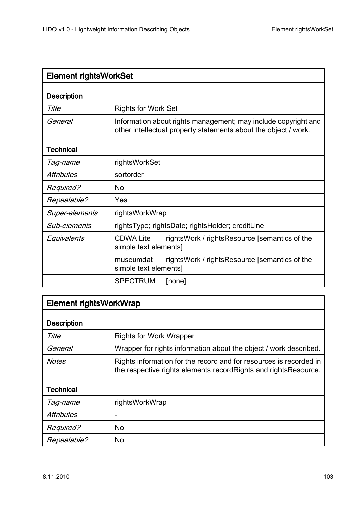<span id="page-108-0"></span>

| <b>Element rightsWorkSet</b> |                                                                                                                                   |  |
|------------------------------|-----------------------------------------------------------------------------------------------------------------------------------|--|
| <b>Description</b>           |                                                                                                                                   |  |
| Title                        | <b>Rights for Work Set</b>                                                                                                        |  |
| General                      | Information about rights management; may include copyright and<br>other intellectual property statements about the object / work. |  |
| Technical                    |                                                                                                                                   |  |
| Tag-name                     | rightsWorkSet                                                                                                                     |  |
| Attributes                   | sortorder                                                                                                                         |  |
| Required?                    | No                                                                                                                                |  |
| Repeatable?                  | Yes                                                                                                                               |  |
| Super-elements               | rightsWorkWrap                                                                                                                    |  |
| Sub-elements                 | rightsType; rightsDate; rightsHolder; creditLine                                                                                  |  |
| Equivalents                  | <b>CDWA Lite</b><br>rightsWork / rightsResource [semantics of the<br>simple text elements]                                        |  |
|                              | rightsWork / rightsResource [semantics of the<br>museumdat<br>simple text elements]                                               |  |
|                              | <b>SPECTRUM</b><br>[none]                                                                                                         |  |

| <b>Element rightsWorkWrap</b> |                                                                                                                                       |
|-------------------------------|---------------------------------------------------------------------------------------------------------------------------------------|
| <b>Description</b>            |                                                                                                                                       |
| Title                         | <b>Rights for Work Wrapper</b>                                                                                                        |
| General                       | Wrapper for rights information about the object / work described.                                                                     |
| <b>Notes</b>                  | Rights information for the record and for resources is recorded in<br>the respective rights elements recordRights and rightsResource. |
| <b>Technical</b>              |                                                                                                                                       |
| Tag-name                      | rightsWorkWrap                                                                                                                        |
| Attributes                    |                                                                                                                                       |
| Required?                     | <b>No</b>                                                                                                                             |
| Repeatable?                   | No                                                                                                                                    |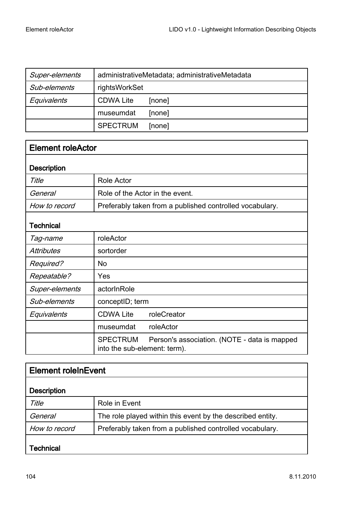r

<span id="page-109-0"></span>

| Super-elements | administrativeMetadata; administrativeMetadata |        |
|----------------|------------------------------------------------|--------|
| Sub-elements   | rightsWorkSet                                  |        |
| Equivalents    | <b>CDWA Lite</b>                               | [none] |
|                | museumdat                                      | [none] |
|                | <b>SPECTRUM</b>                                | [none] |

| <b>Element roleActor</b> |                                                                                                 |  |
|--------------------------|-------------------------------------------------------------------------------------------------|--|
| <b>Description</b>       |                                                                                                 |  |
| Title                    | Role Actor                                                                                      |  |
| General                  | Role of the Actor in the event.                                                                 |  |
| How to record            | Preferably taken from a published controlled vocabulary.                                        |  |
| <b>Technical</b>         |                                                                                                 |  |
| Tag-name                 | roleActor                                                                                       |  |
| <b>Attributes</b>        | sortorder                                                                                       |  |
| Required?                | <b>No</b>                                                                                       |  |
| Repeatable?              | Yes                                                                                             |  |
| Super-elements           | actorInRole                                                                                     |  |
| Sub-elements             | conceptID; term                                                                                 |  |
| Equivalents              | <b>CDWA Lite</b><br>roleCreator                                                                 |  |
|                          | museumdat<br>roleActor                                                                          |  |
|                          | <b>SPECTRUM</b><br>Person's association. (NOTE - data is mapped<br>into the sub-element: term). |  |

| <b>Element roleInEvent</b> |                                                            |  |
|----------------------------|------------------------------------------------------------|--|
| <b>Description</b>         |                                                            |  |
| Title                      | Role in Event                                              |  |
| General                    | The role played within this event by the described entity. |  |
| How to record              | Preferably taken from a published controlled vocabulary.   |  |
| <b>Technical</b>           |                                                            |  |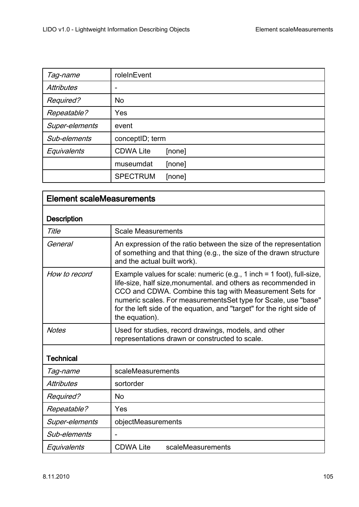<span id="page-110-0"></span>

| Tag-name          | roleInEvent                |  |
|-------------------|----------------------------|--|
| <b>Attributes</b> | -                          |  |
| Required?         | No                         |  |
| Repeatable?       | Yes                        |  |
| Super-elements    | event                      |  |
| Sub-elements      | conceptID; term            |  |
| Equivalents       | <b>CDWA Lite</b><br>[none] |  |
|                   | museumdat<br>[none]        |  |
|                   | <b>SPECTRUM</b><br>[none]  |  |

| <b>Element scaleMeasurements</b> |                                                                                                                                                                                                                                                                                                                                                                   |  |
|----------------------------------|-------------------------------------------------------------------------------------------------------------------------------------------------------------------------------------------------------------------------------------------------------------------------------------------------------------------------------------------------------------------|--|
| <b>Description</b>               |                                                                                                                                                                                                                                                                                                                                                                   |  |
| Title                            | <b>Scale Measurements</b>                                                                                                                                                                                                                                                                                                                                         |  |
| General                          | An expression of the ratio between the size of the representation<br>of something and that thing (e.g., the size of the drawn structure<br>and the actual built work).                                                                                                                                                                                            |  |
| How to record                    | Example values for scale: numeric (e.g., 1 inch = 1 foot), full-size,<br>life-size, half size, monumental. and others as recommended in<br>CCO and CDWA. Combine this tag with Measurement Sets for<br>numeric scales. For measurements Set type for Scale, use "base"<br>for the left side of the equation, and "target" for the right side of<br>the equation). |  |
| <b>Notes</b>                     | Used for studies, record drawings, models, and other<br>representations drawn or constructed to scale.                                                                                                                                                                                                                                                            |  |
| <b>Technical</b>                 |                                                                                                                                                                                                                                                                                                                                                                   |  |
| Tag-name                         | scaleMeasurements                                                                                                                                                                                                                                                                                                                                                 |  |
| <b>Attributes</b>                | sortorder                                                                                                                                                                                                                                                                                                                                                         |  |
| Required?                        | <b>No</b>                                                                                                                                                                                                                                                                                                                                                         |  |
| Repeatable?                      | Yes                                                                                                                                                                                                                                                                                                                                                               |  |
| Super-elements                   | objectMeasurements                                                                                                                                                                                                                                                                                                                                                |  |
| Sub-elements                     |                                                                                                                                                                                                                                                                                                                                                                   |  |
| Equivalents                      | <b>CDWA Lite</b><br>scaleMeasurements                                                                                                                                                                                                                                                                                                                             |  |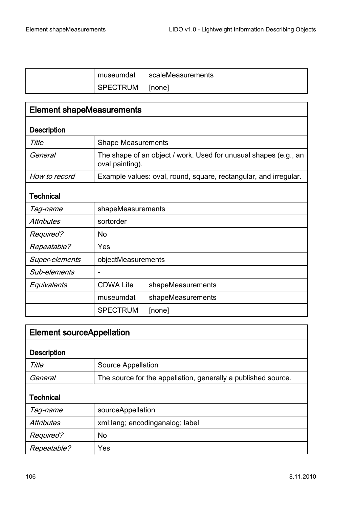<span id="page-111-0"></span>

|                 | museumdat scaleMeasurements |
|-----------------|-----------------------------|
| SPECTRUM [none] |                             |

| <b>Element shapeMeasurements</b> |                                                                                     |  |
|----------------------------------|-------------------------------------------------------------------------------------|--|
| <b>Description</b>               |                                                                                     |  |
| Title                            | <b>Shape Measurements</b>                                                           |  |
| General                          | The shape of an object / work. Used for unusual shapes (e.g., an<br>oval painting). |  |
| How to record                    | Example values: oval, round, square, rectangular, and irregular.                    |  |
| <b>Technical</b>                 |                                                                                     |  |
| Tag-name                         | shapeMeasurements                                                                   |  |
| <b>Attributes</b>                | sortorder                                                                           |  |
| Required?                        | No                                                                                  |  |
| Repeatable?                      | Yes                                                                                 |  |
| Super-elements                   | objectMeasurements                                                                  |  |
| Sub-elements                     |                                                                                     |  |
| Equivalents                      | <b>CDWA Lite</b><br>shapeMeasurements                                               |  |
|                                  | museumdat<br>shapeMeasurements                                                      |  |
|                                  | <b>SPECTRUM</b><br>[none]                                                           |  |

| <b>Element sourceAppellation</b> |                                                               |  |
|----------------------------------|---------------------------------------------------------------|--|
| <b>Description</b>               |                                                               |  |
| Title                            | Source Appellation                                            |  |
| General                          | The source for the appellation, generally a published source. |  |
| <b>Technical</b>                 |                                                               |  |
| Tag-name                         | sourceAppellation                                             |  |
| <b>Attributes</b>                | xml:lang; encodinganalog; label                               |  |
| Required?                        | <b>No</b>                                                     |  |
| Repeatable?                      | Yes                                                           |  |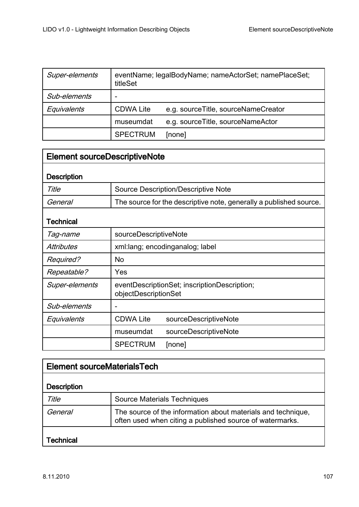<span id="page-112-0"></span>

| Super-elements | eventName; legalBodyName; nameActorSet; namePlaceSet;<br>titleSet |                                      |
|----------------|-------------------------------------------------------------------|--------------------------------------|
| Sub-elements   |                                                                   |                                      |
| Equivalents    | <b>CDWA Lite</b>                                                  | e.g. sourceTitle, sourceNameCreator  |
|                | museumdat                                                         | e.g. source Title, source Name Actor |
|                | <b>SPECTRUM</b>                                                   | [none]                               |

| <b>Element sourceDescriptiveNote</b> |                                                                      |  |
|--------------------------------------|----------------------------------------------------------------------|--|
| <b>Description</b>                   |                                                                      |  |
| Title                                | <b>Source Description/Descriptive Note</b>                           |  |
| General                              | The source for the descriptive note, generally a published source.   |  |
| Technical                            |                                                                      |  |
| Tag-name                             | sourceDescriptiveNote                                                |  |
| Attributes                           | xml:lang; encodinganalog; label                                      |  |
| Required?                            | No                                                                   |  |
| Repeatable?                          | Yes                                                                  |  |
| Super-elements                       | eventDescriptionSet; inscriptionDescription;<br>objectDescriptionSet |  |
| Sub-elements                         |                                                                      |  |
| Equivalents                          | <b>CDWA Lite</b><br>sourceDescriptiveNote                            |  |
|                                      | sourceDescriptiveNote<br>museumdat                                   |  |
|                                      | <b>SPECTRUM</b><br>[none]                                            |  |

| Element sourceMaterialsTech |                                                                                                                          |
|-----------------------------|--------------------------------------------------------------------------------------------------------------------------|
| <b>Description</b>          |                                                                                                                          |
| Title                       | <b>Source Materials Techniques</b>                                                                                       |
| General                     | The source of the information about materials and technique,<br>often used when citing a published source of watermarks. |
| Technical                   |                                                                                                                          |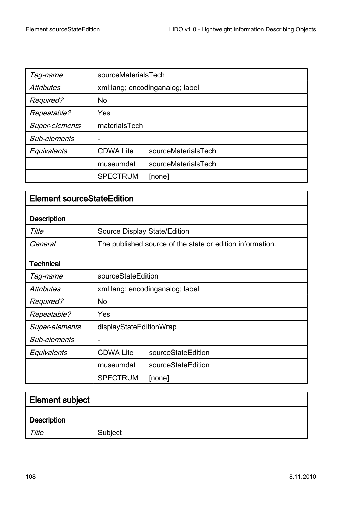<span id="page-113-0"></span>

| Tag-name          | sourceMaterialsTech |                                 |
|-------------------|---------------------|---------------------------------|
| <b>Attributes</b> |                     | xml:lang; encodinganalog; label |
| Required?         | <b>No</b>           |                                 |
| Repeatable?       | Yes                 |                                 |
| Super-elements    | materialsTech       |                                 |
| Sub-elements      |                     |                                 |
| Equivalents       | <b>CDWA Lite</b>    | sourceMaterialsTech             |
|                   | museumdat           | sourceMaterialsTech             |
|                   | <b>SPECTRUM</b>     | [none]                          |

| <b>Element sourceStateEdition</b> |                                                           |
|-----------------------------------|-----------------------------------------------------------|
| <b>Description</b>                |                                                           |
| Title                             | Source Display State/Edition                              |
| General                           | The published source of the state or edition information. |
| <b>Technical</b>                  |                                                           |
| Tag-name                          | sourceStateEdition                                        |
| <b>Attributes</b>                 | xml:lang; encodinganalog; label                           |
| Required?                         | <b>No</b>                                                 |
| Repeatable?                       | Yes                                                       |
| Super-elements                    | displayStateEditionWrap                                   |
| Sub-elements                      | $\blacksquare$                                            |
| Equivalents                       | <b>CDWA Lite</b><br>sourceStateEdition                    |
|                                   | museumdat<br>sourceStateEdition                           |
|                                   | <b>SPECTRUM</b><br>[none]                                 |

| <b>Element subject</b> |         |  |
|------------------------|---------|--|
| <b>Description</b>     |         |  |
| Title                  | Subject |  |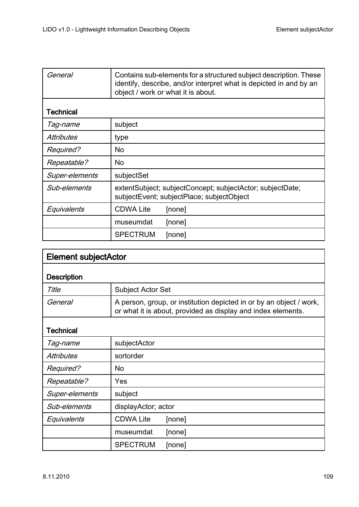<span id="page-114-0"></span>

| General            | Contains sub-elements for a structured subject description. These<br>identify, describe, and/or interpret what is depicted in and by an<br>object / work or what it is about. |
|--------------------|-------------------------------------------------------------------------------------------------------------------------------------------------------------------------------|
| <b>Technical</b>   |                                                                                                                                                                               |
| Tag-name           | subject                                                                                                                                                                       |
| Attributes         | type                                                                                                                                                                          |
| Required?          | <b>No</b>                                                                                                                                                                     |
| <i>Repeatable?</i> | <b>No</b>                                                                                                                                                                     |
| Super-elements     | subjectSet                                                                                                                                                                    |
| Sub-elements       | extentSubject; subjectConcept; subjectActor; subjectDate;<br>subjectEvent; subjectPlace; subjectObject                                                                        |
| Equivalents        | <b>CDWA Lite</b><br>[none]                                                                                                                                                    |
|                    | museumdat<br>[none]                                                                                                                                                           |
|                    | <b>SPECTRUM</b><br>[none]                                                                                                                                                     |

| <b>Element subjectActor</b> |                                                                                                                                     |
|-----------------------------|-------------------------------------------------------------------------------------------------------------------------------------|
| <b>Description</b>          |                                                                                                                                     |
| Title                       | <b>Subject Actor Set</b>                                                                                                            |
| General                     | A person, group, or institution depicted in or by an object / work,<br>or what it is about, provided as display and index elements. |
| <b>Technical</b>            |                                                                                                                                     |
| Tag-name                    | subjectActor                                                                                                                        |
| Attributes                  | sortorder                                                                                                                           |
| Required?                   | <b>No</b>                                                                                                                           |
| Repeatable?                 | Yes                                                                                                                                 |
| Super-elements              | subject                                                                                                                             |
| Sub-elements                | displayActor; actor                                                                                                                 |
| Equivalents                 | <b>CDWA Lite</b><br>[none]                                                                                                          |
|                             | museumdat<br>[none]                                                                                                                 |
|                             | <b>SPECTRUM</b><br>[none]                                                                                                           |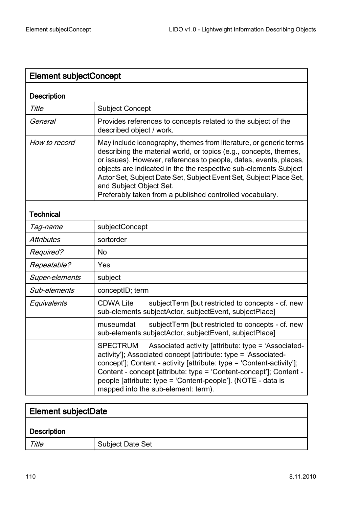<span id="page-115-0"></span>

| <b>Element subjectConcept</b> |                                                                                                                                                                                                                                                                                                                                                                                                                                              |
|-------------------------------|----------------------------------------------------------------------------------------------------------------------------------------------------------------------------------------------------------------------------------------------------------------------------------------------------------------------------------------------------------------------------------------------------------------------------------------------|
| <b>Description</b>            |                                                                                                                                                                                                                                                                                                                                                                                                                                              |
| Title                         | <b>Subject Concept</b>                                                                                                                                                                                                                                                                                                                                                                                                                       |
| General                       | Provides references to concepts related to the subject of the<br>described object / work.                                                                                                                                                                                                                                                                                                                                                    |
| How to record                 | May include iconography, themes from literature, or generic terms<br>describing the material world, or topics (e.g., concepts, themes,<br>or issues). However, references to people, dates, events, places,<br>objects are indicated in the the respective sub-elements Subject<br>Actor Set, Subject Date Set, Subject Event Set, Subject Place Set,<br>and Subject Object Set.<br>Preferably taken from a published controlled vocabulary. |
| <b>Technical</b>              |                                                                                                                                                                                                                                                                                                                                                                                                                                              |
| Tag-name                      | subjectConcept                                                                                                                                                                                                                                                                                                                                                                                                                               |
| <b>Attributes</b>             | sortorder                                                                                                                                                                                                                                                                                                                                                                                                                                    |
| Required?                     | <b>No</b>                                                                                                                                                                                                                                                                                                                                                                                                                                    |
| Repeatable?                   | Yes                                                                                                                                                                                                                                                                                                                                                                                                                                          |
| Super-elements                | subject                                                                                                                                                                                                                                                                                                                                                                                                                                      |
| Sub-elements                  | conceptID; term                                                                                                                                                                                                                                                                                                                                                                                                                              |
| Equivalents                   | <b>CDWA Lite</b><br>subjectTerm [but restricted to concepts - cf. new<br>sub-elements subjectActor, subjectEvent, subjectPlace]                                                                                                                                                                                                                                                                                                              |
|                               | subjectTerm [but restricted to concepts - cf. new<br>museumdat<br>sub-elements subjectActor, subjectEvent, subjectPlace]                                                                                                                                                                                                                                                                                                                     |
|                               | <b>SPECTRUM</b><br>Associated activity [attribute: type = 'Associated-<br>activity']; Associated concept [attribute: type = 'Associated-<br>concept']; Content - activity [attribute: type = 'Content-activity'];<br>Content - concept [attribute: type = 'Content-concept']; Content -<br>people [attribute: type = 'Content-people']. (NOTE - data is<br>mapped into the sub-element: term).                                               |

| <b>Element subjectDate</b> |                         |  |
|----------------------------|-------------------------|--|
| <b>Description</b>         |                         |  |
| Title                      | <b>Subject Date Set</b> |  |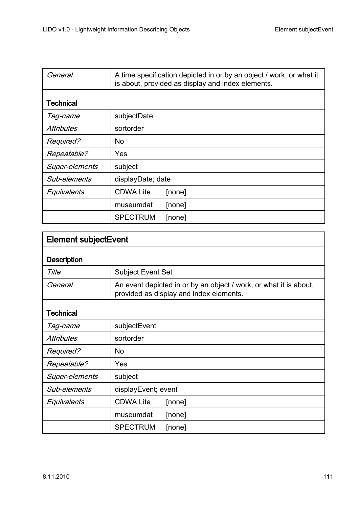<span id="page-116-0"></span>

| General           | A time specification depicted in or by an object / work, or what it<br>is about, provided as display and index elements. |
|-------------------|--------------------------------------------------------------------------------------------------------------------------|
| Technical         |                                                                                                                          |
| Tag-name          | subjectDate                                                                                                              |
| <b>Attributes</b> | sortorder                                                                                                                |
| Required?         | <b>No</b>                                                                                                                |
| Repeatable?       | Yes                                                                                                                      |
| Super-elements    | subject                                                                                                                  |
| Sub-elements      | displayDate; date                                                                                                        |
| Equivalents       | <b>CDWA Lite</b><br>[none]                                                                                               |
|                   | museumdat<br>[none]                                                                                                      |
|                   | <b>SPECTRUM</b><br>[none]                                                                                                |

| <b>Element subjectEvent</b> |                                                                                                              |
|-----------------------------|--------------------------------------------------------------------------------------------------------------|
| <b>Description</b>          |                                                                                                              |
| Title                       | <b>Subject Event Set</b>                                                                                     |
| General                     | An event depicted in or by an object / work, or what it is about,<br>provided as display and index elements. |
| <b>Technical</b>            |                                                                                                              |
| Tag-name                    | subjectEvent                                                                                                 |
| <b>Attributes</b>           | sortorder                                                                                                    |
| Required?                   | <b>No</b>                                                                                                    |
| Repeatable?                 | Yes                                                                                                          |
| Super-elements              | subject                                                                                                      |
| Sub-elements                | displayEvent; event                                                                                          |
| Equivalents                 | <b>CDWA Lite</b><br>[none]                                                                                   |
|                             | museumdat<br>[none]                                                                                          |
|                             | <b>SPECTRUM</b><br>[none]                                                                                    |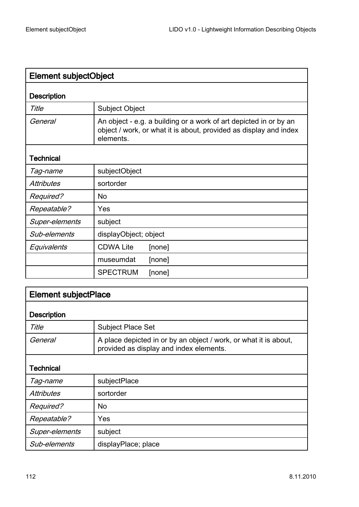<span id="page-117-0"></span>

| <b>Element subjectObject</b> |                                                                                                                                                     |
|------------------------------|-----------------------------------------------------------------------------------------------------------------------------------------------------|
| <b>Description</b>           |                                                                                                                                                     |
| Title                        | <b>Subject Object</b>                                                                                                                               |
| General                      | An object - e.g. a building or a work of art depicted in or by an<br>object / work, or what it is about, provided as display and index<br>elements. |
| <b>Technical</b>             |                                                                                                                                                     |
| Tag-name                     | subjectObject                                                                                                                                       |
| <b>Attributes</b>            | sortorder                                                                                                                                           |
| Required?                    | <b>No</b>                                                                                                                                           |
| Repeatable?                  | Yes                                                                                                                                                 |
| Super-elements               | subject                                                                                                                                             |
| Sub-elements                 | displayObject; object                                                                                                                               |
| Equivalents                  | <b>CDWA Lite</b><br>[none]                                                                                                                          |
|                              | museumdat<br>[none]                                                                                                                                 |
|                              | <b>SPECTRUM</b><br>[none]                                                                                                                           |

| <b>Element subjectPlace</b> |                                                                                                             |
|-----------------------------|-------------------------------------------------------------------------------------------------------------|
| <b>Description</b>          |                                                                                                             |
| Title                       | <b>Subject Place Set</b>                                                                                    |
| General                     | A place depicted in or by an object / work, or what it is about,<br>provided as display and index elements. |
| <b>Technical</b>            |                                                                                                             |
| Tag-name                    | subjectPlace                                                                                                |
| <b>Attributes</b>           | sortorder                                                                                                   |
| Required?                   | No.                                                                                                         |
| Repeatable?                 | Yes                                                                                                         |
| Super-elements              | subject                                                                                                     |
| Sub-elements                | displayPlace; place                                                                                         |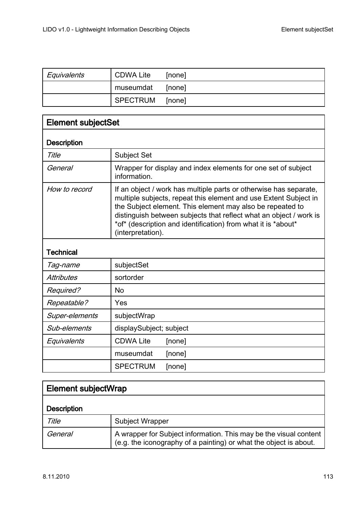<span id="page-118-0"></span>

| Equivalents | CDWA Lite        | [none] |
|-------------|------------------|--------|
|             | museumdat [none] |        |
|             | <b>SPECTRUM</b>  | [none] |

| <b>Element subjectSet</b> |                                                                                                                                                                                                                                                                                                                                                                |  |
|---------------------------|----------------------------------------------------------------------------------------------------------------------------------------------------------------------------------------------------------------------------------------------------------------------------------------------------------------------------------------------------------------|--|
| <b>Description</b>        |                                                                                                                                                                                                                                                                                                                                                                |  |
| Title                     | Subject Set                                                                                                                                                                                                                                                                                                                                                    |  |
| General                   | Wrapper for display and index elements for one set of subject<br>information.                                                                                                                                                                                                                                                                                  |  |
| How to record             | If an object / work has multiple parts or otherwise has separate,<br>multiple subjects, repeat this element and use Extent Subject in<br>the Subject element. This element may also be repeated to<br>distinguish between subjects that reflect what an object / work is<br>*of* (description and identification) from what it is *about*<br>(interpretation). |  |
| <b>Technical</b>          |                                                                                                                                                                                                                                                                                                                                                                |  |
| Tag-name                  | subjectSet                                                                                                                                                                                                                                                                                                                                                     |  |
| <b>Attributes</b>         | sortorder                                                                                                                                                                                                                                                                                                                                                      |  |
| Required?                 | <b>No</b>                                                                                                                                                                                                                                                                                                                                                      |  |
| Repeatable?               | Yes                                                                                                                                                                                                                                                                                                                                                            |  |
| Super-elements            | subjectWrap                                                                                                                                                                                                                                                                                                                                                    |  |
| Sub-elements              | displaySubject; subject                                                                                                                                                                                                                                                                                                                                        |  |
| Equivalents               | <b>CDWA Lite</b><br>[none]                                                                                                                                                                                                                                                                                                                                     |  |
|                           | museumdat<br>[none]                                                                                                                                                                                                                                                                                                                                            |  |
|                           | <b>SPECTRUM</b><br>[none]                                                                                                                                                                                                                                                                                                                                      |  |

| <b>Element subjectWrap</b> |                                                                                                                                        |
|----------------------------|----------------------------------------------------------------------------------------------------------------------------------------|
| <b>Description</b>         |                                                                                                                                        |
| Title                      | Subject Wrapper                                                                                                                        |
| General                    | A wrapper for Subject information. This may be the visual content<br>(e.g. the iconography of a painting) or what the object is about. |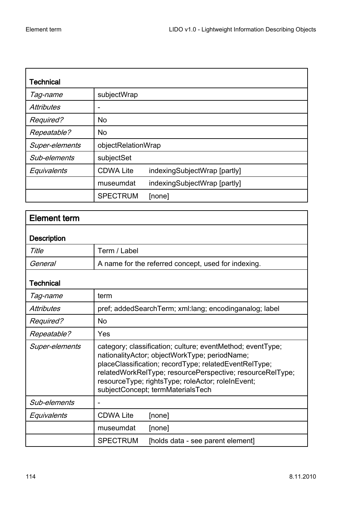<span id="page-119-0"></span>

| <b>Technical</b>  |                    |                              |
|-------------------|--------------------|------------------------------|
| Tag-name          | subjectWrap        |                              |
| <b>Attributes</b> | -                  |                              |
| Required?         | <b>No</b>          |                              |
| Repeatable?       | <b>No</b>          |                              |
| Super-elements    | objectRelationWrap |                              |
| Sub-elements      | subjectSet         |                              |
| Equivalents       | <b>CDWA Lite</b>   | indexingSubjectWrap [partly] |
|                   | museumdat          | indexingSubjectWrap [partly] |
|                   | <b>SPECTRUM</b>    | [none]                       |

| <b>Element term</b> |                                                                                                                                                                                                                                                                                                                             |
|---------------------|-----------------------------------------------------------------------------------------------------------------------------------------------------------------------------------------------------------------------------------------------------------------------------------------------------------------------------|
| <b>Description</b>  |                                                                                                                                                                                                                                                                                                                             |
| Title               | Term / Label                                                                                                                                                                                                                                                                                                                |
| General             | A name for the referred concept, used for indexing.                                                                                                                                                                                                                                                                         |
| <b>Technical</b>    |                                                                                                                                                                                                                                                                                                                             |
| Tag-name            | term                                                                                                                                                                                                                                                                                                                        |
| <b>Attributes</b>   | pref; addedSearchTerm; xml:lang; encodinganalog; label                                                                                                                                                                                                                                                                      |
| Required?           | No                                                                                                                                                                                                                                                                                                                          |
| Repeatable?         | Yes                                                                                                                                                                                                                                                                                                                         |
| Super-elements      | category; classification; culture; eventMethod; eventType;<br>nationalityActor; objectWorkType; periodName;<br>placeClassification; recordType; relatedEventRelType;<br>relatedWorkReIType; resourcePerspective; resourceReIType;<br>resourceType; rightsType; roleActor; roleInEvent;<br>subjectConcept; termMaterialsTech |
| Sub-elements        |                                                                                                                                                                                                                                                                                                                             |
| Equivalents         | <b>CDWA Lite</b><br>[none]                                                                                                                                                                                                                                                                                                  |
|                     | museumdat<br>[none]                                                                                                                                                                                                                                                                                                         |
|                     | <b>SPECTRUM</b><br>[holds data - see parent element]                                                                                                                                                                                                                                                                        |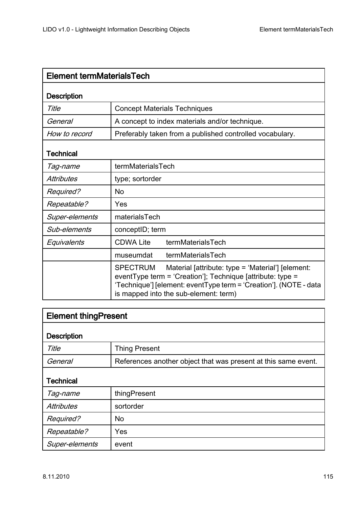<span id="page-120-0"></span> $\mathbf{r}$ 

| <b>Element termMaterialsTech</b> |                                                                                                                                                                                                                                                  |  |
|----------------------------------|--------------------------------------------------------------------------------------------------------------------------------------------------------------------------------------------------------------------------------------------------|--|
| <b>Description</b>               |                                                                                                                                                                                                                                                  |  |
| Title                            | <b>Concept Materials Techniques</b>                                                                                                                                                                                                              |  |
| General                          | A concept to index materials and/or technique.                                                                                                                                                                                                   |  |
| How to record                    | Preferably taken from a published controlled vocabulary.                                                                                                                                                                                         |  |
| Technical                        |                                                                                                                                                                                                                                                  |  |
| Tag-name                         | termMaterialsTech                                                                                                                                                                                                                                |  |
| <b>Attributes</b>                | type; sortorder                                                                                                                                                                                                                                  |  |
| Required?                        | No                                                                                                                                                                                                                                               |  |
| Repeatable?                      | Yes                                                                                                                                                                                                                                              |  |
| Super-elements                   | materialsTech                                                                                                                                                                                                                                    |  |
| <i>Sub-elements</i>              | conceptID; term                                                                                                                                                                                                                                  |  |
| Equivalents                      | <b>CDWA Lite</b><br>termMaterialsTech                                                                                                                                                                                                            |  |
|                                  | termMaterialsTech<br>museumdat                                                                                                                                                                                                                   |  |
|                                  | <b>SPECTRUM</b><br>Material [attribute: type = 'Material'] [element:<br>eventType term = 'Creation']; Technique [attribute: type =<br>'Technique'] [element: eventType term = 'Creation']. (NOTE - data<br>is mapped into the sub-element: term) |  |

| <b>Element thingPresent</b> |                                                                |  |
|-----------------------------|----------------------------------------------------------------|--|
| <b>Description</b>          |                                                                |  |
| Title                       | <b>Thing Present</b>                                           |  |
| <b>General</b>              | References another object that was present at this same event. |  |
| <b>Technical</b>            |                                                                |  |
| Tag-name                    | thingPresent                                                   |  |
| <b>Attributes</b>           | sortorder                                                      |  |
| Required?                   | <b>No</b>                                                      |  |
| Repeatable?                 | Yes                                                            |  |
| Super-elements              | event                                                          |  |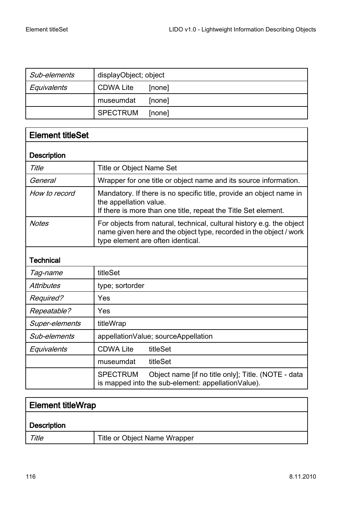<span id="page-121-0"></span>

| Sub-elements | displayObject; object |        |
|--------------|-----------------------|--------|
| Equivalents  | <b>CDWA Lite</b>      | [none] |
|              | museumdat             | [none] |
|              | <b>SPECTRUM</b>       | [none] |

| <b>Element titleSet</b> |                                                                                                                                                                                  |
|-------------------------|----------------------------------------------------------------------------------------------------------------------------------------------------------------------------------|
| <b>Description</b>      |                                                                                                                                                                                  |
| Title                   | <b>Title or Object Name Set</b>                                                                                                                                                  |
| General                 | Wrapper for one title or object name and its source information.                                                                                                                 |
| How to record           | Mandatory. If there is no specific title, provide an object name in<br>the appellation value.<br>If there is more than one title, repeat the Title Set element.                  |
| <b>Notes</b>            | For objects from natural, technical, cultural history e.g. the object<br>name given here and the object type, recorded in the object / work<br>type element are often identical. |
| <b>Technical</b>        |                                                                                                                                                                                  |
| Tag-name                | titleSet                                                                                                                                                                         |
| <b>Attributes</b>       | type; sortorder                                                                                                                                                                  |
| Required?               | Yes                                                                                                                                                                              |
| Repeatable?             | Yes                                                                                                                                                                              |
| Super-elements          | titleWrap                                                                                                                                                                        |
| Sub-elements            | appellationValue; sourceAppellation                                                                                                                                              |
| Equivalents             | <b>CDWA Lite</b><br>titleSet                                                                                                                                                     |
|                         | titleSet<br>museumdat                                                                                                                                                            |
|                         | <b>SPECTRUM</b><br>Object name [if no title only]; Title. (NOTE - data<br>is mapped into the sub-element: appellation Value).                                                    |

| <b>Element titleWrap</b> |                              |  |
|--------------------------|------------------------------|--|
| <b>Description</b>       |                              |  |
| Title                    | Title or Object Name Wrapper |  |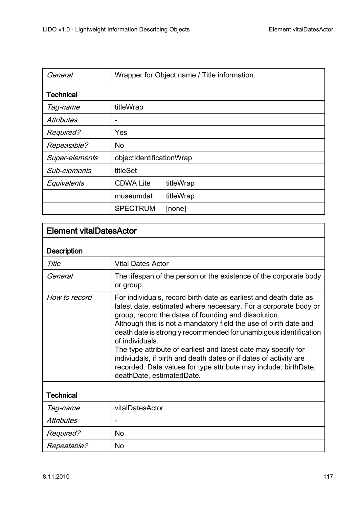| <b>General</b>    | Wrapper for Object name / Title information. |
|-------------------|----------------------------------------------|
| <b>Technical</b>  |                                              |
| Tag-name          | titleWrap                                    |
| <b>Attributes</b> | $\overline{\phantom{0}}$                     |
| Required?         | Yes                                          |
| Repeatable?       | <b>No</b>                                    |
| Super-elements    | objectIdentificationWrap                     |
| Sub-elements      | titleSet                                     |
| Equivalents       | <b>CDWA Lite</b><br>titleWrap                |
|                   | museumdat<br>titleWrap                       |
|                   | <b>SPECTRUM</b><br>[none]                    |

| <b>Element vitalDatesActor</b> |                                                                                                                                                                                                                                                                                                                                                                                                                                                                                                                                                                                                |  |
|--------------------------------|------------------------------------------------------------------------------------------------------------------------------------------------------------------------------------------------------------------------------------------------------------------------------------------------------------------------------------------------------------------------------------------------------------------------------------------------------------------------------------------------------------------------------------------------------------------------------------------------|--|
| <b>Description</b>             |                                                                                                                                                                                                                                                                                                                                                                                                                                                                                                                                                                                                |  |
| Title                          | <b>Vital Dates Actor</b>                                                                                                                                                                                                                                                                                                                                                                                                                                                                                                                                                                       |  |
| <b>General</b>                 | The lifespan of the person or the existence of the corporate body<br>or group.                                                                                                                                                                                                                                                                                                                                                                                                                                                                                                                 |  |
| How to record                  | For individuals, record birth date as earliest and death date as<br>latest date, estimated where necessary. For a corporate body or<br>group, record the dates of founding and dissolution.<br>Although this is not a mandatory field the use of birth date and<br>death date is strongly recommended for unambigous identification<br>of individuals.<br>The type attribute of earliest and latest date may specify for<br>indiviudals, if birth and death dates or if dates of activity are<br>recorded. Data values for type attribute may include: birthDate,<br>deathDate, estimatedDate. |  |
| <b>Technical</b>               |                                                                                                                                                                                                                                                                                                                                                                                                                                                                                                                                                                                                |  |
| Tag-name                       | vitalDatesActor                                                                                                                                                                                                                                                                                                                                                                                                                                                                                                                                                                                |  |
| <b>Attributes</b>              |                                                                                                                                                                                                                                                                                                                                                                                                                                                                                                                                                                                                |  |
| Required?                      | No                                                                                                                                                                                                                                                                                                                                                                                                                                                                                                                                                                                             |  |
| Repeatable?                    | No                                                                                                                                                                                                                                                                                                                                                                                                                                                                                                                                                                                             |  |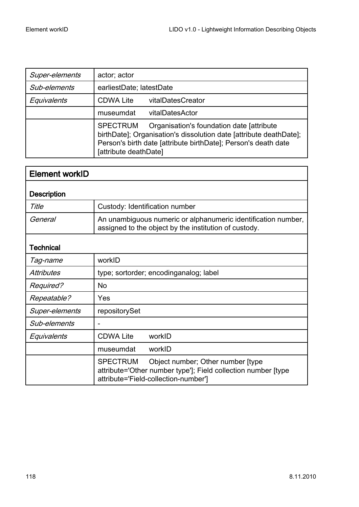<span id="page-123-0"></span>

| Super-elements | actor; actor                             |                                                                                                                                                                                    |
|----------------|------------------------------------------|------------------------------------------------------------------------------------------------------------------------------------------------------------------------------------|
| Sub-elements   | earliestDate; latestDate                 |                                                                                                                                                                                    |
| Equivalents    | <b>CDWA Lite</b>                         | vitalDatesCreator                                                                                                                                                                  |
|                | museumdat                                | vitalDatesActor                                                                                                                                                                    |
|                | <b>SPECTRUM</b><br>[attribute deathDate] | Organisation's foundation date [attribute]<br>birthDate]; Organisation's dissolution date [attribute deathDate];<br>Person's birth date [attribute birthDate]; Person's death date |

| <b>Element workID</b> |                                                                                                                                                                |  |
|-----------------------|----------------------------------------------------------------------------------------------------------------------------------------------------------------|--|
| <b>Description</b>    |                                                                                                                                                                |  |
| Title                 | Custody: Identification number                                                                                                                                 |  |
| General               | An unambiguous numeric or alphanumeric identification number,<br>assigned to the object by the institution of custody.                                         |  |
| <b>Technical</b>      |                                                                                                                                                                |  |
| Tag-name              | workID                                                                                                                                                         |  |
| Attributes            | type; sortorder; encodinganalog; label                                                                                                                         |  |
| Required?             | <b>No</b>                                                                                                                                                      |  |
| Repeatable?           | Yes                                                                                                                                                            |  |
| Super-elements        | repositorySet                                                                                                                                                  |  |
| Sub-elements          |                                                                                                                                                                |  |
| Equivalents           | <b>CDWA Lite</b><br>workID                                                                                                                                     |  |
|                       | workID<br>museumdat                                                                                                                                            |  |
|                       | <b>SPECTRUM</b><br>Object number; Other number [type]<br>attribute='Other number type']; Field collection number [type<br>attribute='Field-collection-number'] |  |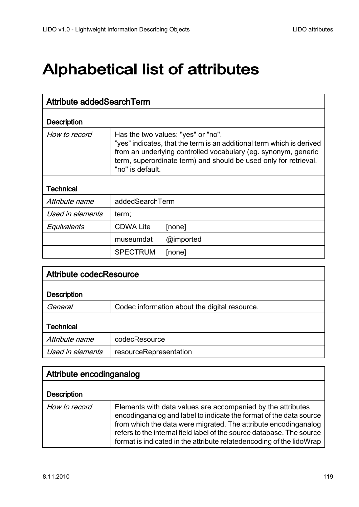## <span id="page-124-0"></span>Alphabetical list of attributes

| <b>Attribute addedSearchTerm</b> |                                                                                                                                                                                                                                                                       |           |
|----------------------------------|-----------------------------------------------------------------------------------------------------------------------------------------------------------------------------------------------------------------------------------------------------------------------|-----------|
| <b>Description</b>               |                                                                                                                                                                                                                                                                       |           |
| How to record                    | Has the two values: "yes" or "no".<br>"yes" indicates, that the term is an additional term which is derived<br>from an underlying controlled vocabulary (eg. synonym, generic<br>term, superordinate term) and should be used only for retrieval.<br>"no" is default. |           |
| Technical                        |                                                                                                                                                                                                                                                                       |           |
| Attribute name                   | addedSearchTerm                                                                                                                                                                                                                                                       |           |
| Used in elements                 | term;                                                                                                                                                                                                                                                                 |           |
| Equivalents                      | <b>CDWA Lite</b>                                                                                                                                                                                                                                                      | [none]    |
|                                  | museumdat                                                                                                                                                                                                                                                             | @imported |
|                                  | <b>SPECTRUM</b>                                                                                                                                                                                                                                                       | [none]    |
|                                  |                                                                                                                                                                                                                                                                       |           |

| <b>Attribute codecResource</b> |                                               |  |
|--------------------------------|-----------------------------------------------|--|
| <b>Description</b>             |                                               |  |
| General                        | Codec information about the digital resource. |  |
| <b>Technical</b>               |                                               |  |
| Attribute name                 | codecResource                                 |  |
| Used in elements               | resourceRepresentation                        |  |

| Attribute encodinganalog |                                                                                                                                                                                                                                                                                                                                                       |  |
|--------------------------|-------------------------------------------------------------------------------------------------------------------------------------------------------------------------------------------------------------------------------------------------------------------------------------------------------------------------------------------------------|--|
| <b>Description</b>       |                                                                                                                                                                                                                                                                                                                                                       |  |
| How to record            | Elements with data values are accompanied by the attributes<br>encodinganalog and label to indicate the format of the data source<br>from which the data were migrated. The attribute encodinganalog<br>refers to the internal field label of the source database. The source<br>format is indicated in the attribute relatedencoding of the lidoWrap |  |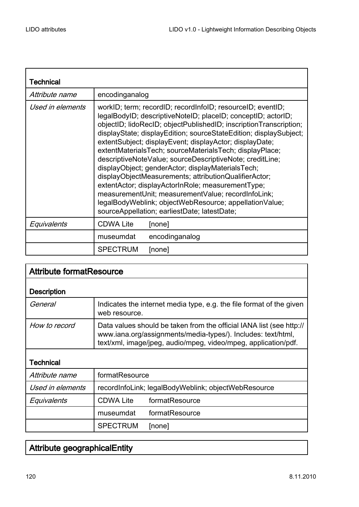| <b>Technical</b> |                                                                                                                                                                                                                                                                                                                                                                                                                                                                                                                                                                                                                                                                                                                                                                                           |  |
|------------------|-------------------------------------------------------------------------------------------------------------------------------------------------------------------------------------------------------------------------------------------------------------------------------------------------------------------------------------------------------------------------------------------------------------------------------------------------------------------------------------------------------------------------------------------------------------------------------------------------------------------------------------------------------------------------------------------------------------------------------------------------------------------------------------------|--|
| Attribute name   | encodinganalog                                                                                                                                                                                                                                                                                                                                                                                                                                                                                                                                                                                                                                                                                                                                                                            |  |
| Used in elements | workID; term; recordID; recordInfoID; resourceID; eventID;<br>legalBodyID; descriptiveNoteID; placeID; conceptID; actorID;<br>objectID; lidoRecID; objectPublishedID; inscriptionTranscription;<br>displayState; displayEdition; sourceStateEdition; displaySubject;<br>extentSubject; displayEvent; displayActor; displayDate;<br>extentMaterialsTech; sourceMaterialsTech; displayPlace;<br>descriptiveNoteValue; sourceDescriptiveNote; creditLine;<br>displayObject; genderActor; displayMaterialsTech;<br>displayObjectMeasurements; attributionQualifierActor;<br>extentActor; displayActorInRole; measurementType;<br>measurementUnit; measurementValue; recordInfoLink;<br>legalBodyWeblink; objectWebResource; appellationValue;<br>sourceAppellation; earliestDate; latestDate; |  |
| Equivalents      | <b>CDWA Lite</b><br>[none]                                                                                                                                                                                                                                                                                                                                                                                                                                                                                                                                                                                                                                                                                                                                                                |  |
|                  | museumdat<br>encodinganalog                                                                                                                                                                                                                                                                                                                                                                                                                                                                                                                                                                                                                                                                                                                                                               |  |
|                  | <b>SPECTRUM</b><br>[none]                                                                                                                                                                                                                                                                                                                                                                                                                                                                                                                                                                                                                                                                                                                                                                 |  |

| <b>Attribute formatResource</b> |                                                                                                                                                                                                        |  |
|---------------------------------|--------------------------------------------------------------------------------------------------------------------------------------------------------------------------------------------------------|--|
| <b>Description</b>              |                                                                                                                                                                                                        |  |
| General                         | Indicates the internet media type, e.g. the file format of the given<br>web resource.                                                                                                                  |  |
| How to record                   | Data values should be taken from the official IANA list (see http://<br>www.iana.org/assignments/media-types/). Includes: text/html,<br>text/xml, image/jpeg, audio/mpeg, video/mpeg, application/pdf. |  |
| <b>Technical</b>                |                                                                                                                                                                                                        |  |
| Attribute name                  | formatResource                                                                                                                                                                                         |  |
| Used in elements                | recordInfoLink; legalBodyWeblink; objectWebResource                                                                                                                                                    |  |
| Equivalents                     | CDWA Lite<br>formatResource                                                                                                                                                                            |  |
|                                 | formatResource<br>museumdat                                                                                                                                                                            |  |
|                                 | <b>SPECTRUM</b><br>[none]                                                                                                                                                                              |  |

## Attribute geographicalEntity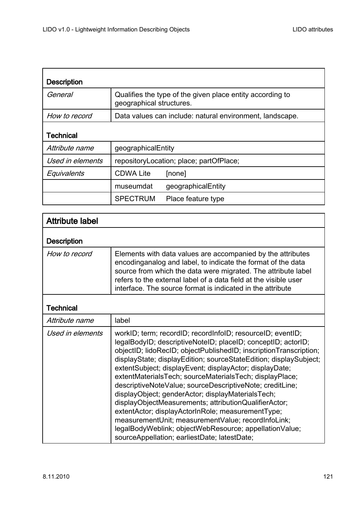<span id="page-126-0"></span>

| <b>Description</b> |                                                                                       |  |
|--------------------|---------------------------------------------------------------------------------------|--|
| General            | Qualifies the type of the given place entity according to<br>geographical structures. |  |
| How to record      | Data values can include: natural environment, landscape.                              |  |
| <b>Technical</b>   |                                                                                       |  |
| Attribute name     | geographicalEntity                                                                    |  |
| Used in elements   | repositoryLocation; place; partOfPlace;                                               |  |
| Equivalents        | <b>CDWA Lite</b><br>[none]                                                            |  |
|                    | geographicalEntity<br>museumdat                                                       |  |
|                    | <b>SPECTRUM</b><br>Place feature type                                                 |  |

| <b>Attribute label</b> |                                                                                                                                                                                                                                                                                                                                                                                                                                                                                                                                                                                                                                                                                                                                                                                           |  |
|------------------------|-------------------------------------------------------------------------------------------------------------------------------------------------------------------------------------------------------------------------------------------------------------------------------------------------------------------------------------------------------------------------------------------------------------------------------------------------------------------------------------------------------------------------------------------------------------------------------------------------------------------------------------------------------------------------------------------------------------------------------------------------------------------------------------------|--|
| <b>Description</b>     |                                                                                                                                                                                                                                                                                                                                                                                                                                                                                                                                                                                                                                                                                                                                                                                           |  |
| How to record          | Elements with data values are accompanied by the attributes<br>encodinganalog and label, to indicate the format of the data<br>source from which the data were migrated. The attribute label<br>refers to the external label of a data field at the visible user<br>interface. The source format is indicated in the attribute                                                                                                                                                                                                                                                                                                                                                                                                                                                            |  |
| <b>Technical</b>       |                                                                                                                                                                                                                                                                                                                                                                                                                                                                                                                                                                                                                                                                                                                                                                                           |  |
| Attribute name         | label                                                                                                                                                                                                                                                                                                                                                                                                                                                                                                                                                                                                                                                                                                                                                                                     |  |
| Used in elements       | workID; term; recordID; recordInfoID; resourceID; eventID;<br>legalBodyID; descriptiveNoteID; placeID; conceptID; actorID;<br>objectID; lidoRecID; objectPublishedID; inscriptionTranscription;<br>displayState; displayEdition; sourceStateEdition; displaySubject;<br>extentSubject; displayEvent; displayActor; displayDate;<br>extentMaterialsTech; sourceMaterialsTech; displayPlace;<br>descriptiveNoteValue; sourceDescriptiveNote; creditLine;<br>displayObject; genderActor; displayMaterialsTech;<br>displayObjectMeasurements; attributionQualifierActor;<br>extentActor; displayActorInRole; measurementType;<br>measurementUnit; measurementValue; recordInfoLink;<br>legalBodyWeblink; objectWebResource; appellationValue;<br>sourceAppellation; earliestDate; latestDate; |  |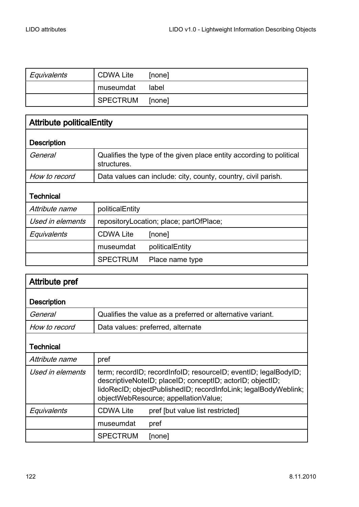<span id="page-127-0"></span>

| Equivalents | CDWA Lite | [none] |
|-------------|-----------|--------|
|             | museumdat | label  |
|             | SPECTRUM  | [none] |

| <b>Attribute political Entity</b> |                                                               |                                                                     |
|-----------------------------------|---------------------------------------------------------------|---------------------------------------------------------------------|
| <b>Description</b>                |                                                               |                                                                     |
| General                           | structures.                                                   | Qualifies the type of the given place entity according to political |
| How to record                     | Data values can include: city, county, country, civil parish. |                                                                     |
| <b>Technical</b>                  |                                                               |                                                                     |
| Attribute name                    | politicalEntity                                               |                                                                     |
| Used in elements                  | repositoryLocation; place; partOfPlace;                       |                                                                     |
| Equivalents                       | <b>CDWA Lite</b>                                              | [none]                                                              |
|                                   | museumdat                                                     | politicalEntity                                                     |
|                                   | <b>SPECTRUM</b>                                               | Place name type                                                     |

| <b>Attribute pref</b> |                                                                                                                                                                                                                                         |  |
|-----------------------|-----------------------------------------------------------------------------------------------------------------------------------------------------------------------------------------------------------------------------------------|--|
| <b>Description</b>    |                                                                                                                                                                                                                                         |  |
| General               | Qualifies the value as a preferred or alternative variant.                                                                                                                                                                              |  |
| How to record         | Data values: preferred, alternate                                                                                                                                                                                                       |  |
| <b>Technical</b>      |                                                                                                                                                                                                                                         |  |
| Attribute name        | pref                                                                                                                                                                                                                                    |  |
| Used in elements      | term; recordID; recordInfoID; resourceID; eventID; legalBodyID;<br>descriptiveNoteID; placeID; conceptID; actorID; objectID;<br>lidoRecID; objectPublishedID; recordInfoLink; legalBodyWeblink;<br>objectWebResource; appellationValue; |  |
| Equivalents           | <b>CDWA Lite</b><br>pref [but value list restricted]                                                                                                                                                                                    |  |
|                       | museumdat<br>pref                                                                                                                                                                                                                       |  |
|                       | <b>SPECTRUM</b><br>[none]                                                                                                                                                                                                               |  |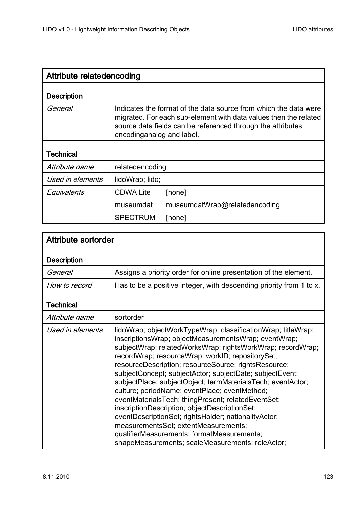<span id="page-128-0"></span>

| Attribute relatedencoding |                                                                                                                                                                                                                                  |                               |
|---------------------------|----------------------------------------------------------------------------------------------------------------------------------------------------------------------------------------------------------------------------------|-------------------------------|
| <b>Description</b>        |                                                                                                                                                                                                                                  |                               |
| General                   | Indicates the format of the data source from which the data were<br>migrated. For each sub-element with data values then the related<br>source data fields can be referenced through the attributes<br>encodinganalog and label. |                               |
| <b>Technical</b>          |                                                                                                                                                                                                                                  |                               |
| Attribute name            | relatedencoding                                                                                                                                                                                                                  |                               |
| Used in elements          | lidoWrap; lido;                                                                                                                                                                                                                  |                               |
| Equivalents               | <b>CDWA Lite</b>                                                                                                                                                                                                                 | [none]                        |
|                           | museumdat                                                                                                                                                                                                                        | museumdatWrap@relatedencoding |
|                           | <b>SPECTRUM</b>                                                                                                                                                                                                                  | [none]                        |

| Attribute sortorder |                                                                                                                                                                                                                                                                                                                                                                                                                                                                                                                                                                                                                                                                                                                                                                                     |  |
|---------------------|-------------------------------------------------------------------------------------------------------------------------------------------------------------------------------------------------------------------------------------------------------------------------------------------------------------------------------------------------------------------------------------------------------------------------------------------------------------------------------------------------------------------------------------------------------------------------------------------------------------------------------------------------------------------------------------------------------------------------------------------------------------------------------------|--|
| <b>Description</b>  |                                                                                                                                                                                                                                                                                                                                                                                                                                                                                                                                                                                                                                                                                                                                                                                     |  |
| General             | Assigns a priority order for online presentation of the element.                                                                                                                                                                                                                                                                                                                                                                                                                                                                                                                                                                                                                                                                                                                    |  |
| How to record       | Has to be a positive integer, with descending priority from 1 to x.                                                                                                                                                                                                                                                                                                                                                                                                                                                                                                                                                                                                                                                                                                                 |  |
| <b>Technical</b>    |                                                                                                                                                                                                                                                                                                                                                                                                                                                                                                                                                                                                                                                                                                                                                                                     |  |
| Attribute name      | sortorder                                                                                                                                                                                                                                                                                                                                                                                                                                                                                                                                                                                                                                                                                                                                                                           |  |
| Used in elements    | lidoWrap; objectWorkTypeWrap; classificationWrap; titleWrap;<br>inscriptionsWrap; objectMeasurementsWrap; eventWrap;<br>subjectWrap; relatedWorksWrap; rightsWorkWrap; recordWrap;<br>recordWrap; resourceWrap; workID; repositorySet;<br>resourceDescription; resourceSource; rightsResource;<br>subjectConcept; subjectActor; subjectDate; subjectEvent;<br>subjectPlace; subjectObject; termMaterialsTech; eventActor;<br>culture; periodName; eventPlace; eventMethod;<br>eventMaterialsTech; thingPresent; relatedEventSet;<br>inscriptionDescription; objectDescriptionSet;<br>eventDescriptionSet; rightsHolder; nationalityActor;<br>measurementsSet; extentMeasurements;<br>qualifierMeasurements; formatMeasurements;<br>shapeMeasurements; scaleMeasurements; roleActor; |  |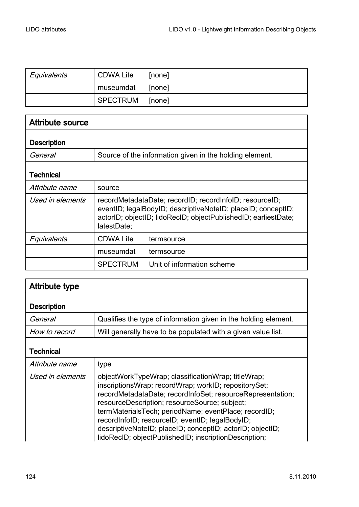<span id="page-129-0"></span>

| Equivalents | CDWA Lite       | [none] |
|-------------|-----------------|--------|
|             | museumdat       | [none] |
|             | <b>SPECTRUM</b> | [none] |

| <b>Attribute source</b> |                                                                                                                                                                                                          |                            |
|-------------------------|----------------------------------------------------------------------------------------------------------------------------------------------------------------------------------------------------------|----------------------------|
| <b>Description</b>      |                                                                                                                                                                                                          |                            |
| General                 | Source of the information given in the holding element.                                                                                                                                                  |                            |
| <b>Technical</b>        |                                                                                                                                                                                                          |                            |
| Attribute name          | source                                                                                                                                                                                                   |                            |
| Used in elements        | recordMetadataDate; recordID; recordInfoID; resourceID;<br>eventID; legalBodyID; descriptiveNoteID; placeID; conceptID;<br>actorID; objectID; lidoRecID; objectPublishedID; earliestDate;<br>latestDate; |                            |
| Equivalents             | <b>CDWA Lite</b><br>termsource                                                                                                                                                                           |                            |
|                         | museumdat<br>termsource                                                                                                                                                                                  |                            |
|                         | <b>SPECTRUM</b>                                                                                                                                                                                          | Unit of information scheme |

| <b>Attribute type</b> |                                                                                                                                                                                                                                                                                                                                                                                                                                                            |  |
|-----------------------|------------------------------------------------------------------------------------------------------------------------------------------------------------------------------------------------------------------------------------------------------------------------------------------------------------------------------------------------------------------------------------------------------------------------------------------------------------|--|
| <b>Description</b>    |                                                                                                                                                                                                                                                                                                                                                                                                                                                            |  |
| General               | Qualifies the type of information given in the holding element.                                                                                                                                                                                                                                                                                                                                                                                            |  |
| How to record         | Will generally have to be populated with a given value list.                                                                                                                                                                                                                                                                                                                                                                                               |  |
| <b>Technical</b>      |                                                                                                                                                                                                                                                                                                                                                                                                                                                            |  |
| Attribute name        | type                                                                                                                                                                                                                                                                                                                                                                                                                                                       |  |
| Used in elements      | objectWorkTypeWrap; classificationWrap; titleWrap;<br>inscriptionsWrap; recordWrap; workID; repositorySet;<br>recordMetadataDate; recordInfoSet; resourceRepresentation;<br>resourceDescription; resourceSource; subject;<br>termMaterialsTech; periodName; eventPlace; recordID;<br>recordInfoID; resourceID; eventID; legalBodyID;<br>descriptiveNoteID; placeID; conceptID; actorID; objectID;<br>lidoRecID; objectPublishedID; inscriptionDescription; |  |